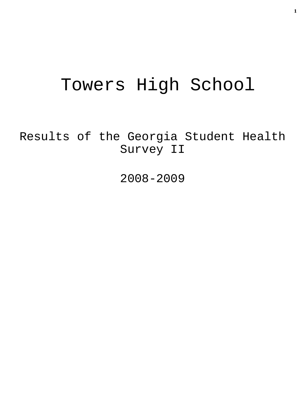# Towers High School

Results of the Georgia Student Health Survey II

2008-2009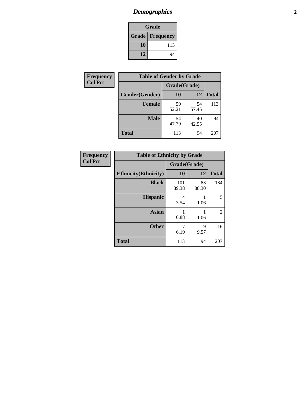# *Demographics* **2**

| Grade                    |     |  |  |  |
|--------------------------|-----|--|--|--|
| <b>Grade   Frequency</b> |     |  |  |  |
| 10                       | 113 |  |  |  |
| 12                       | 94  |  |  |  |

| Frequency      | <b>Table of Gender by Grade</b> |              |             |              |  |  |
|----------------|---------------------------------|--------------|-------------|--------------|--|--|
| <b>Col Pct</b> |                                 | Grade(Grade) |             |              |  |  |
|                | Gender(Gender)                  | 10           | 12          | <b>Total</b> |  |  |
|                | <b>Female</b>                   | 59<br>52.21  | 54<br>57.45 | 113          |  |  |
|                | <b>Male</b>                     | 54<br>47.79  | 40<br>42.55 | 94           |  |  |
|                | <b>Total</b>                    | 113          | 94          | 207          |  |  |

| <b>Frequency</b><br>Col Pct |
|-----------------------------|
|-----------------------------|

| <b>Table of Ethnicity by Grade</b> |              |             |              |  |  |  |
|------------------------------------|--------------|-------------|--------------|--|--|--|
|                                    | Grade(Grade) |             |              |  |  |  |
| <b>Ethnicity</b> (Ethnicity)       | 10           | 12          | <b>Total</b> |  |  |  |
| <b>Black</b>                       | 101<br>89.38 | 83<br>88.30 | 184          |  |  |  |
| <b>Hispanic</b>                    | 4<br>3.54    | 1.06        | 5            |  |  |  |
| <b>Asian</b>                       | 0.88         | 1.06        | 2            |  |  |  |
| <b>Other</b>                       | 7<br>6.19    | 9<br>9.57   | 16           |  |  |  |
| <b>Total</b>                       | 113          | 94          | 207          |  |  |  |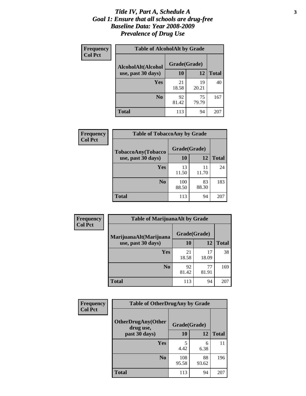#### *Title IV, Part A, Schedule A* **3** *Goal 1: Ensure that all schools are drug-free Baseline Data: Year 2008-2009 Prevalence of Drug Use*

| Frequency<br><b>Col Pct</b> | <b>Table of AlcoholAlt by Grade</b> |              |             |              |  |  |
|-----------------------------|-------------------------------------|--------------|-------------|--------------|--|--|
|                             | AlcoholAlt(Alcohol                  | Grade(Grade) |             |              |  |  |
|                             | use, past 30 days)                  | 10           | 12          | <b>Total</b> |  |  |
|                             | Yes                                 | 21<br>18.58  | 19<br>20.21 | 40           |  |  |
|                             | N <sub>0</sub>                      | 92<br>81.42  | 75<br>79.79 | 167          |  |  |
|                             | <b>Total</b>                        | 113          | 94          | 207          |  |  |

| Frequency<br><b>Col Pct</b> | <b>Table of TobaccoAny by Grade</b> |              |             |              |  |
|-----------------------------|-------------------------------------|--------------|-------------|--------------|--|
|                             | TobaccoAny(Tobacco                  | Grade(Grade) |             |              |  |
|                             | use, past 30 days)                  | <b>10</b>    | 12          | <b>Total</b> |  |
|                             | Yes                                 | 13<br>11.50  | 11<br>11.70 | 24           |  |
|                             | N <sub>0</sub>                      | 100<br>88.50 | 83<br>88.30 | 183          |  |
|                             | <b>Total</b>                        | 113          | 94          | 207          |  |

| Frequency<br><b>Col Pct</b> | <b>Table of MarijuanaAlt by Grade</b> |              |             |              |  |
|-----------------------------|---------------------------------------|--------------|-------------|--------------|--|
|                             | MarijuanaAlt(Marijuana                | Grade(Grade) |             |              |  |
|                             | use, past 30 days)                    | 10           | 12          | <b>Total</b> |  |
|                             | <b>Yes</b>                            | 21<br>18.58  | 17<br>18.09 | 38           |  |
|                             | N <sub>0</sub>                        | 92<br>81.42  | 77<br>81.91 | 169          |  |
|                             | <b>Total</b>                          | 113          | 94          | 207          |  |

| <b>Frequency</b> | <b>Table of OtherDrugAny by Grade</b>  |              |             |              |  |  |
|------------------|----------------------------------------|--------------|-------------|--------------|--|--|
| <b>Col Pct</b>   | <b>OtherDrugAny(Other</b><br>drug use, | Grade(Grade) |             |              |  |  |
|                  | past 30 days)                          | 10           | 12          | <b>Total</b> |  |  |
|                  | <b>Yes</b>                             | 4.42         | 6<br>6.38   | 11           |  |  |
|                  | N <sub>0</sub>                         | 108<br>95.58 | 88<br>93.62 | 196          |  |  |
|                  | <b>Total</b>                           | 113          | 94          | 207          |  |  |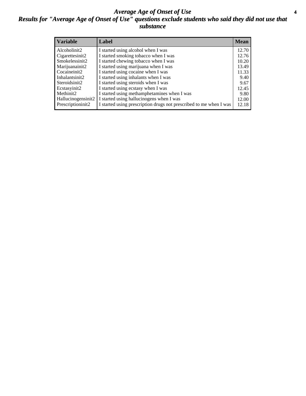#### *Average Age of Onset of Use* **4** *Results for "Average Age of Onset of Use" questions exclude students who said they did not use that substance*

| <b>Variable</b>       | Label                                                              | <b>Mean</b> |
|-----------------------|--------------------------------------------------------------------|-------------|
| Alcoholinit2          | I started using alcohol when I was                                 | 12.70       |
| Cigarettesinit2       | I started smoking tobacco when I was                               | 12.76       |
| Smokelessinit2        | I started chewing tobacco when I was                               | 10.20       |
| Marijuanainit2        | I started using marijuana when I was                               | 13.49       |
| Cocaineinit2          | I started using cocaine when I was                                 | 11.33       |
| Inhalantsinit2        | I started using inhalants when I was                               | 9.40        |
| Steroidsinit2         | I started using steroids when I was                                | 9.67        |
| Ecstasyinit2          | I started using ecstasy when I was                                 | 12.45       |
| Methinit <sub>2</sub> | I started using methamphetamines when I was                        | 9.80        |
| Hallucinogensinit2    | I started using hallucinogens when I was                           | 12.00       |
| Prescriptioninit2     | I started using prescription drugs not prescribed to me when I was | 12.18       |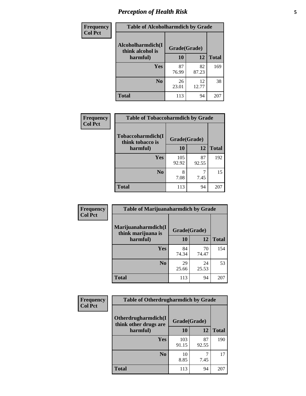# *Perception of Health Risk* **5**

| Frequency      | <b>Table of Alcoholharmdich by Grade</b> |              |             |              |  |
|----------------|------------------------------------------|--------------|-------------|--------------|--|
| <b>Col Pct</b> | Alcoholharmdich(I<br>think alcohol is    | Grade(Grade) |             |              |  |
|                | harmful)                                 | 10           | 12          | <b>Total</b> |  |
|                | Yes                                      | 87<br>76.99  | 82<br>87.23 | 169          |  |
|                | N <sub>0</sub>                           | 26<br>23.01  | 12<br>12.77 | 38           |  |
|                | <b>Total</b>                             | 113          | 94          | 207          |  |

| <b>Frequency</b> | <b>Table of Tobaccoharmdich by Grade</b> |              |             |              |  |
|------------------|------------------------------------------|--------------|-------------|--------------|--|
| <b>Col Pct</b>   | Tobaccoharmdich(I<br>think tobacco is    | Grade(Grade) |             |              |  |
|                  | harmful)                                 | 10           | 12          | <b>Total</b> |  |
|                  | Yes                                      | 105<br>92.92 | 87<br>92.55 | 192          |  |
|                  | N <sub>0</sub>                           | 8<br>7.08    | 7.45        | 15           |  |
|                  | <b>Total</b>                             | 113          | 94          | 207          |  |

| <b>Frequency</b> | <b>Table of Marijuanaharmdich by Grade</b> |              |             |              |  |
|------------------|--------------------------------------------|--------------|-------------|--------------|--|
| <b>Col Pct</b>   | Marijuanaharmdich(I<br>think marijuana is  | Grade(Grade) |             |              |  |
|                  | harmful)                                   | 10           | 12          | <b>Total</b> |  |
|                  | Yes                                        | 84<br>74.34  | 70<br>74.47 | 154          |  |
|                  | N <sub>0</sub>                             | 29<br>25.66  | 24<br>25.53 | 53           |  |
|                  | <b>Total</b>                               | 113          | 94          | 207          |  |

| Frequency      | <b>Table of Otherdrugharmdich by Grade</b>   |              |             |              |  |  |  |  |
|----------------|----------------------------------------------|--------------|-------------|--------------|--|--|--|--|
| <b>Col Pct</b> | Otherdrugharmdich(I<br>think other drugs are | Grade(Grade) |             |              |  |  |  |  |
|                | harmful)                                     | 10           | 12          | <b>Total</b> |  |  |  |  |
|                | <b>Yes</b>                                   | 103<br>91.15 | 87<br>92.55 | 190          |  |  |  |  |
|                | N <sub>0</sub>                               | 10<br>8.85   | 7.45        | 17           |  |  |  |  |
|                | <b>Total</b>                                 | 113          | 94          | 207          |  |  |  |  |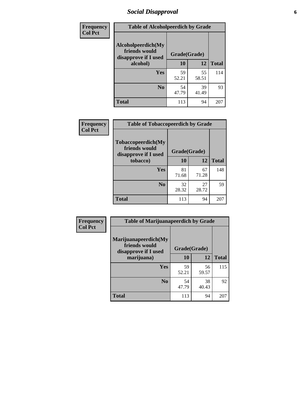# *Social Disapproval* **6**

| <b>Frequency</b> | <b>Table of Alcoholpeerdich by Grade</b>                    |              |             |              |
|------------------|-------------------------------------------------------------|--------------|-------------|--------------|
| <b>Col Pct</b>   | Alcoholpeerdich(My<br>friends would<br>disapprove if I used | Grade(Grade) |             |              |
|                  | alcohol)                                                    | 10           | 12          | <b>Total</b> |
|                  | <b>Yes</b>                                                  | 59<br>52.21  | 55<br>58.51 | 114          |
|                  | N <sub>0</sub>                                              | 54<br>47.79  | 39<br>41.49 | 93           |
|                  | <b>Total</b>                                                | 113          | 94          | 207          |

| <b>Frequency</b> |
|------------------|
| <b>Col Pct</b>   |

| <b>Table of Tobaccopeerdich by Grade</b>                    |              |             |              |  |  |  |  |
|-------------------------------------------------------------|--------------|-------------|--------------|--|--|--|--|
| Tobaccopeerdich(My<br>friends would<br>disapprove if I used | Grade(Grade) |             |              |  |  |  |  |
| tobacco)                                                    | 10           | 12          | <b>Total</b> |  |  |  |  |
| Yes                                                         | 81<br>71.68  | 67<br>71.28 | 148          |  |  |  |  |
| N <sub>0</sub>                                              | 32<br>28.32  | 27<br>28.72 | 59           |  |  |  |  |
| <b>Total</b>                                                | 113          | 94          | 20ï          |  |  |  |  |

| Frequency      | <b>Table of Marijuanapeerdich by Grade</b>                    |              |             |              |  |  |  |  |
|----------------|---------------------------------------------------------------|--------------|-------------|--------------|--|--|--|--|
| <b>Col Pct</b> | Marijuanapeerdich(My<br>friends would<br>disapprove if I used | Grade(Grade) |             |              |  |  |  |  |
|                | marijuana)                                                    | 10           | 12          | <b>Total</b> |  |  |  |  |
|                | <b>Yes</b>                                                    | 59<br>52.21  | 56<br>59.57 | 115          |  |  |  |  |
|                | N <sub>0</sub>                                                | 54<br>47.79  | 38<br>40.43 | 92           |  |  |  |  |
|                | <b>Total</b>                                                  | 113          | 94          | 207          |  |  |  |  |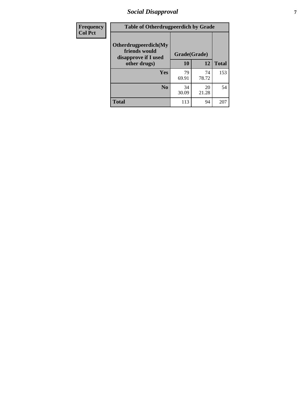# *Social Disapproval* **7**

| Frequency      | <b>Table of Otherdrugpeerdich by Grade</b>                    |              |             |              |  |  |  |  |
|----------------|---------------------------------------------------------------|--------------|-------------|--------------|--|--|--|--|
| <b>Col Pct</b> | Otherdrugpeerdich(My<br>friends would<br>disapprove if I used | Grade(Grade) |             |              |  |  |  |  |
|                | other drugs)                                                  | 10           | 12          | <b>Total</b> |  |  |  |  |
|                | Yes                                                           | 79<br>69.91  | 74<br>78.72 | 153          |  |  |  |  |
|                | N <sub>0</sub>                                                | 34<br>30.09  | 20<br>21.28 | 54           |  |  |  |  |
|                | <b>Total</b>                                                  | 113          | 94          | 207          |  |  |  |  |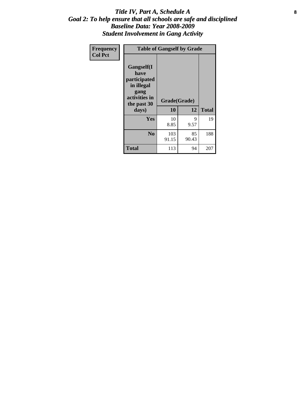#### Title IV, Part A, Schedule A **8** *Goal 2: To help ensure that all schools are safe and disciplined Baseline Data: Year 2008-2009 Student Involvement in Gang Activity*

| Frequency      | <b>Table of Gangself by Grade</b>                                                                 |                    |             |              |
|----------------|---------------------------------------------------------------------------------------------------|--------------------|-------------|--------------|
| <b>Col Pct</b> | Gangself(I<br>have<br>participated<br>in illegal<br>gang<br>activities in<br>the past 30<br>days) | Grade(Grade)<br>10 | 12          | <b>Total</b> |
|                | Yes                                                                                               | 10<br>8.85         | 9<br>9.57   | 19           |
|                | N <sub>0</sub>                                                                                    | 103<br>91.15       | 85<br>90.43 | 188          |
|                | <b>Total</b>                                                                                      | 113                | 94          | 207          |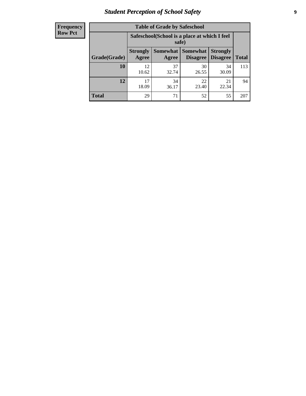# *Student Perception of School Safety* **9**

| <b>Frequency</b><br>Row Pct |
|-----------------------------|
|                             |

| <b>Table of Grade by Safeschool</b> |                          |                                                        |                                        |                                    |              |  |  |
|-------------------------------------|--------------------------|--------------------------------------------------------|----------------------------------------|------------------------------------|--------------|--|--|
|                                     |                          | Safeschool (School is a place at which I feel<br>safe) |                                        |                                    |              |  |  |
| Grade(Grade)                        | <b>Strongly</b><br>Agree | Agree                                                  | <b>Somewhat   Somewhat</b><br>Disagree | <b>Strongly</b><br><b>Disagree</b> | <b>Total</b> |  |  |
| 10                                  | 12.<br>10.62             | 37<br>32.74                                            | 30<br>26.55                            | 34<br>30.09                        | 113          |  |  |
| 12                                  | 17<br>18.09              | 34<br>36.17                                            | 22<br>23.40                            | 21<br>22.34                        | 94           |  |  |
| <b>Total</b>                        | 29                       | 71                                                     | 52                                     | 55                                 | 207          |  |  |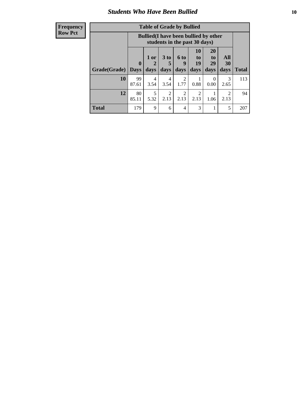### *Students Who Have Been Bullied* **10**

| <b>Frequency</b> |
|------------------|
| Row Pct          |

| <b>Table of Grade by Bullied</b> |             |                                                                               |                              |                        |                         |                        |                          |              |
|----------------------------------|-------------|-------------------------------------------------------------------------------|------------------------------|------------------------|-------------------------|------------------------|--------------------------|--------------|
|                                  |             | <b>Bullied</b> (I have been bullied by other<br>students in the past 30 days) |                              |                        |                         |                        |                          |              |
| <b>Grade</b> (Grade)   Days      | $\bf{0}$    | 1 or<br>2<br>days                                                             | 3 <sub>to</sub><br>5<br>days | 6 to<br>9<br>days      | 10<br>to.<br>19<br>days | 20<br>to<br>29<br>days | All<br><b>30</b><br>days | <b>Total</b> |
| 10                               | 99<br>87.61 | 4<br>3.54                                                                     | 4<br>3.54                    | $\overline{2}$<br>1.77 | 0.88                    | 0<br>0.00              | 3<br>2.65                | 113          |
| 12                               | 80<br>85.11 | 5<br>5.32                                                                     | 2<br>2.13                    | 2<br>2.13              | $\mathfrak{D}$<br>2.13  | 1.06                   | $\mathcal{D}$<br>2.13    | 94           |
| <b>Total</b>                     | 179         | 9                                                                             | 6                            | $\overline{4}$         | 3                       |                        | 5                        | 207          |

 $\blacksquare$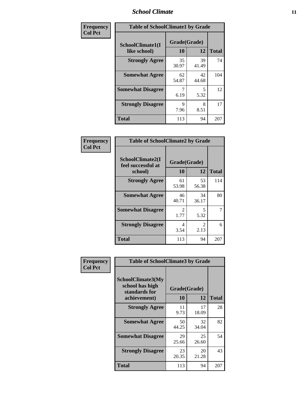### *School Climate* **11**

| Frequency      | <b>Table of SchoolClimate1 by Grade</b> |                    |             |              |  |  |  |
|----------------|-----------------------------------------|--------------------|-------------|--------------|--|--|--|
| <b>Col Pct</b> | SchoolClimate1(I<br>like school)        | Grade(Grade)<br>10 | 12          | <b>Total</b> |  |  |  |
|                | <b>Strongly Agree</b>                   | 35<br>30.97        | 39<br>41.49 | 74           |  |  |  |
|                | <b>Somewhat Agree</b>                   | 62<br>54.87        | 42<br>44.68 | 104          |  |  |  |
|                | <b>Somewhat Disagree</b>                | 7<br>6.19          | 5<br>5.32   | 12           |  |  |  |
|                | <b>Strongly Disagree</b>                | 9<br>7.96          | 8<br>8.51   | 17           |  |  |  |
|                | <b>Total</b>                            | 113                | 94          | 207          |  |  |  |

| Frequency<br>Col Pct |  |
|----------------------|--|
|                      |  |

| <b>Table of SchoolClimate2 by Grade</b>           |                        |             |              |  |  |
|---------------------------------------------------|------------------------|-------------|--------------|--|--|
| SchoolClimate2(I<br>feel successful at<br>school) | Grade(Grade)<br>10     | 12          | <b>Total</b> |  |  |
| <b>Strongly Agree</b>                             | 61<br>53.98            | 53<br>56.38 | 114          |  |  |
| <b>Somewhat Agree</b>                             | 46<br>40.71            | 34<br>36.17 | 80           |  |  |
| <b>Somewhat Disagree</b>                          | $\mathfrak{D}$<br>1.77 | 5<br>5.32   | 7            |  |  |
| <b>Strongly Disagree</b>                          | 4<br>3.54              | 2<br>2.13   | 6            |  |  |
| <b>Total</b>                                      | 113                    | 94          | 207          |  |  |

| Frequency      | <b>Table of SchoolClimate3 by Grade</b>               |              |             |              |  |  |
|----------------|-------------------------------------------------------|--------------|-------------|--------------|--|--|
| <b>Col Pct</b> | SchoolClimate3(My<br>school has high<br>standards for | Grade(Grade) |             |              |  |  |
|                | achievement)                                          | <b>10</b>    | 12          | <b>Total</b> |  |  |
|                | <b>Strongly Agree</b>                                 | 11<br>9.73   | 17<br>18.09 | 28           |  |  |
|                | <b>Somewhat Agree</b>                                 | 50<br>44.25  | 32<br>34.04 | 82           |  |  |
|                | <b>Somewhat Disagree</b>                              | 29<br>25.66  | 25<br>26.60 | 54           |  |  |
|                | <b>Strongly Disagree</b>                              | 23<br>20.35  | 20<br>21.28 | 43           |  |  |
|                | Total                                                 | 113          | 94          | 207          |  |  |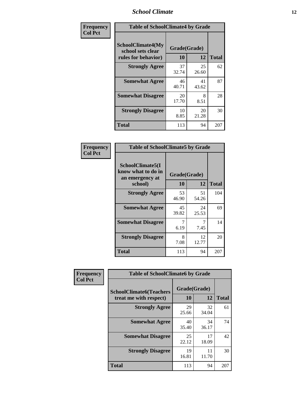### *School Climate* **12**

| Frequency      | <b>Table of SchoolClimate4 by Grade</b>                              |                    |             |              |
|----------------|----------------------------------------------------------------------|--------------------|-------------|--------------|
| <b>Col Pct</b> | <b>SchoolClimate4(My</b><br>school sets clear<br>rules for behavior) | Grade(Grade)<br>10 | 12          | <b>Total</b> |
|                | <b>Strongly Agree</b>                                                | 37<br>32.74        | 25<br>26.60 | 62           |
|                | <b>Somewhat Agree</b>                                                | 46<br>40.71        | 41<br>43.62 | 87           |
|                | <b>Somewhat Disagree</b>                                             | 20<br>17.70        | 8<br>8.51   | 28           |
|                | <b>Strongly Disagree</b>                                             | 10<br>8.85         | 20<br>21.28 | 30           |
|                | <b>Total</b>                                                         | 113                | 94          | 207          |

| <b>Table of SchoolClimate5 by Grade</b>                   |             |             |              |  |  |
|-----------------------------------------------------------|-------------|-------------|--------------|--|--|
| SchoolClimate5(I<br>know what to do in<br>an emergency at |             |             |              |  |  |
| school)                                                   | 10          | 12          | <b>Total</b> |  |  |
| <b>Strongly Agree</b>                                     | 53<br>46.90 | 51<br>54.26 | 104          |  |  |
| <b>Somewhat Agree</b>                                     | 45<br>39.82 | 24<br>25.53 | 69           |  |  |
| <b>Somewhat Disagree</b>                                  | 7<br>6.19   | 7<br>7.45   | 14           |  |  |
| <b>Strongly Disagree</b>                                  | 8<br>7.08   | 12<br>12.77 | 20           |  |  |
| <b>Total</b>                                              | 113         | 94          | 207          |  |  |

| Frequency      | <b>Table of SchoolClimate6 by Grade</b>                  |                    |             |              |  |
|----------------|----------------------------------------------------------|--------------------|-------------|--------------|--|
| <b>Col Pct</b> | <b>SchoolClimate6(Teachers</b><br>treat me with respect) | Grade(Grade)<br>10 | 12          | <b>Total</b> |  |
|                | <b>Strongly Agree</b>                                    | 29<br>25.66        | 32<br>34.04 | 61           |  |
|                | <b>Somewhat Agree</b>                                    | 40<br>35.40        | 34<br>36.17 | 74           |  |
|                | <b>Somewhat Disagree</b>                                 | 25<br>22.12        | 17<br>18.09 | 42           |  |
|                | <b>Strongly Disagree</b>                                 | 19<br>16.81        | 11<br>11.70 | 30           |  |
|                | <b>Total</b>                                             | 113                | 94          | 207          |  |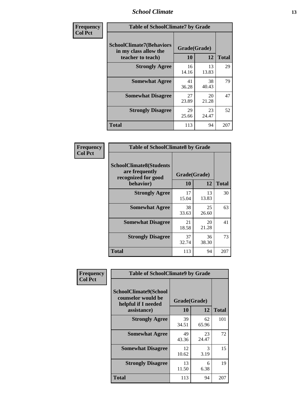### *School Climate* **13**

| Frequency      | <b>Table of SchoolClimate7 by Grade</b>                                       |                           |             |              |
|----------------|-------------------------------------------------------------------------------|---------------------------|-------------|--------------|
| <b>Col Pct</b> | <b>SchoolClimate7(Behaviors</b><br>in my class allow the<br>teacher to teach) | Grade(Grade)<br><b>10</b> | 12          | <b>Total</b> |
|                | <b>Strongly Agree</b>                                                         | 16<br>14.16               | 13<br>13.83 | 29           |
|                | <b>Somewhat Agree</b>                                                         | 41<br>36.28               | 38<br>40.43 | 79           |
|                | <b>Somewhat Disagree</b>                                                      | 27<br>23.89               | 20<br>21.28 | 47           |
|                | <b>Strongly Disagree</b>                                                      | 29<br>25.66               | 23<br>24.47 | 52           |
|                | <b>Total</b>                                                                  | 113                       | 94          | 207          |

| Frequency      | <b>Table of SchoolClimate8 by Grade</b>                                 |              |             |              |  |
|----------------|-------------------------------------------------------------------------|--------------|-------------|--------------|--|
| <b>Col Pct</b> | <b>SchoolClimate8(Students</b><br>are frequently<br>recognized for good | Grade(Grade) |             |              |  |
|                | behavior)                                                               | 10           | 12          | <b>Total</b> |  |
|                | <b>Strongly Agree</b>                                                   | 17<br>15.04  | 13<br>13.83 | 30           |  |
|                | <b>Somewhat Agree</b>                                                   | 38<br>33.63  | 25<br>26.60 | 63           |  |
|                | <b>Somewhat Disagree</b>                                                | 21<br>18.58  | 20<br>21.28 | 41           |  |
|                | <b>Strongly Disagree</b>                                                | 37<br>32.74  | 36<br>38.30 | 73           |  |
|                | <b>Total</b>                                                            | 113          | 94          | 207          |  |

| Frequency      | <b>Table of SchoolClimate9 by Grade</b>                                           |                    |             |              |  |
|----------------|-----------------------------------------------------------------------------------|--------------------|-------------|--------------|--|
| <b>Col Pct</b> | SchoolClimate9(School<br>counselor would be<br>helpful if I needed<br>assistance) | Grade(Grade)<br>10 | 12          | <b>Total</b> |  |
|                | <b>Strongly Agree</b>                                                             | 39<br>34.51        | 62<br>65.96 | 101          |  |
|                | <b>Somewhat Agree</b>                                                             | 49<br>43.36        | 23<br>24.47 | 72           |  |
|                | <b>Somewhat Disagree</b>                                                          | 12<br>10.62        | 3<br>3.19   | 15           |  |
|                | <b>Strongly Disagree</b>                                                          | 13<br>11.50        | 6<br>6.38   | 19           |  |
|                | Total                                                                             | 113                | 94          | 207          |  |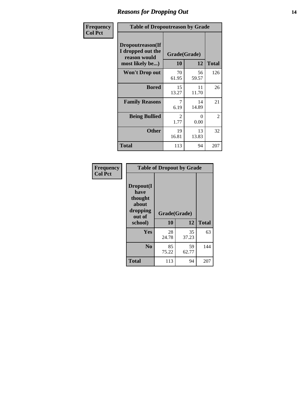### *Reasons for Dropping Out* **14**

| Frequency      | <b>Table of Dropoutreason by Grade</b>                                   |             |                    |              |  |
|----------------|--------------------------------------------------------------------------|-------------|--------------------|--------------|--|
| <b>Col Pct</b> | Dropoutreason(If<br>I dropped out the<br>reason would<br>most likely be) | <b>10</b>   | Grade(Grade)<br>12 | <b>Total</b> |  |
|                | Won't Drop out                                                           | 70<br>61.95 | 56<br>59.57        | 126          |  |
|                | <b>Bored</b>                                                             | 15<br>13.27 | 11<br>11.70        | 26           |  |
|                | <b>Family Reasons</b>                                                    | 7<br>6.19   | 14<br>14.89        | 21           |  |
|                | <b>Being Bullied</b>                                                     | 2<br>1.77   | $\Omega$<br>0.00   | 2            |  |
|                | <b>Other</b>                                                             | 19<br>16.81 | 13<br>13.83        | 32           |  |
|                | <b>Total</b>                                                             | 113         | 94                 | 207          |  |

| Frequency      |                                                                        | <b>Table of Dropout by Grade</b> |             |              |
|----------------|------------------------------------------------------------------------|----------------------------------|-------------|--------------|
| <b>Col Pct</b> | Dropout(I<br>have<br>thought<br>about<br>dropping<br>out of<br>school) | Grade(Grade)<br>10               | 12          | <b>Total</b> |
|                | Yes                                                                    | 28                               | 35          | 63           |
|                |                                                                        | 24.78                            | 37.23       |              |
|                | N <sub>0</sub>                                                         | 85<br>75.22                      | 59<br>62.77 | 144          |
|                | <b>Total</b>                                                           | 113                              | 94          | 207          |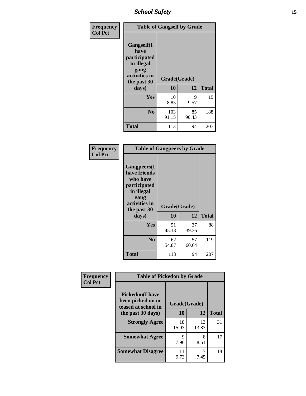*School Safety* **15**

| Frequency      | <b>Table of Gangself by Grade</b>                                                                 |                    |             |              |
|----------------|---------------------------------------------------------------------------------------------------|--------------------|-------------|--------------|
| <b>Col Pct</b> | Gangself(I<br>have<br>participated<br>in illegal<br>gang<br>activities in<br>the past 30<br>days) | Grade(Grade)<br>10 | 12          | <b>Total</b> |
|                | Yes                                                                                               | 10<br>8.85         | 9<br>9.57   | 19           |
|                | N <sub>o</sub>                                                                                    | 103<br>91.15       | 85<br>90.43 | 188          |
|                | Total                                                                                             | 113                | 94          | 207          |

| Frequency<br><b>Col Pct</b> | <b>Table of Gangpeers by Grade</b>                                                                                             |                    |             |              |  |  |  |  |  |  |  |
|-----------------------------|--------------------------------------------------------------------------------------------------------------------------------|--------------------|-------------|--------------|--|--|--|--|--|--|--|
|                             | <b>Gangpeers</b> (I<br>have friends<br>who have<br>participated<br>in illegal<br>gang<br>activities in<br>the past 30<br>days) | Grade(Grade)<br>10 | 12          | <b>Total</b> |  |  |  |  |  |  |  |
|                             | <b>Yes</b>                                                                                                                     | 51<br>45.13        | 37<br>39.36 | 88           |  |  |  |  |  |  |  |
|                             | N <sub>0</sub>                                                                                                                 | 62<br>54.87        | 57<br>60.64 | 119          |  |  |  |  |  |  |  |
|                             | <b>Total</b>                                                                                                                   | 113                | 94          | 207          |  |  |  |  |  |  |  |

| Frequency      |                                                                    | <b>Table of Pickedon by Grade</b> |             |              |  |  |  |  |  |  |
|----------------|--------------------------------------------------------------------|-----------------------------------|-------------|--------------|--|--|--|--|--|--|
| <b>Col Pct</b> | <b>Pickedon(I have</b><br>been picked on or<br>teased at school in | Grade(Grade)                      |             |              |  |  |  |  |  |  |
|                | the past 30 days)                                                  | 10                                | 12          | <b>Total</b> |  |  |  |  |  |  |
|                | <b>Strongly Agree</b>                                              | 18<br>15.93                       | 13<br>13.83 | 31           |  |  |  |  |  |  |
|                | <b>Somewhat Agree</b>                                              | 9<br>7.96                         | 8<br>8.51   | 17           |  |  |  |  |  |  |
|                | <b>Somewhat Disagree</b>                                           | 11<br>9.73                        | 7.45        | 18           |  |  |  |  |  |  |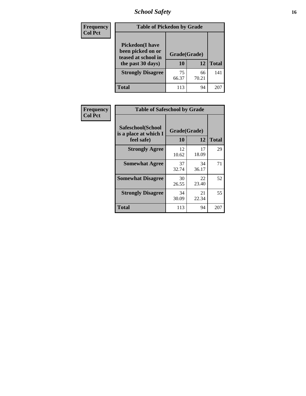# *School Safety* **16**

| <b>Frequency</b> |                                                                                          | <b>Table of Pickedon by Grade</b> |             |              |  |  |  |  |  |  |  |
|------------------|------------------------------------------------------------------------------------------|-----------------------------------|-------------|--------------|--|--|--|--|--|--|--|
| <b>Col Pct</b>   | <b>Pickedon</b> (I have<br>been picked on or<br>teased at school in<br>the past 30 days) | Grade(Grade)<br>10                | 12          | <b>Total</b> |  |  |  |  |  |  |  |
|                  | <b>Strongly Disagree</b>                                                                 | 75<br>66.37                       | 66<br>70.21 | 141          |  |  |  |  |  |  |  |
|                  | Total                                                                                    | 113                               | 94          | $20^{\circ}$ |  |  |  |  |  |  |  |

| Frequency      | <b>Table of Safeschool by Grade</b>                      |                    |             |              |
|----------------|----------------------------------------------------------|--------------------|-------------|--------------|
| <b>Col Pct</b> | Safeschool(School<br>is a place at which I<br>feel safe) | Grade(Grade)<br>10 | 12          | <b>Total</b> |
|                | <b>Strongly Agree</b>                                    | 12<br>10.62        | 17<br>18.09 | 29           |
|                | <b>Somewhat Agree</b>                                    | 37<br>32.74        | 34<br>36.17 | 71           |
|                | <b>Somewhat Disagree</b>                                 | 30<br>26.55        | 22<br>23.40 | 52           |
|                | <b>Strongly Disagree</b>                                 | 34<br>30.09        | 21<br>22.34 | 55           |
|                | Total                                                    | 113                | 94          | 207          |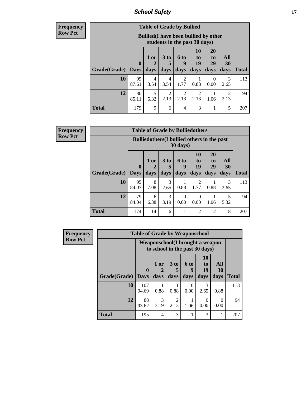*School Safety* **17**

| Frequency |  |
|-----------|--|
| Row Pct   |  |

| <b>Table of Grade by Bullied</b> |             |                                                                               |                              |                        |                        |                        |                          |              |  |  |
|----------------------------------|-------------|-------------------------------------------------------------------------------|------------------------------|------------------------|------------------------|------------------------|--------------------------|--------------|--|--|
|                                  |             | <b>Bullied</b> (I have been bullied by other<br>students in the past 30 days) |                              |                        |                        |                        |                          |              |  |  |
| Grade(Grade)   Days              | $\mathbf 0$ | $1$ or<br>days                                                                | 3 <sub>to</sub><br>5<br>days | 6 to<br>q<br>days      | 10<br>to<br>19<br>days | 20<br>to<br>29<br>days | <b>All</b><br>30<br>days | <b>Total</b> |  |  |
| 10                               | 99<br>87.61 | 4<br>3.54                                                                     | 4<br>3.54                    | $\mathfrak{D}$<br>1.77 | 0.88                   | $\Omega$<br>0.00       | 3<br>2.65                | 113          |  |  |
| 12                               | 80<br>85.11 | 5<br>5.32                                                                     | $\overline{2}$<br>2.13       | 2<br>2.13              | $\mathfrak{D}$<br>2.13 | 1.06                   | າ<br>2.13                | 94           |  |  |
| <b>Total</b>                     | 179         | 9                                                                             | 6                            | 4                      | 3                      |                        | 5                        | 207          |  |  |

| Frequency      | <b>Table of Grade by Bulliedothers</b> |                                                                         |             |           |                  |                        |                |           |              |  |  |
|----------------|----------------------------------------|-------------------------------------------------------------------------|-------------|-----------|------------------|------------------------|----------------|-----------|--------------|--|--|
| <b>Row Pct</b> |                                        | <b>Bulliedothers</b> (I bullied others in the past<br>$30 \text{ days}$ |             |           |                  |                        |                |           |              |  |  |
|                |                                        | $\mathbf{0}$                                                            | $1$ or<br>2 | 3 to      | 6 to<br>9        | 10<br>to<br>19         | 20<br>to<br>29 | All<br>30 |              |  |  |
|                | Grade(Grade)                           | <b>Days</b>                                                             | days        | days      | days             | days                   | days           | days      | <b>Total</b> |  |  |
|                | 10                                     | 95<br>84.07                                                             | 8<br>7.08   | 3<br>2.65 | 0.88             | $\mathfrak{D}$<br>1.77 | 0.88           | 3<br>2.65 | 113          |  |  |
|                | 12                                     | 79<br>84.04                                                             | 6<br>6.38   | 3<br>3.19 | $\Omega$<br>0.00 | 0<br>0.00              | 1.06           | 5<br>5.32 | 94           |  |  |
|                | <b>Total</b>                           | 174                                                                     | 14          | 6         | 1                | $\overline{2}$         | $\overline{2}$ | 8         | 207          |  |  |

| <b>Frequency</b> | <b>Table of Grade by Weaponschool</b> |              |                                                                   |                                     |                  |                                   |                  |              |  |
|------------------|---------------------------------------|--------------|-------------------------------------------------------------------|-------------------------------------|------------------|-----------------------------------|------------------|--------------|--|
| <b>Row Pct</b>   |                                       |              | Weaponschool(I brought a weapon<br>to school in the past 30 days) |                                     |                  |                                   |                  |              |  |
|                  |                                       | $\mathbf{0}$ | 1 or                                                              | 3 to                                | 6 to<br>9        | <b>10</b><br>t <sub>0</sub><br>19 | All<br>30        |              |  |
|                  | Grade(Grade)                          | <b>Days</b>  | days                                                              | days                                | days             | days                              | days             | <b>Total</b> |  |
|                  | 10                                    | 107<br>94.69 | 0.88                                                              | 0.88                                | $\Omega$<br>0.00 | 3<br>2.65                         | 0.88             | 113          |  |
|                  | 12                                    | 88<br>93.62  | $\mathcal{R}$<br>3.19                                             | $\mathcal{D}_{\mathcal{A}}$<br>2.13 | 1.06             | 0<br>0.00                         | $\Omega$<br>0.00 | 94           |  |
|                  | <b>Total</b>                          | 195          | $\overline{4}$                                                    | 3                                   |                  | 3                                 |                  | 207          |  |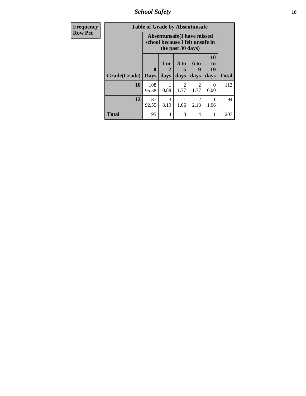*School Safety* **18**

| <b>Frequency</b> | <b>Table of Grade by Absentunsafe</b> |                                                                      |                          |                       |                        |                        |              |  |  |  |
|------------------|---------------------------------------|----------------------------------------------------------------------|--------------------------|-----------------------|------------------------|------------------------|--------------|--|--|--|
| <b>Row Pct</b>   |                                       | <b>Absentunsafe(I have missed</b><br>school because I felt unsafe in |                          |                       |                        |                        |              |  |  |  |
|                  | Grade(Grade)                          | 0<br><b>Days</b>                                                     | 1 or<br>2<br>days        | 3 to<br>5<br>days     | 6 to<br>9<br>days      | 10<br>to<br>19<br>days | <b>Total</b> |  |  |  |
|                  | 10                                    | 108<br>95.58                                                         | 0.88                     | $\mathcal{D}$<br>1.77 | $\mathfrak{D}$<br>1.77 | 0<br>0.00              | 113          |  |  |  |
|                  | 12                                    | 87<br>92.55                                                          | 3<br>3.19                | 1.06                  | $\mathfrak{D}$<br>2.13 | 1.06                   | 94           |  |  |  |
|                  | <b>Total</b>                          | 195                                                                  | $\overline{\mathcal{A}}$ | 3                     | 4                      |                        | 207          |  |  |  |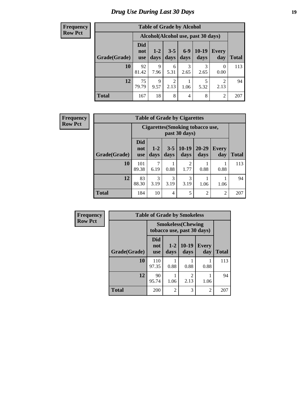# *Drug Use During Last 30 Days* **19**

#### **Frequency Row Pct**

|              | <b>Table of Grade by Alcohol</b> |                                    |                        |               |                 |                  |              |  |  |  |  |
|--------------|----------------------------------|------------------------------------|------------------------|---------------|-----------------|------------------|--------------|--|--|--|--|
|              |                                  | Alcohol(Alcohol use, past 30 days) |                        |               |                 |                  |              |  |  |  |  |
| Grade(Grade) | <b>Did</b><br>not<br><b>use</b>  | $1 - 2$<br>days                    | $3 - 5$<br>days        | $6-9$<br>days | $10-19$<br>days | Every<br>day     | <b>Total</b> |  |  |  |  |
| 10           | 92<br>81.42                      | 9<br>7.96                          | 6<br>5.31              | 3<br>2.65     | 3<br>2.65       | $\theta$<br>0.00 | 113          |  |  |  |  |
| 12           | 75<br>79.79                      | 9<br>9.57                          | $\overline{c}$<br>2.13 | 1.06          | 5<br>5.32       | 2<br>2.13        | 94           |  |  |  |  |
| <b>Total</b> | 167                              | 18                                 | 8                      | 4             | 8               | $\overline{2}$   | 207          |  |  |  |  |

#### **Frequency Row Pct**

| <b>Table of Grade by Cigarettes</b> |                                                          |                 |                 |                 |                   |                     |       |  |  |
|-------------------------------------|----------------------------------------------------------|-----------------|-----------------|-----------------|-------------------|---------------------|-------|--|--|
|                                     | <b>Cigarettes</b> (Smoking tobacco use,<br>past 30 days) |                 |                 |                 |                   |                     |       |  |  |
| Grade(Grade)                        | <b>Did</b><br>not<br><b>use</b>                          | $1 - 2$<br>days | $3 - 5$<br>days | $10-19$<br>days | $20 - 29$<br>days | <b>Every</b><br>day | Total |  |  |
| 10                                  | 101<br>89.38                                             | 6.19            | 0.88            | 2<br>1.77       | 0.88              | 0.88                | 113   |  |  |
| 12                                  | 83<br>88.30                                              | 3<br>3.19       | 3<br>3.19       | 3<br>3.19       | 1.06              | 1.06                | 94    |  |  |
| <b>Total</b>                        | 184                                                      | 10              | $\overline{4}$  | 5               | $\overline{2}$    | 2                   | 207   |  |  |

| Frequency      | <b>Table of Grade by Smokeless</b> |                          |                                                         |                        |                     |              |  |  |  |  |
|----------------|------------------------------------|--------------------------|---------------------------------------------------------|------------------------|---------------------|--------------|--|--|--|--|
| <b>Row Pct</b> |                                    |                          | <b>Smokeless</b> (Chewing<br>tobacco use, past 30 days) |                        |                     |              |  |  |  |  |
|                | Grade(Grade)                       | Did<br>not<br><b>use</b> | $1 - 2$<br>days                                         | $10-19$<br>days        | <b>Every</b><br>day | <b>Total</b> |  |  |  |  |
|                | 10                                 | 110<br>97.35             | 0.88                                                    | 0.88                   | 0.88                | 113          |  |  |  |  |
|                | 12                                 | 90<br>95.74              | 1.06                                                    | $\mathfrak{D}$<br>2.13 | 1.06                | 94           |  |  |  |  |
|                | <b>Total</b>                       | 200                      | $\mathfrak{D}$                                          | 3                      | $\overline{c}$      | 207          |  |  |  |  |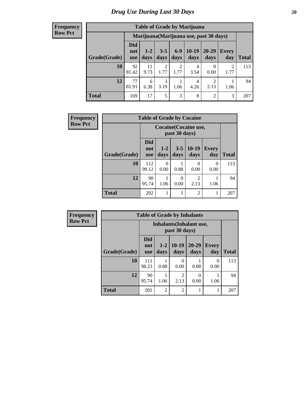#### **Frequency Row Pct**

| <b>Table of Grade by Marijuana</b> |                          |                                         |                 |               |                 |                        |              |       |  |
|------------------------------------|--------------------------|-----------------------------------------|-----------------|---------------|-----------------|------------------------|--------------|-------|--|
|                                    |                          | Marijuana (Marijuana use, past 30 days) |                 |               |                 |                        |              |       |  |
| Grade(Grade)                       | Did<br>not<br><b>use</b> | $1-2$<br>days                           | $3 - 5$<br>days | $6-9$<br>days | $10-19$<br>days | $20 - 29$<br>days      | Every<br>day | Total |  |
| 10                                 | 92<br>81.42              | 11<br>9.73                              | 2<br>1.77       | 2<br>1.77     | 4<br>3.54       | 0<br>0.00              | 2<br>1.77    | 113   |  |
| 12                                 | 77<br>81.91              | 6<br>6.38                               | 3<br>3.19       | 1.06          | 4<br>4.26       | $\overline{2}$<br>2.13 | 1.06         | 94    |  |
| <b>Total</b>                       | 169                      | 17                                      | 5               | 3             | 8               | 2                      | 3            | 207   |  |

| Frequency      |              | <b>Table of Grade by Cocaine</b> |                                        |                 |                 |                     |              |
|----------------|--------------|----------------------------------|----------------------------------------|-----------------|-----------------|---------------------|--------------|
| <b>Row Pct</b> |              |                                  | Cocaine (Cocaine use,<br>past 30 days) |                 |                 |                     |              |
|                | Grade(Grade) | <b>Did</b><br>not<br><b>use</b>  | $1 - 2$<br>days                        | $3 - 5$<br>days | $10-19$<br>days | <b>Every</b><br>day | <b>Total</b> |
|                | 10           | 112<br>99.12                     | 0<br>0.00                              | 0.88            | 0<br>0.00       | $\Omega$<br>0.00    | 113          |
|                | 12           | 90<br>95.74                      | 1.06                                   | 0<br>0.00       | 2<br>2.13       | 1.06                | 94           |
|                | <b>Total</b> | 202                              |                                        |                 | $\overline{2}$  |                     | 207          |

| <b>Frequency</b> | <b>Table of Grade by Inhalants</b> |                                 |                                                  |                        |                   |                     |              |  |
|------------------|------------------------------------|---------------------------------|--------------------------------------------------|------------------------|-------------------|---------------------|--------------|--|
| <b>Row Pct</b>   |                                    |                                 | <b>Inhalants</b> (Inhalant use,<br>past 30 days) |                        |                   |                     |              |  |
|                  | Grade(Grade)                       | <b>Did</b><br>not<br><b>use</b> | $1-2$<br>days                                    | $10-19$<br>days        | $20 - 29$<br>days | <b>Every</b><br>day | <b>Total</b> |  |
|                  | 10                                 | 111<br>98.23                    | 0.88                                             | 0<br>0.00              | 0.88              | 0<br>0.00           | 113          |  |
|                  | 12                                 | 90<br>95.74                     | 1.06                                             | $\overline{c}$<br>2.13 | 0<br>0.00         | 1.06                | 94           |  |
|                  | <b>Total</b>                       | 201                             | $\overline{2}$                                   | $\overline{c}$         |                   |                     | 207          |  |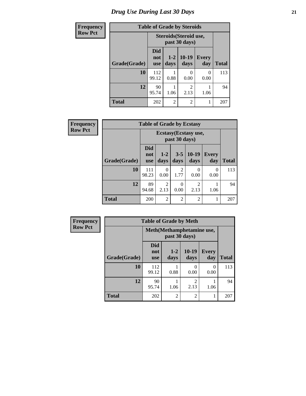# *Drug Use During Last 30 Days* **21**

| <b>Frequency</b> | <b>Table of Grade by Steroids</b> |                          |                                                |                        |                     |              |  |
|------------------|-----------------------------------|--------------------------|------------------------------------------------|------------------------|---------------------|--------------|--|
| <b>Row Pct</b>   |                                   |                          | <b>Steroids</b> (Steroid use,<br>past 30 days) |                        |                     |              |  |
|                  | Grade(Grade)                      | Did<br>not<br><b>use</b> | $1 - 2$<br>days                                | $10-19$<br>days        | <b>Every</b><br>day | <b>Total</b> |  |
|                  | 10                                | 112<br>99.12             | 0.88                                           | 0<br>0.00              | 0<br>0.00           | 113          |  |
|                  | 12                                | 90<br>95.74              | 1.06                                           | $\mathfrak{D}$<br>2.13 | 1.06                | 94           |  |
|                  | <b>Total</b>                      | 202                      | $\mathfrak{D}$                                 | $\overline{2}$         | 1                   | 207          |  |

| Frequency      |              | <b>Table of Grade by Ecstasy</b> |                |                  |                        |                  |              |  |
|----------------|--------------|----------------------------------|----------------|------------------|------------------------|------------------|--------------|--|
| <b>Row Pct</b> |              |                                  |                | past 30 days)    | Ecstasy (Ecstasy use,  |                  |              |  |
|                | Grade(Grade) | <b>Did</b><br>not<br><b>use</b>  | $1-2$<br>days  | $3 - 5$<br>days  | $10-19$<br>days        | Every<br>day     | <b>Total</b> |  |
|                | 10           | 111<br>98.23                     | 0<br>0.00      | 2<br>1.77        | 0<br>0.00              | $\Omega$<br>0.00 | 113          |  |
|                | 12           | 89<br>94.68                      | 2<br>2.13      | $\Omega$<br>0.00 | $\overline{2}$<br>2.13 | 1.06             | 94           |  |
|                | <b>Total</b> | 200                              | $\overline{2}$ | 2                | $\overline{c}$         | 1                | 207          |  |

| <b>Frequency</b> | <b>Table of Grade by Meth</b> |                                 |                                             |                        |                     |              |
|------------------|-------------------------------|---------------------------------|---------------------------------------------|------------------------|---------------------|--------------|
| <b>Row Pct</b>   |                               |                                 | Meth (Methamphetamine use,<br>past 30 days) |                        |                     |              |
|                  | Grade(Grade)                  | <b>Did</b><br>not<br><b>use</b> | $1-2$<br>days                               | $10-19$<br>days        | <b>Every</b><br>day | <b>Total</b> |
|                  | 10                            | 112<br>99.12                    | 0.88                                        | 0<br>0.00              | 0<br>0.00           | 113          |
|                  | 12                            | 90<br>95.74                     | 1.06                                        | $\overline{2}$<br>2.13 | 1.06                | 94           |
|                  | <b>Total</b>                  | 202                             | $\overline{2}$                              | $\overline{c}$         |                     | 207          |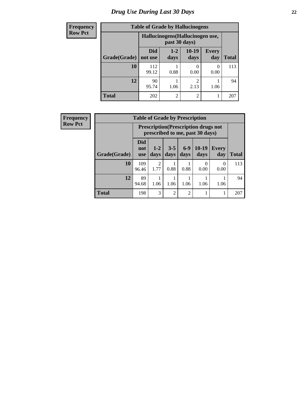# *Drug Use During Last 30 Days* **22**

| <b>Frequency</b> | <b>Table of Grade by Hallucinogens</b> |                |                                                   |                        |                     |              |  |  |
|------------------|----------------------------------------|----------------|---------------------------------------------------|------------------------|---------------------|--------------|--|--|
| <b>Row Pct</b>   |                                        |                | Hallucinogens (Hallucinogen use,<br>past 30 days) |                        |                     |              |  |  |
|                  | Grade(Grade)                           | Did<br>not use | $1-2$<br>days                                     | $10-19$<br>days        | <b>Every</b><br>day | <b>Total</b> |  |  |
|                  | 10                                     | 112<br>99.12   | 0.88                                              | $\mathcal{O}$<br>0.00  | 0<br>0.00           | 113          |  |  |
|                  | 12                                     | 90<br>95.74    | 1.06                                              | $\mathfrak{D}$<br>2.13 | 1.06                | 94           |  |  |
|                  | <b>Total</b>                           | 202            | $\overline{2}$                                    | $\mathfrak{D}$         |                     | 207          |  |  |

| Frequency | <b>Table of Grade by Prescription</b> |                                 |                        |               |                |                                                                                |                     |              |
|-----------|---------------------------------------|---------------------------------|------------------------|---------------|----------------|--------------------------------------------------------------------------------|---------------------|--------------|
| Row Pct   |                                       |                                 |                        |               |                | <b>Prescription</b> (Prescription drugs not<br>prescribed to me, past 30 days) |                     |              |
|           | Grade(Grade)                          | <b>Did</b><br>not<br><b>use</b> | $1 - 2$<br>days        | $3-5$<br>days | $6-9$<br>days  | $10-19$<br>days                                                                | <b>Every</b><br>day | <b>Total</b> |
|           | 10                                    | 109<br>96.46                    | $\overline{2}$<br>1.77 | 0.88          | 0.88           | $\Omega$<br>0.00                                                               | $\Omega$<br>0.00    | 113          |
|           | 12                                    | 89<br>94.68                     | 1.06                   | 1.06          | 1.06           | 1.06                                                                           | 1.06                | 94           |
|           | <b>Total</b>                          | 198                             | 3                      | 2             | $\overline{2}$ |                                                                                | 1                   | 207          |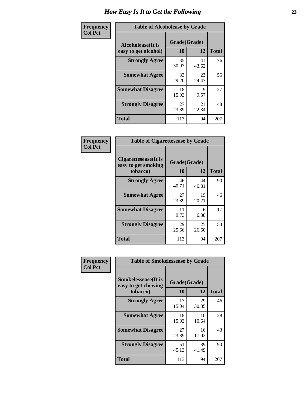| Frequency      | <b>Table of Alcoholease by Grade</b>              |                    |             |              |  |  |  |  |
|----------------|---------------------------------------------------|--------------------|-------------|--------------|--|--|--|--|
| <b>Col Pct</b> | <b>Alcoholease</b> (It is<br>easy to get alcohol) | Grade(Grade)<br>10 | 12          | <b>Total</b> |  |  |  |  |
|                | <b>Strongly Agree</b>                             | 35<br>30.97        | 41<br>43.62 | 76           |  |  |  |  |
|                | <b>Somewhat Agree</b>                             | 33<br>29.20        | 23<br>24.47 | 56           |  |  |  |  |
|                | <b>Somewhat Disagree</b>                          | 18<br>15.93        | 9<br>9.57   | 27           |  |  |  |  |
|                | <b>Strongly Disagree</b>                          | 27<br>23.89        | 21<br>22.34 | 48           |  |  |  |  |
|                | <b>Total</b>                                      | 113                | 94          | 207          |  |  |  |  |

| Frequency      | <b>Table of Cigarettesease by Grade</b>      |              |             |
|----------------|----------------------------------------------|--------------|-------------|
| <b>Col Pct</b> | Cigarettesease (It is<br>easy to get smoking | Grade(Grade) |             |
|                | tobacco)                                     | 10           | 12          |
|                | <b>Strongly Agree</b>                        | 46<br>40.71  | 44<br>46.81 |
|                | <b>Somewhat Agree</b>                        | 27<br>23.89  | 19<br>20.21 |
|                |                                              |              |             |

┑ л

|                | <b>Strongly Disagree</b>               | 29<br>25.66  | 25<br>26.60 | 54           |
|----------------|----------------------------------------|--------------|-------------|--------------|
|                | <b>Total</b>                           | 113          | 94          | 207          |
|                |                                        |              |             |              |
| Frequency      | <b>Table of Smokelessease by Grade</b> |              |             |              |
| <b>Col Pct</b> |                                        |              |             |              |
|                | <b>Smokelessease</b> (It is            | Grade(Grade) |             |              |
|                |                                        |              |             |              |
|                | easy to get chewing<br>tobacco)        | 10           | 12          | <b>Total</b> |
|                | <b>Strongly Agree</b>                  | 17<br>15.04  | 29<br>30.85 | 46           |
|                | <b>Somewhat Agree</b>                  | 18<br>15.93  | 10<br>10.64 | 28           |

**Strongly Disagree** 51

23.89

45.13

**Total** 113 94 207

17.02

39 41.49 90

**Somewhat Disagree**  $\frac{11}{9.73}$ **Strongly Disagree** 29

**10 12 Total**

90

46

17

> 6 6.38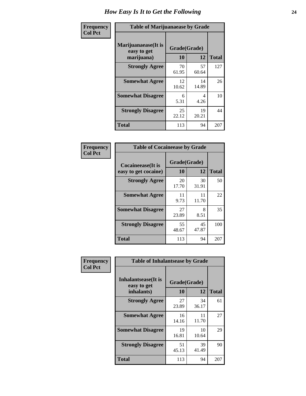| Frequency      | <b>Table of Marijuanaease by Grade</b>           |                           |             |              |  |  |  |
|----------------|--------------------------------------------------|---------------------------|-------------|--------------|--|--|--|
| <b>Col Pct</b> | Marijuanaease(It is<br>easy to get<br>marijuana) | Grade(Grade)<br><b>10</b> | 12          | <b>Total</b> |  |  |  |
|                | <b>Strongly Agree</b>                            | 70<br>61.95               | 57<br>60.64 | 127          |  |  |  |
|                | <b>Somewhat Agree</b>                            | 12<br>10.62               | 14<br>14.89 | 26           |  |  |  |
|                | <b>Somewhat Disagree</b>                         | 6<br>5.31                 | 4<br>4.26   | 10           |  |  |  |
|                | <b>Strongly Disagree</b>                         | 25<br>22.12               | 19<br>20.21 | 44           |  |  |  |
|                | <b>Total</b>                                     | 113                       | 94          | 207          |  |  |  |

| <b>Table of Cocaineease by Grade</b>              |                    |             |              |  |  |  |  |  |  |  |
|---------------------------------------------------|--------------------|-------------|--------------|--|--|--|--|--|--|--|
| <b>Cocaineease</b> (It is<br>easy to get cocaine) | Grade(Grade)<br>10 | 12          | <b>Total</b> |  |  |  |  |  |  |  |
| <b>Strongly Agree</b>                             | 20<br>17.70        | 30<br>31.91 | 50           |  |  |  |  |  |  |  |
| <b>Somewhat Agree</b>                             | 11<br>9.73         | 11<br>11.70 | 22           |  |  |  |  |  |  |  |
| <b>Somewhat Disagree</b>                          | 27<br>23.89        | 8<br>8.51   | 35           |  |  |  |  |  |  |  |
| <b>Strongly Disagree</b>                          | 55<br>48.67        | 45<br>47.87 | 100          |  |  |  |  |  |  |  |
| <b>Total</b>                                      | 113                | 94          | 207          |  |  |  |  |  |  |  |

| Frequency      | <b>Table of Inhalantsease by Grade</b>                   |                    |             |              |  |  |  |  |  |
|----------------|----------------------------------------------------------|--------------------|-------------|--------------|--|--|--|--|--|
| <b>Col Pct</b> | <b>Inhalantsease</b> (It is<br>easy to get<br>inhalants) | Grade(Grade)<br>10 | 12          | <b>Total</b> |  |  |  |  |  |
|                | <b>Strongly Agree</b>                                    | 27<br>23.89        | 34<br>36.17 | 61           |  |  |  |  |  |
|                | <b>Somewhat Agree</b>                                    | 16<br>14.16        | 11<br>11.70 | 27           |  |  |  |  |  |
|                | <b>Somewhat Disagree</b>                                 | 19<br>16.81        | 10<br>10.64 | 29           |  |  |  |  |  |
|                | <b>Strongly Disagree</b>                                 | 51<br>45.13        | 39<br>41.49 | 90           |  |  |  |  |  |
|                | <b>Total</b>                                             | 113                | 94          | 207          |  |  |  |  |  |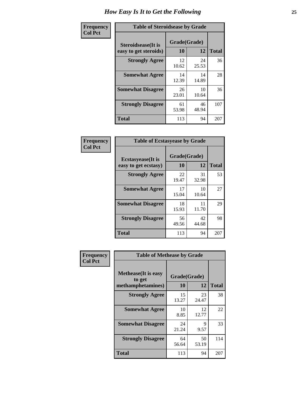| Frequency      | <b>Table of Steroidsease by Grade</b>               |                    |             |              |  |  |  |  |  |  |
|----------------|-----------------------------------------------------|--------------------|-------------|--------------|--|--|--|--|--|--|
| <b>Col Pct</b> | <b>Steroidsease</b> (It is<br>easy to get steroids) | Grade(Grade)<br>10 | 12          | <b>Total</b> |  |  |  |  |  |  |
|                | <b>Strongly Agree</b>                               | 12<br>10.62        | 24<br>25.53 | 36           |  |  |  |  |  |  |
|                | <b>Somewhat Agree</b>                               | 14<br>12.39        | 14<br>14.89 | 28           |  |  |  |  |  |  |
|                | <b>Somewhat Disagree</b>                            | 26<br>23.01        | 10<br>10.64 | 36           |  |  |  |  |  |  |
|                | <b>Strongly Disagree</b>                            | 61<br>53.98        | 46<br>48.94 | 107          |  |  |  |  |  |  |
|                | <b>Total</b>                                        | 113                | 94          | 207          |  |  |  |  |  |  |

| Frequency      | <b>Table of Ecstasyease by Grade</b>              |                    |             |              |  |  |  |  |  |
|----------------|---------------------------------------------------|--------------------|-------------|--------------|--|--|--|--|--|
| <b>Col Pct</b> | <b>Ecstasyease</b> (It is<br>easy to get ecstasy) | Grade(Grade)<br>10 | 12          | <b>Total</b> |  |  |  |  |  |
|                | <b>Strongly Agree</b>                             | 22<br>19.47        | 31<br>32.98 | 53           |  |  |  |  |  |
|                | <b>Somewhat Agree</b>                             | 17<br>15.04        | 10<br>10.64 | 27           |  |  |  |  |  |
|                | <b>Somewhat Disagree</b>                          | 18<br>15.93        | 11<br>11.70 | 29           |  |  |  |  |  |
|                | <b>Strongly Disagree</b>                          | 56<br>49.56        | 42<br>44.68 | 98           |  |  |  |  |  |
|                | Total                                             | 113                | 94          | 207          |  |  |  |  |  |

| Frequency      | <b>Table of Methease by Grade</b>                          |                    |             |              |
|----------------|------------------------------------------------------------|--------------------|-------------|--------------|
| <b>Col Pct</b> | <b>Methease</b> (It is easy<br>to get<br>methamphetamines) | Grade(Grade)<br>10 | 12          | <b>Total</b> |
|                | <b>Strongly Agree</b>                                      | 15<br>13.27        | 23<br>24.47 | 38           |
|                | <b>Somewhat Agree</b>                                      | 10<br>8.85         | 12<br>12.77 | 22           |
|                | <b>Somewhat Disagree</b>                                   | 24<br>21.24        | 9<br>9.57   | 33           |
|                | <b>Strongly Disagree</b>                                   | 64<br>56.64        | 50<br>53.19 | 114          |
|                | Total                                                      | 113                | 94          | 207          |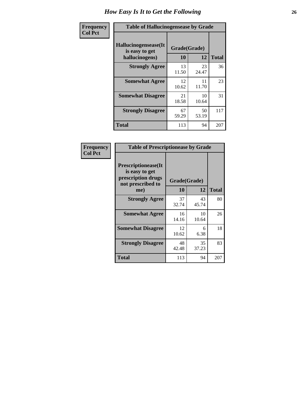| <b>Frequency</b> | <b>Table of Hallucinogensease by Grade</b>               |                    |             |              |  |  |  |  |  |
|------------------|----------------------------------------------------------|--------------------|-------------|--------------|--|--|--|--|--|
| <b>Col Pct</b>   | Hallucinogensease(It<br>is easy to get<br>hallucinogens) | Grade(Grade)<br>10 | 12          | <b>Total</b> |  |  |  |  |  |
|                  | <b>Strongly Agree</b>                                    | 13<br>11.50        | 23<br>24.47 | 36           |  |  |  |  |  |
|                  | <b>Somewhat Agree</b>                                    | 12<br>10.62        | 11<br>11.70 | 23           |  |  |  |  |  |
|                  | <b>Somewhat Disagree</b>                                 | 21<br>18.58        | 10<br>10.64 | 31           |  |  |  |  |  |
|                  | <b>Strongly Disagree</b>                                 | 67<br>59.29        | 50<br>53.19 | 117          |  |  |  |  |  |
|                  | <b>Total</b>                                             | 113                | 94          | 207          |  |  |  |  |  |

| <b>Frequency</b><br>Col Pct |
|-----------------------------|
|                             |

| <b>Table of Prescriptionease by Grade</b>                                                |              |             |              |  |  |  |  |  |  |
|------------------------------------------------------------------------------------------|--------------|-------------|--------------|--|--|--|--|--|--|
| <b>Prescriptionease</b> (It<br>is easy to get<br>prescription drugs<br>not prescribed to | Grade(Grade) |             |              |  |  |  |  |  |  |
| me)                                                                                      | 10           | 12          | <b>Total</b> |  |  |  |  |  |  |
| <b>Strongly Agree</b>                                                                    | 37<br>32.74  | 43<br>45.74 | 80           |  |  |  |  |  |  |
| <b>Somewhat Agree</b>                                                                    | 16<br>14.16  | 10<br>10.64 | 26           |  |  |  |  |  |  |
| <b>Somewhat Disagree</b>                                                                 | 12<br>10.62  | 6<br>6.38   | 18           |  |  |  |  |  |  |
| <b>Strongly Disagree</b>                                                                 | 48<br>42.48  | 35<br>37.23 | 83           |  |  |  |  |  |  |
| Total                                                                                    | 113          | 94          | 207          |  |  |  |  |  |  |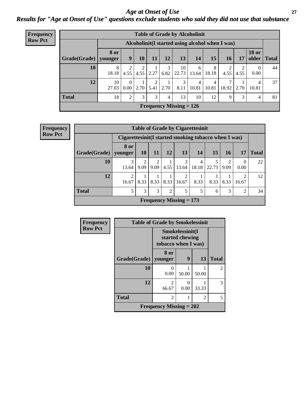### *Age at Onset of Use* **27** *Results for "Age at Onset of Use" questions exclude students who said they did not use that substance*

| Frequency      | <b>Table of Grade by Alcoholinit</b> |                        |                  |           |           |      |                                                  |            |            |            |                |                       |              |
|----------------|--------------------------------------|------------------------|------------------|-----------|-----------|------|--------------------------------------------------|------------|------------|------------|----------------|-----------------------|--------------|
| <b>Row Pct</b> |                                      |                        |                  |           |           |      | Alcoholinit (I started using alcohol when I was) |            |            |            |                |                       |              |
|                | Grade(Grade)                         | <b>8 or</b><br>vounger | 9                | <b>10</b> | 11        | 12   | 13                                               | 14         | 15         | 16         | 17             | <b>18 or</b><br>older | <b>Total</b> |
|                | 10                                   | 8<br>18.18             | 2<br>4.55        | 2<br>4.55 | 2.27      |      | 10<br>$6.82$   22.73                             | 6<br>13.64 | 8<br>18.18 | 2<br>4.55  | 4.55           | $\theta$<br>0.00      | 44           |
|                | 12                                   | 10<br>27.03            | $\theta$<br>0.00 | 2.70      | 2<br>5.41 | 2.70 | 3<br>8.11                                        | 4<br>10.81 | 4<br>10.81 | 7<br>18.92 | 2.70           | 4<br>10.81            | 37           |
|                | <b>Total</b>                         | 18                     | $\overline{c}$   | 3         | 3         | 4    | 13                                               | 10         | 12         | 9          | 3 <sub>1</sub> | 4                     | 81           |
|                |                                      |                        |                  |           |           |      | Frequency Missing $= 126$                        |            |            |            |                |                       |              |

| <b>Frequency</b> | <b>Table of Grade by Cigarettesinit</b> |                                                       |                        |                        |                |                           |            |           |      |                |              |
|------------------|-----------------------------------------|-------------------------------------------------------|------------------------|------------------------|----------------|---------------------------|------------|-----------|------|----------------|--------------|
| <b>Row Pct</b>   |                                         | Cigarettesinit (I started smoking tobacco when I was) |                        |                        |                |                           |            |           |      |                |              |
|                  | Grade(Grade)                            | 8 or<br>younger                                       | 10                     | 11                     | 12             | 13                        | 14         | <b>15</b> | 16   | 17             | <b>Total</b> |
|                  | 10                                      | 3<br>13.64                                            | $\mathfrak{D}$<br>9.09 | $\mathfrak{D}$<br>9.09 | 4.55           | 3<br>13.64                | 4<br>18.18 | 22.73     | 9.09 | 0<br>0.00      | 22           |
|                  | 12                                      | $\overline{2}$<br>16.67                               | 8.33                   | 8.33                   | 8.33           | 2<br>16.67                | 8.33       | 8.33      | 8.33 | 2<br>16.67     | 12           |
|                  | <b>Total</b>                            | 5                                                     | 3                      | 3                      | $\overline{2}$ | 5                         | 5          | 6         | 3    | $\overline{2}$ | 34           |
|                  |                                         |                                                       |                        |                        |                | Frequency Missing $= 173$ |            |           |      |                |              |

| <b>Frequency</b> |              | <b>Table of Grade by Smokelessinit</b> |                                                           |       |                |  |  |
|------------------|--------------|----------------------------------------|-----------------------------------------------------------|-------|----------------|--|--|
| <b>Row Pct</b>   |              |                                        | Smokelessinit(I<br>started chewing<br>tobacco when I was) |       |                |  |  |
|                  | Grade(Grade) | 8 or<br>younger                        | 9                                                         | 13    | <b>Total</b>   |  |  |
|                  | 10           | 0.00                                   | 50.00                                                     | 50.00 | $\mathfrak{D}$ |  |  |
|                  | 12           | $\mathfrak{D}$<br>66.67                | $\mathbf{0}$<br>0.00                                      | 33.33 | 3              |  |  |
|                  | <b>Total</b> | 2                                      |                                                           | 2     | 5              |  |  |
|                  |              | Frequency Missing $= 202$              |                                                           |       |                |  |  |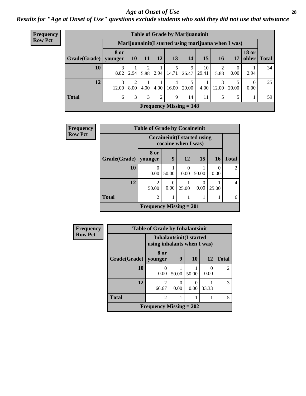#### *Age at Onset of Use* **28**

*Results for "Age at Onset of Use" questions exclude students who said they did not use that substance*

| <b>Frequency</b> | <b>Table of Grade by Marijuanainit</b> |                        |           |      |           |            |                           |             |            |                                                      |                       |              |
|------------------|----------------------------------------|------------------------|-----------|------|-----------|------------|---------------------------|-------------|------------|------------------------------------------------------|-----------------------|--------------|
| <b>Row Pct</b>   |                                        |                        |           |      |           |            |                           |             |            | Marijuanainit (I started using marijuana when I was) |                       |              |
|                  | Grade(Grade)                           | <b>8 or</b><br>younger | <b>10</b> | 11   | <b>12</b> | 13         | 14                        | 15          | <b>16</b>  | 17                                                   | <b>18 or</b><br>older | <b>Total</b> |
|                  | 10                                     | 8.82                   | 2.94      | 5.88 | 2.94      | 5<br>14.71 | 9<br>26.47                | 10<br>29.41 | 5.88       | $\theta$<br>0.00                                     | 2.94                  | 34           |
|                  | 12                                     | 3<br>12.00             | ∍<br>8.00 | 4.00 | 4.00      | 4<br>16.00 | 20.00                     | 4.00        | 3<br>12.00 | 20.00                                                | $\Omega$<br>0.00      | 25           |
|                  | <b>Total</b>                           | 6                      | 3         | 3    | 2         | 9          | 14                        | 11          |            |                                                      |                       | 59           |
|                  |                                        |                        |           |      |           |            | Frequency Missing $= 148$ |             |            |                                                      |                       |              |

| Frequency      | <b>Table of Grade by Cocaineinit</b> |                                      |                                                            |                  |       |                  |                |  |
|----------------|--------------------------------------|--------------------------------------|------------------------------------------------------------|------------------|-------|------------------|----------------|--|
| <b>Row Pct</b> |                                      |                                      | <b>Cocaineinit</b> (I started using<br>cocaine when I was) |                  |       |                  |                |  |
|                | Grade(Grade)                         | 8 or<br>vounger                      | 9                                                          | <b>12</b>        | 15    | <b>16</b>        | <b>Total</b>   |  |
|                | 10                                   | 0<br>0.00                            | 50.00                                                      | $\Omega$<br>0.00 | 50.00 | $\theta$<br>0.00 | $\mathfrak{D}$ |  |
|                | 12                                   | $\mathcal{D}_{\mathcal{A}}$<br>50.00 | 0.00                                                       | 25.00            | 0.00  | 25.00            | 4              |  |
|                | <b>Total</b>                         | $\overline{2}$                       |                                                            |                  |       |                  | 6              |  |
|                |                                      | <b>Frequency Missing = 201</b>       |                                                            |                  |       |                  |                |  |

| <b>Frequency</b> | <b>Table of Grade by Inhalantsinit</b> |                                                               |       |       |       |                |  |  |  |
|------------------|----------------------------------------|---------------------------------------------------------------|-------|-------|-------|----------------|--|--|--|
| <b>Row Pct</b>   |                                        | <b>Inhalantsinit(I started</b><br>using inhalants when I was) |       |       |       |                |  |  |  |
|                  | Grade(Grade)                           | 8 or<br>younger                                               | 9     | 10    | 12    | <b>Total</b>   |  |  |  |
|                  | 10                                     | 0.00                                                          | 50.00 | 50.00 | 0.00  | $\overline{c}$ |  |  |  |
|                  | 12                                     | $\mathfrak{D}$<br>66.67                                       | 0.00  | 0.00  | 33.33 | 3              |  |  |  |
|                  | <b>Total</b>                           | $\overline{2}$                                                |       |       |       | 5              |  |  |  |
|                  | Frequency Missing $= 202$              |                                                               |       |       |       |                |  |  |  |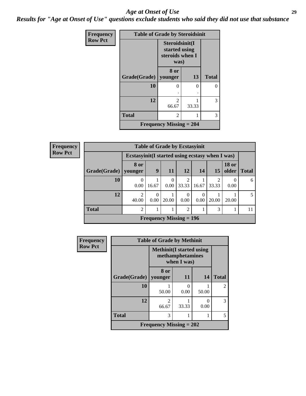#### *Age at Onset of Use* **29**

*Results for "Age at Onset of Use" questions exclude students who said they did not use that substance*

| Frequency      | <b>Table of Grade by Steroidsinit</b> |                                                            |       |              |  |  |
|----------------|---------------------------------------|------------------------------------------------------------|-------|--------------|--|--|
| <b>Row Pct</b> |                                       | Steroidsinit(I<br>started using<br>steroids when I<br>was) |       |              |  |  |
|                | Grade(Grade)                          | 8 or<br>younger                                            | 13    | <b>Total</b> |  |  |
|                | 10                                    | 0                                                          | ∩     | 0            |  |  |
|                | 12                                    | 2<br>66.67                                                 | 33.33 | 3            |  |  |
|                | <b>Total</b>                          | 2                                                          |       | 3            |  |  |
|                |                                       | <b>Frequency Missing = 204</b>                             |       |              |  |  |

**Frequency Row Pct**

| <b>Table of Grade by Ecstasyinit</b>             |                         |       |             |                |           |       |                       |              |  |
|--------------------------------------------------|-------------------------|-------|-------------|----------------|-----------|-------|-----------------------|--------------|--|
| Ecstasyinit (I started using ecstasy when I was) |                         |       |             |                |           |       |                       |              |  |
| Grade(Grade)                                     | 8 or<br>younger         | 9     | -11         | 12             | 14        | 15    | <b>18 or</b><br>older | <b>Total</b> |  |
| 10                                               | $\theta$<br>0.00        | 16.67 | $0.00\vert$ | 2<br>33.33     | 16.67     | 33.33 | 0.00                  | 6            |  |
| 12                                               | $\mathfrak{D}$<br>40.00 | 0.00  | 20.00       | 0<br>0.00      | 0<br>0.00 | 20.00 | 20.00                 | 5            |  |
| <b>Total</b>                                     | $\overline{2}$          |       |             | $\overline{2}$ |           | 3     |                       | 11           |  |
| Frequency Missing $= 196$                        |                         |       |             |                |           |       |                       |              |  |

| Frequency      | <b>Table of Grade by Methinit</b> |                                  |                                 |                  |              |  |  |  |
|----------------|-----------------------------------|----------------------------------|---------------------------------|------------------|--------------|--|--|--|
| <b>Row Pct</b> |                                   | <b>Methinit</b> (I started using | methamphetamines<br>when I was) |                  |              |  |  |  |
|                | Grade(Grade)                      | 8 or<br>vounger                  | 11                              | 14               | <b>Total</b> |  |  |  |
|                | 10                                | 50.00                            | 0<br>0.00                       | 50.00            | 2            |  |  |  |
|                | 12                                | $\mathfrak{D}$<br>66.67          | 33.33                           | $\Omega$<br>0.00 | 3            |  |  |  |
|                | <b>Total</b>                      | 3                                |                                 |                  |              |  |  |  |
|                |                                   | <b>Frequency Missing = 202</b>   |                                 |                  |              |  |  |  |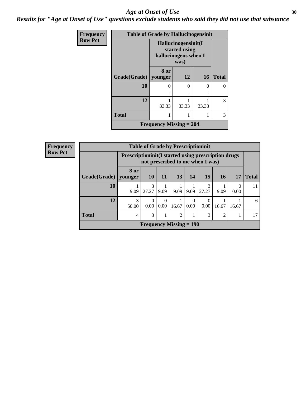#### Age at Onset of Use **30**

*Results for "Age at Onset of Use" questions exclude students who said they did not use that substance*

| <b>Frequency</b> |                                | <b>Table of Grade by Hallucinogensinit</b> |                                                                      |           |              |  |  |  |
|------------------|--------------------------------|--------------------------------------------|----------------------------------------------------------------------|-----------|--------------|--|--|--|
| <b>Row Pct</b>   |                                |                                            | Hallucinogensinit(I<br>started using<br>hallucinogens when I<br>was) |           |              |  |  |  |
|                  | Grade(Grade)                   | 8 or<br>younger                            | 12                                                                   | <b>16</b> | <b>Total</b> |  |  |  |
|                  | 10                             | 0                                          | 0                                                                    | 0         |              |  |  |  |
|                  | 12                             | 33.33                                      | 33.33                                                                | 33.33     | 3            |  |  |  |
|                  | <b>Total</b>                   |                                            |                                                                      |           | 3            |  |  |  |
|                  | <b>Frequency Missing = 204</b> |                                            |                                                                      |           |              |  |  |  |

| <b>Frequency</b> | <b>Table of Grade by Prescriptioninit</b> |                                                                                            |                           |           |           |                  |            |           |       |              |
|------------------|-------------------------------------------|--------------------------------------------------------------------------------------------|---------------------------|-----------|-----------|------------------|------------|-----------|-------|--------------|
| <b>Row Pct</b>   |                                           | Prescription in it (I started using prescription drugs<br>not prescribed to me when I was) |                           |           |           |                  |            |           |       |              |
|                  | Grade(Grade)                              | 8 or<br>younger                                                                            | <b>10</b>                 | 11        | <b>13</b> | 14               | 15         | <b>16</b> | 17    | <b>Total</b> |
|                  | 10                                        | 9.09                                                                                       | 3<br>27.27                | 9.09      | 9.09      | 9.09             | 3<br>27.27 | 9.09      | 0.00  | 11           |
|                  | 12                                        | 3<br>50.00                                                                                 | $\Omega$<br>0.00          | 0<br>0.00 | 16.67     | $\theta$<br>0.00 | 0<br>0.00  | 16.67     | 16.67 | 6            |
|                  | <b>Total</b>                              | 3<br>3<br>$\overline{2}$<br>$\mathfrak{D}$<br>4                                            |                           |           |           |                  |            |           |       | 17           |
|                  |                                           |                                                                                            | Frequency Missing $= 190$ |           |           |                  |            |           |       |              |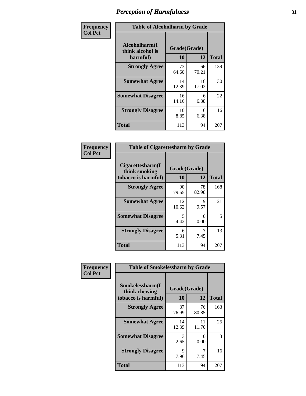| Frequency      | <b>Table of Alcoholharm by Grade</b>          |                    |             |              |  |  |
|----------------|-----------------------------------------------|--------------------|-------------|--------------|--|--|
| <b>Col Pct</b> | Alcoholharm(I<br>think alcohol is<br>harmful) | Grade(Grade)<br>10 | 12          | <b>Total</b> |  |  |
|                | <b>Strongly Agree</b>                         | 73<br>64.60        | 66<br>70.21 | 139          |  |  |
|                | <b>Somewhat Agree</b>                         | 14<br>12.39        | 16<br>17.02 | 30           |  |  |
|                | <b>Somewhat Disagree</b>                      | 16<br>14.16        | 6<br>6.38   | 22           |  |  |
|                | <b>Strongly Disagree</b>                      | 10<br>8.85         | 6<br>6.38   | 16           |  |  |
|                | <b>Total</b>                                  | 113                | 94          | 207          |  |  |

| <b>Table of Cigarettesharm by Grade</b>                  |                    |                           |              |  |  |  |  |
|----------------------------------------------------------|--------------------|---------------------------|--------------|--|--|--|--|
| Cigarettesharm(I<br>think smoking<br>tobacco is harmful) | Grade(Grade)<br>10 | 12                        | <b>Total</b> |  |  |  |  |
| <b>Strongly Agree</b>                                    | 90<br>79.65        | 78<br>82.98               | 168          |  |  |  |  |
| <b>Somewhat Agree</b>                                    | 12<br>10.62        | 9<br>9.57                 | 21           |  |  |  |  |
| <b>Somewhat Disagree</b>                                 | 5<br>4.42          | $\mathbf{\Omega}$<br>0.00 | 5            |  |  |  |  |
| <b>Strongly Disagree</b>                                 | 6<br>5.31          | 7<br>7.45                 | 13           |  |  |  |  |
| <b>Total</b>                                             | 113                | 94                        | 207          |  |  |  |  |

| Frequency      | <b>Table of Smokelessharm by Grade</b>                  |                    |             |              |  |  |  |
|----------------|---------------------------------------------------------|--------------------|-------------|--------------|--|--|--|
| <b>Col Pct</b> | Smokelessharm(I<br>think chewing<br>tobacco is harmful) | Grade(Grade)<br>10 | 12          | <b>Total</b> |  |  |  |
|                | <b>Strongly Agree</b>                                   | 87<br>76.99        | 76<br>80.85 | 163          |  |  |  |
|                | <b>Somewhat Agree</b>                                   | 14<br>12.39        | 11<br>11.70 | 25           |  |  |  |
|                | <b>Somewhat Disagree</b>                                | 3<br>2.65          | 0<br>0.00   | 3            |  |  |  |
|                | <b>Strongly Disagree</b>                                | 9<br>7.96          | 7.45        | 16           |  |  |  |
|                | <b>Total</b>                                            | 113                | 94          | 207          |  |  |  |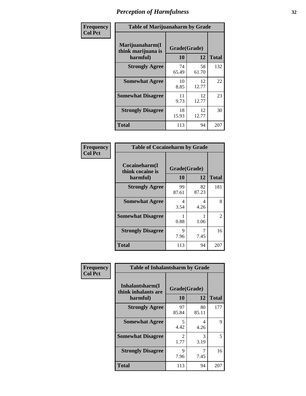| Frequency      |                                                   | <b>Table of Marijuanaharm by Grade</b> |             |              |  |  |  |
|----------------|---------------------------------------------------|----------------------------------------|-------------|--------------|--|--|--|
| <b>Col Pct</b> | Marijuanaharm(I<br>think marijuana is<br>harmful) | Grade(Grade)<br>10                     | 12          | <b>Total</b> |  |  |  |
|                | <b>Strongly Agree</b>                             | 74<br>65.49                            | 58<br>61.70 | 132          |  |  |  |
|                | <b>Somewhat Agree</b>                             | 10<br>8.85                             | 12<br>12.77 | 22           |  |  |  |
|                | <b>Somewhat Disagree</b>                          | 11<br>9.73                             | 12<br>12.77 | 23           |  |  |  |
|                | <b>Strongly Disagree</b>                          | 18<br>15.93                            | 12<br>12.77 | 30           |  |  |  |
|                | <b>Total</b>                                      | 113                                    | 94          | 207          |  |  |  |

| <b>Table of Cocaineharm by Grade</b>          |                    |             |              |  |  |  |  |
|-----------------------------------------------|--------------------|-------------|--------------|--|--|--|--|
| Cocaineharm(I<br>think cocaine is<br>harmful) | Grade(Grade)<br>10 | 12          | <b>Total</b> |  |  |  |  |
| <b>Strongly Agree</b>                         | 99<br>87.61        | 82<br>87.23 | 181          |  |  |  |  |
| <b>Somewhat Agree</b>                         | 4<br>3.54          | 4<br>4.26   | 8            |  |  |  |  |
| <b>Somewhat Disagree</b>                      | 0.88               | 1.06        | 2            |  |  |  |  |
| <b>Strongly Disagree</b>                      | 9<br>7.96          | 7<br>7.45   | 16           |  |  |  |  |
| <b>Total</b>                                  | 113                | 94          | 207          |  |  |  |  |

| Frequency      | <b>Table of Inhalantsharm by Grade</b>             |                           |             |              |
|----------------|----------------------------------------------------|---------------------------|-------------|--------------|
| <b>Col Pct</b> | Inhalantsharm(I<br>think inhalants are<br>harmful) | Grade(Grade)<br><b>10</b> | <b>12</b>   | <b>Total</b> |
|                | <b>Strongly Agree</b>                              | 97<br>85.84               | 80<br>85.11 | 177          |
|                | <b>Somewhat Agree</b>                              | 5<br>4.42                 | 4<br>4.26   | 9            |
|                | <b>Somewhat Disagree</b>                           | $\mathfrak{D}$<br>1.77    | 3<br>3.19   | 5            |
|                | <b>Strongly Disagree</b>                           | 9<br>7.96                 | 7<br>7.45   | 16           |
|                | <b>Total</b>                                       | 113                       | 94          | 207          |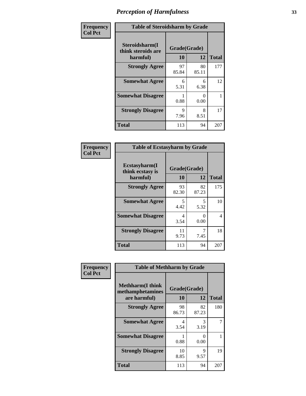| Frequency      | <b>Table of Steroidsharm by Grade</b>            |                    |             |              |
|----------------|--------------------------------------------------|--------------------|-------------|--------------|
| <b>Col Pct</b> | Steroidsharm(I<br>think steroids are<br>harmful) | Grade(Grade)<br>10 | 12          | <b>Total</b> |
|                | <b>Strongly Agree</b>                            | 97<br>85.84        | 80<br>85.11 | 177          |
|                | <b>Somewhat Agree</b>                            | 6<br>5.31          | 6<br>6.38   | 12           |
|                | <b>Somewhat Disagree</b>                         | 0.88               | 0<br>0.00   |              |
|                | <b>Strongly Disagree</b>                         | 9<br>7.96          | 8<br>8.51   | 17           |
|                | <b>Total</b>                                     | 113                | 94          | 207          |

| <b>Table of Ecstasyharm by Grade</b>          |                    |                           |     |  |  |
|-----------------------------------------------|--------------------|---------------------------|-----|--|--|
| Ecstasyharm(I<br>think ecstasy is<br>harmful) | Grade(Grade)<br>10 | <b>Total</b>              |     |  |  |
| <b>Strongly Agree</b>                         | 93<br>82.30        | 82<br>87.23               | 175 |  |  |
| <b>Somewhat Agree</b>                         | 5<br>4.42          | 5<br>5.32                 | 10  |  |  |
| <b>Somewhat Disagree</b>                      | 4<br>3.54          | $\mathbf{\Omega}$<br>0.00 | 4   |  |  |
| <b>Strongly Disagree</b>                      | 11<br>9.73         | 7<br>7.45                 | 18  |  |  |
| Total                                         | 113                | 94                        | 207 |  |  |

| Frequency      | <b>Table of Methharm by Grade</b>                            |                           |             |              |
|----------------|--------------------------------------------------------------|---------------------------|-------------|--------------|
| <b>Col Pct</b> | <b>Methharm</b> (I think<br>methamphetamines<br>are harmful) | Grade(Grade)<br><b>10</b> | 12          | <b>Total</b> |
|                | <b>Strongly Agree</b>                                        | 98<br>86.73               | 82<br>87.23 | 180          |
|                | <b>Somewhat Agree</b>                                        | 4<br>3.54                 | 3<br>3.19   |              |
|                | <b>Somewhat Disagree</b>                                     | 0.88                      | 0<br>0.00   |              |
|                | <b>Strongly Disagree</b>                                     | 10<br>8.85                | 9<br>9.57   | 19           |
|                | <b>Total</b>                                                 | 113                       | 94          | 207          |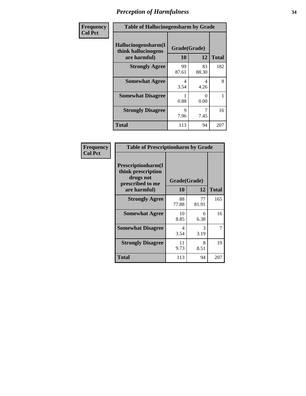| Frequency      | <b>Table of Hallucinogensharm by Grade</b>                 |                    |             |              |
|----------------|------------------------------------------------------------|--------------------|-------------|--------------|
| <b>Col Pct</b> | Hallucinogensharm(I<br>think hallucinogens<br>are harmful) | Grade(Grade)<br>10 | 12          | <b>Total</b> |
|                | <b>Strongly Agree</b>                                      | 99<br>87.61        | 83<br>88.30 | 182          |
|                | <b>Somewhat Agree</b>                                      | 4<br>3.54          | 4<br>4.26   | 8            |
|                | <b>Somewhat Disagree</b>                                   | 0.88               | 0<br>0.00   | 1            |
|                | <b>Strongly Disagree</b>                                   | 9<br>7.96          | 7.45        | 16           |
|                | <b>Total</b>                                               | 113                | 94          | 207          |

| <b>Table of Prescriptionharm by Grade</b>                                                         |                    |             |              |  |  |
|---------------------------------------------------------------------------------------------------|--------------------|-------------|--------------|--|--|
| <b>Prescriptionharm</b> (I<br>think prescription<br>drugs not<br>prescribed to me<br>are harmful) | Grade(Grade)<br>10 | 12          | <b>Total</b> |  |  |
| <b>Strongly Agree</b>                                                                             | 88<br>77.88        | 77<br>81.91 | 165          |  |  |
| <b>Somewhat Agree</b>                                                                             | 10<br>8.85         | 6<br>6.38   | 16           |  |  |
| <b>Somewhat Disagree</b>                                                                          | 4<br>3.54          | 3<br>3.19   | 7            |  |  |
| <b>Strongly Disagree</b>                                                                          | 11<br>9.73         | 8<br>8.51   | 19           |  |  |
| <b>Total</b>                                                                                      | 113                | 94          | 207          |  |  |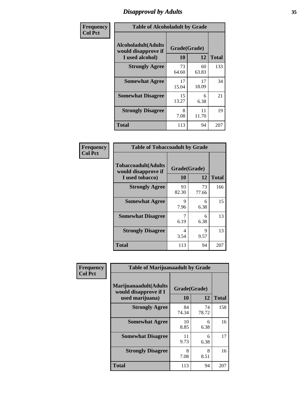# *Disapproval by Adults* **35**

| Frequency      | <b>Table of Alcoholadult by Grade</b>                                 |                    |             |              |
|----------------|-----------------------------------------------------------------------|--------------------|-------------|--------------|
| <b>Col Pct</b> | <b>Alcoholadult</b> (Adults<br>would disapprove if<br>I used alcohol) | Grade(Grade)<br>10 | 12          | <b>Total</b> |
|                | <b>Strongly Agree</b>                                                 | 73<br>64.60        | 60<br>63.83 | 133          |
|                | <b>Somewhat Agree</b>                                                 | 17<br>15.04        | 17<br>18.09 | 34           |
|                | <b>Somewhat Disagree</b>                                              | 15<br>13.27        | 6<br>6.38   | 21           |
|                | <b>Strongly Disagree</b>                                              | 8<br>7.08          | 11<br>11.70 | 19           |
|                | <b>Total</b>                                                          | 113                | 94          | 207          |

| <b>Table of Tobaccoadult by Grade</b>                                |                    |             |              |  |
|----------------------------------------------------------------------|--------------------|-------------|--------------|--|
| <b>Tobaccoadult(Adults</b><br>would disapprove if<br>I used tobacco) | Grade(Grade)<br>10 | 12          | <b>Total</b> |  |
| <b>Strongly Agree</b>                                                | 93<br>82.30        | 73<br>77.66 | 166          |  |
| <b>Somewhat Agree</b>                                                | 9<br>7.96          | 6<br>6.38   | 15           |  |
| <b>Somewhat Disagree</b>                                             | 7<br>6.19          | 6<br>6.38   | 13           |  |
| <b>Strongly Disagree</b>                                             | 4<br>3.54          | 9<br>9.57   | 13           |  |
| <b>Total</b>                                                         | 113                | 94          | 207          |  |

| Frequency      | <b>Table of Marijuanaadult by Grade</b>                           |                    |             |              |
|----------------|-------------------------------------------------------------------|--------------------|-------------|--------------|
| <b>Col Pct</b> | Marijuanaadult(Adults<br>would disapprove if I<br>used marijuana) | Grade(Grade)<br>10 | 12          | <b>Total</b> |
|                | <b>Strongly Agree</b>                                             | 84<br>74.34        | 74<br>78.72 | 158          |
|                | <b>Somewhat Agree</b>                                             | 10<br>8.85         | 6<br>6.38   | 16           |
|                | <b>Somewhat Disagree</b>                                          | 11<br>9.73         | 6<br>6.38   | 17           |
|                | <b>Strongly Disagree</b>                                          | 8<br>7.08          | 8<br>8.51   | 16           |
|                | <b>Total</b>                                                      | 113                | 94          | 207          |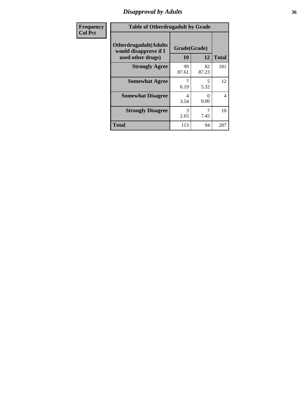# *Disapproval by Adults* **36**

| <b>Frequency</b> | <b>Table of Otherdrugadult by Grade</b>                                     |                    |             |                |
|------------------|-----------------------------------------------------------------------------|--------------------|-------------|----------------|
| <b>Col Pct</b>   | <b>Otherdrugadult</b> (Adults<br>would disapprove if I<br>used other drugs) | Grade(Grade)<br>10 | 12          | <b>Total</b>   |
|                  | <b>Strongly Agree</b>                                                       | 99<br>87.61        | 82<br>87.23 | 181            |
|                  | <b>Somewhat Agree</b>                                                       | 6.19               | 5<br>5.32   | 12             |
|                  | <b>Somewhat Disagree</b>                                                    | 4<br>3.54          | ∩<br>0.00   | $\overline{4}$ |
|                  | <b>Strongly Disagree</b>                                                    | 3<br>2.65          | 7.45        | 10             |
|                  | <b>Total</b>                                                                | 113                | 94          | 207            |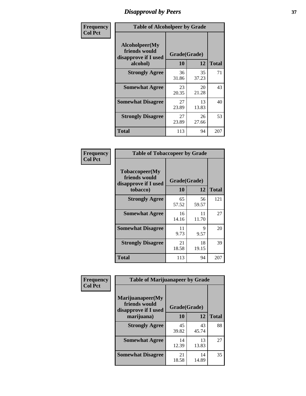# *Disapproval by Peers* **37**

| Frequency      | <b>Table of Alcoholpeer by Grade</b>                    |              |             |              |
|----------------|---------------------------------------------------------|--------------|-------------|--------------|
| <b>Col Pct</b> | Alcoholpeer(My<br>friends would<br>disapprove if I used | Grade(Grade) |             |              |
|                | alcohol)                                                | 10           | 12          | <b>Total</b> |
|                | <b>Strongly Agree</b>                                   | 36<br>31.86  | 35<br>37.23 | 71           |
|                | <b>Somewhat Agree</b>                                   | 23<br>20.35  | 20<br>21.28 | 43           |
|                | <b>Somewhat Disagree</b>                                | 27<br>23.89  | 13<br>13.83 | 40           |
|                | <b>Strongly Disagree</b>                                | 27<br>23.89  | 26<br>27.66 | 53           |
|                | Total                                                   | 113          | 94          | 207          |

| Frequency      | <b>Table of Tobaccopeer by Grade</b>                                |                           |             |              |
|----------------|---------------------------------------------------------------------|---------------------------|-------------|--------------|
| <b>Col Pct</b> | Tobaccopeer(My<br>friends would<br>disapprove if I used<br>tobacco) | Grade(Grade)<br><b>10</b> | 12          | <b>Total</b> |
|                | <b>Strongly Agree</b>                                               | 65<br>57.52               | 56<br>59.57 | 121          |
|                | <b>Somewhat Agree</b>                                               | 16<br>14.16               | 11<br>11.70 | 27           |
|                | <b>Somewhat Disagree</b>                                            | 11<br>9.73                | 9<br>9.57   | 20           |
|                | <b>Strongly Disagree</b>                                            | 21<br>18.58               | 18<br>19.15 | 39           |
|                | Total                                                               | 113                       | 94          | 207          |

| Frequency      | <b>Table of Marijuanapeer by Grade</b>                    |              |             |              |
|----------------|-----------------------------------------------------------|--------------|-------------|--------------|
| <b>Col Pct</b> | Marijuanapeer(My<br>friends would<br>disapprove if I used | Grade(Grade) |             |              |
|                | marijuana)                                                | 10           | 12          | <b>Total</b> |
|                | <b>Strongly Agree</b>                                     | 45<br>39.82  | 43<br>45.74 | 88           |
|                | <b>Somewhat Agree</b>                                     | 14<br>12.39  | 13<br>13.83 | 27           |
|                | <b>Somewhat Disagree</b>                                  | 21<br>18.58  | 14<br>14.89 | 35           |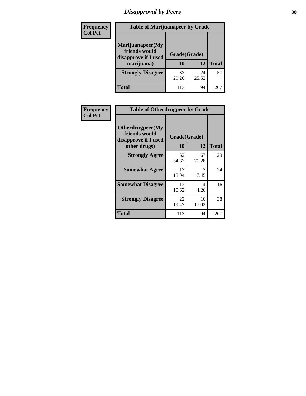# *Disapproval by Peers* **38**

| <b>Frequency</b> | <b>Table of Marijuanapeer by Grade</b>                                  |                           |             |              |  |
|------------------|-------------------------------------------------------------------------|---------------------------|-------------|--------------|--|
| <b>Col Pct</b>   | Marijuanapeer(My<br>friends would<br>disapprove if I used<br>marijuana) | Grade(Grade)<br><b>10</b> | 12          | <b>Total</b> |  |
|                  | <b>Strongly Disagree</b>                                                | 33<br>29.20               | 24<br>25.53 | 57           |  |
|                  | <b>Total</b>                                                            | 113                       | 94          | 207          |  |

| <b>Frequency</b> |                                                           | <b>Table of Otherdrugpeer by Grade</b> |             |              |
|------------------|-----------------------------------------------------------|----------------------------------------|-------------|--------------|
| <b>Col Pct</b>   | Otherdrugpeer(My<br>friends would<br>disapprove if I used | Grade(Grade)                           |             |              |
|                  | other drugs)                                              | <b>10</b>                              | 12          | <b>Total</b> |
|                  | <b>Strongly Agree</b>                                     | 62<br>54.87                            | 67<br>71.28 | 129          |
|                  | <b>Somewhat Agree</b>                                     | 17<br>15.04                            | 7<br>7.45   | 24           |
|                  | <b>Somewhat Disagree</b>                                  | 12<br>10.62                            | 4<br>4.26   | 16           |
|                  | <b>Strongly Disagree</b>                                  | 22<br>19.47                            | 16<br>17.02 | 38           |
|                  | <b>Total</b>                                              | 113                                    | 94          | 207          |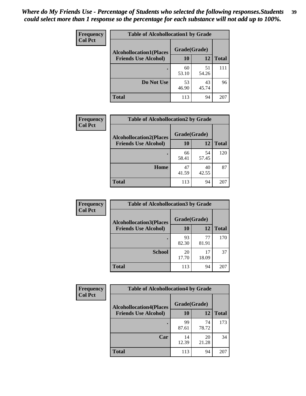| Frequency      | <b>Table of Alcohollocation1 by Grade</b> |              |             |              |
|----------------|-------------------------------------------|--------------|-------------|--------------|
| <b>Col Pct</b> | <b>Alcohollocation1(Places</b>            | Grade(Grade) |             |              |
|                | <b>Friends Use Alcohol)</b>               | 10           | 12          | <b>Total</b> |
|                |                                           | 60<br>53.10  | 51<br>54.26 | 111          |
|                | Do Not Use                                | 53<br>46.90  | 43<br>45.74 | 96           |
|                | <b>Total</b>                              | 113          | 94          | 207          |

| Frequency      | <b>Table of Alcohollocation2 by Grade</b>                     |                    |             |              |
|----------------|---------------------------------------------------------------|--------------------|-------------|--------------|
| <b>Col Pct</b> | <b>Alcohollocation2(Places</b><br><b>Friends Use Alcohol)</b> | Grade(Grade)<br>10 | <b>12</b>   | <b>Total</b> |
|                |                                                               | 66<br>58.41        | 54<br>57.45 | 120          |
|                | Home                                                          | 47<br>41.59        | 40<br>42.55 | 87           |
|                | <b>Total</b>                                                  | 113                | 94          | 207          |

| Frequency<br><b>Col Pct</b> | <b>Table of Alcohollocation 3 by Grade</b>                    |                    |             |              |
|-----------------------------|---------------------------------------------------------------|--------------------|-------------|--------------|
|                             | <b>Alcohollocation3(Places</b><br><b>Friends Use Alcohol)</b> | Grade(Grade)<br>10 | 12          | <b>Total</b> |
|                             |                                                               |                    |             |              |
|                             |                                                               | 93<br>82.30        | 77<br>81.91 | 170          |
|                             | <b>School</b>                                                 | 20<br>17.70        | 17<br>18.09 | 37           |
|                             | <b>Total</b>                                                  | 113                | 94          | 207          |

| <b>Frequency</b> | <b>Table of Alcohollocation4 by Grade</b> |              |             |              |  |
|------------------|-------------------------------------------|--------------|-------------|--------------|--|
| <b>Col Pct</b>   | <b>Alcohollocation4(Places</b>            | Grade(Grade) |             |              |  |
|                  | <b>Friends Use Alcohol)</b>               | 10           | 12          | <b>Total</b> |  |
|                  |                                           | 99<br>87.61  | 74<br>78.72 | 173          |  |
|                  | Car                                       | 14<br>12.39  | 20<br>21.28 | 34           |  |
|                  | <b>Total</b>                              | 113          | 94          | 207          |  |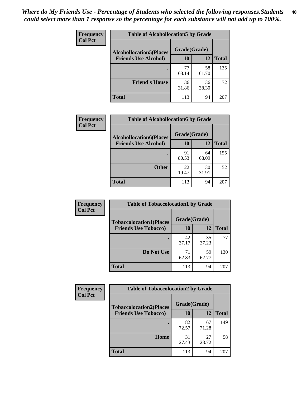| Frequency<br><b>Col Pct</b> | <b>Table of Alcohollocation5 by Grade</b> |              |             |              |  |
|-----------------------------|-------------------------------------------|--------------|-------------|--------------|--|
|                             | <b>Alcohollocation5(Places</b>            | Grade(Grade) |             |              |  |
|                             | <b>Friends Use Alcohol)</b>               | 10           | 12          | <b>Total</b> |  |
|                             |                                           | 77<br>68.14  | 58<br>61.70 | 135          |  |
|                             | <b>Friend's House</b>                     | 36<br>31.86  | 36<br>38.30 | 72           |  |
|                             | <b>Total</b>                              | 113          | 94          | 207          |  |

| <b>Frequency</b> | <b>Table of Alcohollocation6 by Grade</b>                     |                           |             |              |
|------------------|---------------------------------------------------------------|---------------------------|-------------|--------------|
| <b>Col Pct</b>   | <b>Alcohollocation6(Places</b><br><b>Friends Use Alcohol)</b> | Grade(Grade)<br><b>10</b> | 12          | <b>Total</b> |
|                  |                                                               | 91<br>80.53               | 64<br>68.09 | 155          |
|                  | <b>Other</b>                                                  | 22<br>19.47               | 30<br>31.91 | 52           |
|                  | <b>Total</b>                                                  | 113                       | 94          | 207          |

| Frequency      | <b>Table of Tobaccolocation1 by Grade</b> |              |             |              |
|----------------|-------------------------------------------|--------------|-------------|--------------|
| <b>Col Pct</b> | <b>Tobaccolocation1(Places</b>            | Grade(Grade) |             |              |
|                | <b>Friends Use Tobacco)</b>               | 10           | 12          | <b>Total</b> |
|                |                                           | 42<br>37.17  | 35<br>37.23 | 77           |
|                | Do Not Use                                | 71<br>62.83  | 59<br>62.77 | 130          |
|                | <b>Total</b>                              | 113          | 94          | 207          |

| <b>Frequency</b> | <b>Table of Tobaccolocation2 by Grade</b> |              |             |              |  |
|------------------|-------------------------------------------|--------------|-------------|--------------|--|
| <b>Col Pct</b>   | <b>Tobaccolocation2(Places</b>            | Grade(Grade) |             |              |  |
|                  | <b>Friends Use Tobacco)</b>               | 10           | 12          | <b>Total</b> |  |
|                  |                                           | 82<br>72.57  | 67<br>71.28 | 149          |  |
|                  | Home                                      | 31<br>27.43  | 27<br>28.72 | 58           |  |
|                  | <b>Total</b>                              | 113          | 94          | 207          |  |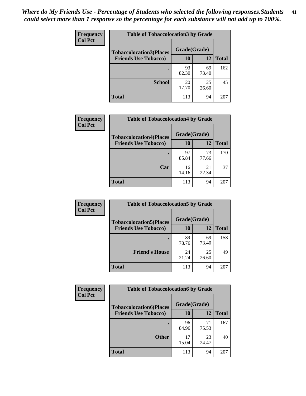| Frequency<br><b>Col Pct</b> | <b>Table of Tobaccolocation 3 by Grade</b> |              |             |              |
|-----------------------------|--------------------------------------------|--------------|-------------|--------------|
|                             | <b>Tobaccolocation3(Places</b>             | Grade(Grade) |             |              |
|                             | <b>Friends Use Tobacco)</b>                | 10           | 12          | <b>Total</b> |
|                             |                                            | 93<br>82.30  | 69<br>73.40 | 162          |
|                             | <b>School</b>                              | 20<br>17.70  | 25<br>26.60 | 45           |
|                             | <b>Total</b>                               | 113          | 94          | 207          |

| Frequency<br><b>Col Pct</b> | <b>Table of Tobaccolocation4 by Grade</b> |              |             |              |
|-----------------------------|-------------------------------------------|--------------|-------------|--------------|
|                             | <b>Tobaccolocation4(Places</b>            | Grade(Grade) |             |              |
|                             | <b>Friends Use Tobacco)</b>               | 10           | <b>12</b>   | <b>Total</b> |
|                             |                                           | 97<br>85.84  | 73<br>77.66 | 170          |
|                             | Car                                       | 16<br>14.16  | 21<br>22.34 | 37           |
|                             | <b>Total</b>                              | 113          | 94          | 207          |

| Frequency      | <b>Table of Tobaccolocation5 by Grade</b> |              |             |              |
|----------------|-------------------------------------------|--------------|-------------|--------------|
| <b>Col Pct</b> | <b>Tobaccolocation5(Places</b>            | Grade(Grade) |             |              |
|                | <b>Friends Use Tobacco)</b>               | 10           | <b>12</b>   | <b>Total</b> |
|                |                                           | 89<br>78.76  | 69<br>73.40 | 158          |
|                | <b>Friend's House</b>                     | 24<br>21.24  | 25<br>26.60 | 49           |
|                | <b>Total</b>                              | 113          | 94          | 207          |

| Frequency      | <b>Table of Tobaccolocation6 by Grade</b> |              |             |              |  |
|----------------|-------------------------------------------|--------------|-------------|--------------|--|
| <b>Col Pct</b> | <b>Tobaccolocation6(Places</b>            | Grade(Grade) |             |              |  |
|                | <b>Friends Use Tobacco)</b>               | 10           | 12          | <b>Total</b> |  |
|                |                                           | 96<br>84.96  | 71<br>75.53 | 167          |  |
|                | <b>Other</b>                              | 17<br>15.04  | 23<br>24.47 | 40           |  |
|                | <b>Total</b>                              | 113          | 94          | 207          |  |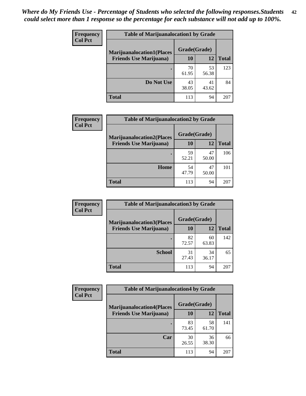| <b>Frequency</b> | <b>Table of Marijuanalocation1 by Grade</b> |              |             |              |
|------------------|---------------------------------------------|--------------|-------------|--------------|
| <b>Col Pct</b>   | <b>Marijuanalocation1(Places</b>            | Grade(Grade) |             |              |
|                  | <b>Friends Use Marijuana</b> )              | 10           | 12          | <b>Total</b> |
|                  |                                             | 70<br>61.95  | 53<br>56.38 | 123          |
|                  | Do Not Use                                  | 43<br>38.05  | 41<br>43.62 | 84           |
|                  | <b>Total</b>                                | 113          | 94          | 207          |

| <b>Frequency</b> | <b>Table of Marijuanalocation2 by Grade</b>                        |                    |             |              |
|------------------|--------------------------------------------------------------------|--------------------|-------------|--------------|
| <b>Col Pct</b>   | <b>Marijuanalocation2(Places</b><br><b>Friends Use Marijuana</b> ) | Grade(Grade)<br>10 | 12          | <b>Total</b> |
|                  |                                                                    | 59<br>52.21        | 47<br>50.00 | 106          |
|                  | Home                                                               | 54<br>47.79        | 47<br>50.00 | 101          |
|                  | <b>Total</b>                                                       | 113                | 94          | 207          |

| Frequency      | <b>Table of Marijuanalocation3 by Grade</b> |              |             |              |
|----------------|---------------------------------------------|--------------|-------------|--------------|
| <b>Col Pct</b> | <b>Marijuanalocation3</b> (Places           | Grade(Grade) |             |              |
|                | <b>Friends Use Marijuana</b> )              | 10           | 12          | <b>Total</b> |
|                |                                             | 82<br>72.57  | 60<br>63.83 | 142          |
|                | <b>School</b>                               | 31<br>27.43  | 34<br>36.17 | 65           |
|                | <b>Total</b>                                | 113          | 94          | 207          |

| <b>Frequency</b> | <b>Table of Marijuanalocation4 by Grade</b> |              |             |              |  |
|------------------|---------------------------------------------|--------------|-------------|--------------|--|
| <b>Col Pct</b>   | <b>Marijuanalocation4(Places</b>            | Grade(Grade) |             |              |  |
|                  | <b>Friends Use Marijuana</b> )              | 10           | 12          | <b>Total</b> |  |
|                  |                                             | 83<br>73.45  | 58<br>61.70 | 141          |  |
|                  | Car                                         | 30<br>26.55  | 36<br>38.30 | 66           |  |
|                  | <b>Total</b>                                | 113          | 94          | 207          |  |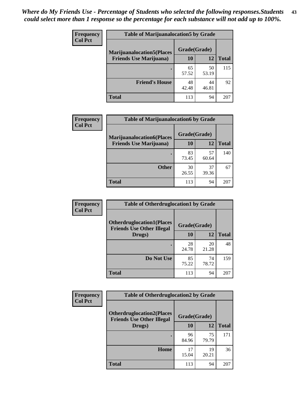| <b>Frequency</b> | <b>Table of Marijuanalocation5 by Grade</b> |              |             |              |
|------------------|---------------------------------------------|--------------|-------------|--------------|
| <b>Col Pct</b>   | <b>Marijuanalocation5</b> (Places           | Grade(Grade) |             |              |
|                  | <b>Friends Use Marijuana</b> )              | 10           | 12          | <b>Total</b> |
|                  |                                             | 65<br>57.52  | 50<br>53.19 | 115          |
|                  | <b>Friend's House</b>                       | 48<br>42.48  | 44<br>46.81 | 92           |
|                  | <b>Total</b>                                | 113          | 94          | 207          |

| <b>Frequency</b> | <b>Table of Marijuanalocation6 by Grade</b>                        |                           |             |       |
|------------------|--------------------------------------------------------------------|---------------------------|-------------|-------|
| <b>Col Pct</b>   | <b>Marijuanalocation6(Places</b><br><b>Friends Use Marijuana</b> ) | Grade(Grade)<br><b>10</b> | 12          | Total |
|                  |                                                                    | 83<br>73.45               | 57<br>60.64 | 140   |
|                  | <b>Other</b>                                                       | 30<br>26.55               | 37<br>39.36 | 67    |
|                  | <b>Total</b>                                                       | 113                       | 94          | 207   |

| <b>Frequency</b> | <b>Table of Otherdruglocation1 by Grade</b>                          |              |             |              |
|------------------|----------------------------------------------------------------------|--------------|-------------|--------------|
| <b>Col Pct</b>   | <b>Otherdruglocation1(Places</b><br><b>Friends Use Other Illegal</b> | Grade(Grade) |             |              |
|                  | Drugs)                                                               | 10           | 12          | <b>Total</b> |
|                  |                                                                      | 28<br>24.78  | 20<br>21.28 | 48           |
|                  | Do Not Use                                                           | 85<br>75.22  | 74<br>78.72 | 159          |
|                  | <b>Total</b>                                                         | 113          | 94          | 207          |

| <b>Frequency</b> | <b>Table of Otherdruglocation2 by Grade</b>                          |              |             |              |
|------------------|----------------------------------------------------------------------|--------------|-------------|--------------|
| <b>Col Pct</b>   | <b>Otherdruglocation2(Places</b><br><b>Friends Use Other Illegal</b> | Grade(Grade) |             |              |
|                  | Drugs)                                                               | 10           | 12          | <b>Total</b> |
|                  |                                                                      | 96<br>84.96  | 75<br>79.79 | 171          |
|                  | Home                                                                 | 17<br>15.04  | 19<br>20.21 | 36           |
|                  | <b>Total</b>                                                         | 113          | 94          | 207          |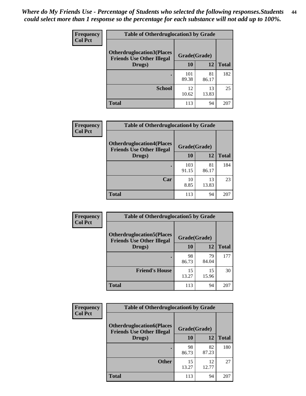| <b>Frequency</b> | <b>Table of Otherdruglocation3 by Grade</b>                                          |              |             |              |
|------------------|--------------------------------------------------------------------------------------|--------------|-------------|--------------|
| <b>Col Pct</b>   | <b>Otherdruglocation3(Places</b><br>Grade(Grade)<br><b>Friends Use Other Illegal</b> |              |             |              |
|                  | Drugs)                                                                               | <b>10</b>    | 12          | <b>Total</b> |
|                  |                                                                                      | 101<br>89.38 | 81<br>86.17 | 182          |
|                  | <b>School</b>                                                                        | 12<br>10.62  | 13<br>13.83 | 25           |
|                  | <b>Total</b>                                                                         | 113          | 94          | 207          |

| <b>Frequency</b> | <b>Table of Otherdruglocation4 by Grade</b>                          |              |             |              |
|------------------|----------------------------------------------------------------------|--------------|-------------|--------------|
| <b>Col Pct</b>   | <b>Otherdruglocation4(Places</b><br><b>Friends Use Other Illegal</b> | Grade(Grade) |             |              |
|                  | Drugs)                                                               | 10           | 12          | <b>Total</b> |
|                  |                                                                      | 103<br>91.15 | 81<br>86.17 | 184          |
|                  | Car                                                                  | 10<br>8.85   | 13<br>13.83 | 23           |
|                  | <b>Total</b>                                                         | 113          | 94          | 207          |

| <b>Frequency</b><br><b>Col Pct</b> | <b>Table of Otherdruglocation5 by Grade</b>                          |              |             |              |
|------------------------------------|----------------------------------------------------------------------|--------------|-------------|--------------|
|                                    | <b>Otherdruglocation5(Places</b><br><b>Friends Use Other Illegal</b> | Grade(Grade) |             |              |
|                                    | Drugs)                                                               | <b>10</b>    | 12          | <b>Total</b> |
|                                    |                                                                      | 98<br>86.73  | 79<br>84.04 | 177          |
|                                    | <b>Friend's House</b>                                                | 15<br>13.27  | 15<br>15.96 | 30           |
|                                    | <b>Total</b>                                                         | 113          | 94          | 207          |

| <b>Frequency</b> | <b>Table of Otherdruglocation6 by Grade</b>                           |              |             |              |
|------------------|-----------------------------------------------------------------------|--------------|-------------|--------------|
| <b>Col Pct</b>   | <b>Otherdruglocation6(Places)</b><br><b>Friends Use Other Illegal</b> | Grade(Grade) |             |              |
|                  | Drugs)                                                                | 10           | 12          | <b>Total</b> |
|                  |                                                                       | 98<br>86.73  | 82<br>87.23 | 180          |
|                  | <b>Other</b>                                                          | 15<br>13.27  | 12<br>12.77 | 27           |
|                  | <b>Total</b>                                                          | 113          | 94          | 207          |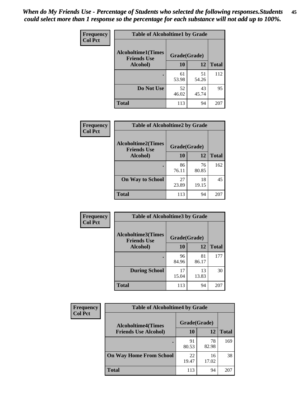| Frequency      | <b>Table of Alcoholtime1 by Grade</b>           |              |             |              |
|----------------|-------------------------------------------------|--------------|-------------|--------------|
| <b>Col Pct</b> | <b>Alcoholtime1(Times</b><br><b>Friends Use</b> | Grade(Grade) |             |              |
|                | Alcohol)                                        | 10           | 12          | <b>Total</b> |
|                |                                                 | 61<br>53.98  | 51<br>54.26 | 112          |
|                | Do Not Use                                      | 52<br>46.02  | 43<br>45.74 | 95           |
|                | <b>Total</b>                                    | 113          | 94          | 207          |

| Frequency      | <b>Table of Alcoholtime2 by Grade</b>           |              |             |              |  |
|----------------|-------------------------------------------------|--------------|-------------|--------------|--|
| <b>Col Pct</b> | <b>Alcoholtime2(Times</b><br><b>Friends Use</b> | Grade(Grade) |             |              |  |
|                | Alcohol)                                        | 10           | 12          | <b>Total</b> |  |
|                |                                                 | 86<br>76.11  | 76<br>80.85 | 162          |  |
|                | <b>On Way to School</b>                         | 27<br>23.89  | 18<br>19.15 | 45           |  |
|                | <b>Total</b>                                    | 113          | 94          | 207          |  |

| Frequency      | <b>Table of Alcoholtime3 by Grade</b>                           |             |             |              |
|----------------|-----------------------------------------------------------------|-------------|-------------|--------------|
| <b>Col Pct</b> | <b>Alcoholtime3(Times</b><br>Grade(Grade)<br><b>Friends Use</b> |             |             |              |
|                | Alcohol)                                                        | 10          | 12          | <b>Total</b> |
|                |                                                                 | 96<br>84.96 | 81<br>86.17 | 177          |
|                | <b>During School</b>                                            | 17<br>15.04 | 13<br>13.83 | 30           |
|                | Total                                                           | 113         | 94          | 207          |

| <b>Frequency</b><br><b>Col Pct</b> | <b>Table of Alcoholtime4 by Grade</b> |              |             |              |
|------------------------------------|---------------------------------------|--------------|-------------|--------------|
|                                    | <b>Alcoholtime4(Times</b>             | Grade(Grade) |             |              |
|                                    | <b>Friends Use Alcohol)</b>           | 10           | 12          | <b>Total</b> |
|                                    |                                       | 91<br>80.53  | 78<br>82.98 | 169          |
|                                    | <b>On Way Home From School</b>        | 22<br>19.47  | 16<br>17.02 | 38           |
|                                    | <b>Total</b>                          | 113          | 94          | 207          |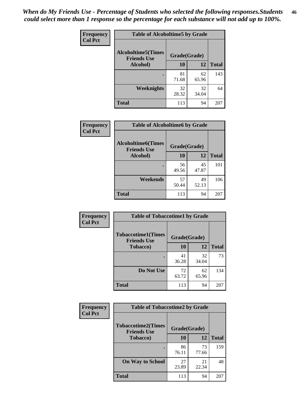*When do My Friends Use - Percentage of Students who selected the following responses.Students could select more than 1 response so the percentage for each substance will not add up to 100%.* **46**

| <b>Frequency</b> | <b>Table of Alcoholtime5 by Grade</b>           |              |             |              |
|------------------|-------------------------------------------------|--------------|-------------|--------------|
| <b>Col Pct</b>   | <b>Alcoholtime5(Times</b><br><b>Friends Use</b> | Grade(Grade) |             |              |
|                  | Alcohol)                                        | 10           | <b>12</b>   | <b>Total</b> |
|                  |                                                 | 81<br>71.68  | 62<br>65.96 | 143          |
|                  | Weeknights                                      | 32<br>28.32  | 32<br>34.04 | 64           |
|                  | <b>Total</b>                                    | 113          | 94          | 207          |

| Frequency      | <b>Table of Alcoholtime6 by Grade</b>           |              |             |              |
|----------------|-------------------------------------------------|--------------|-------------|--------------|
| <b>Col Pct</b> | <b>Alcoholtime6(Times</b><br><b>Friends Use</b> | Grade(Grade) |             |              |
|                | Alcohol)                                        | 10           | 12          | <b>Total</b> |
|                |                                                 | 56<br>49.56  | 45<br>47.87 | 101          |
|                | Weekends                                        | 57<br>50.44  | 49<br>52.13 | 106          |
|                | <b>Total</b>                                    | 113          | 94          | 207          |

| <b>Frequency</b> | <b>Table of Tobaccotime1 by Grade</b>           |              |             |              |
|------------------|-------------------------------------------------|--------------|-------------|--------------|
| <b>Col Pct</b>   | <b>Tobaccotime1(Times</b><br><b>Friends Use</b> | Grade(Grade) |             |              |
|                  | <b>Tobacco</b> )                                | 10           | 12          | <b>Total</b> |
|                  | ٠                                               | 41<br>36.28  | 32<br>34.04 | 73           |
|                  | Do Not Use                                      | 72<br>63.72  | 62<br>65.96 | 134          |
|                  | <b>Total</b>                                    | 113          | 94          | 207          |

| <b>Frequency</b> | <b>Table of Tobaccotime2 by Grade</b>           |              |             |              |
|------------------|-------------------------------------------------|--------------|-------------|--------------|
| <b>Col Pct</b>   | <b>Tobaccotime2(Times</b><br><b>Friends Use</b> | Grade(Grade) |             |              |
|                  | <b>Tobacco</b> )                                | 10           | 12          | <b>Total</b> |
|                  |                                                 | 86<br>76.11  | 73<br>77.66 | 159          |
|                  | <b>On Way to School</b>                         | 27<br>23.89  | 21<br>22.34 | 48           |
|                  | <b>Total</b>                                    | 113          | 94          | 207          |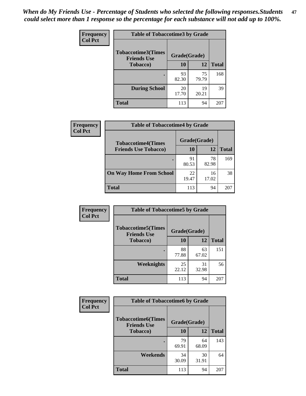*When do My Friends Use - Percentage of Students who selected the following responses.Students could select more than 1 response so the percentage for each substance will not add up to 100%.* **47**

| <b>Frequency</b> | <b>Table of Tobaccotime3 by Grade</b>           |              |             |              |  |
|------------------|-------------------------------------------------|--------------|-------------|--------------|--|
| <b>Col Pct</b>   | <b>Tobaccotime3(Times</b><br><b>Friends Use</b> | Grade(Grade) |             |              |  |
|                  | <b>Tobacco</b> )                                | 10           | 12          | <b>Total</b> |  |
|                  |                                                 | 93<br>82.30  | 75<br>79.79 | 168          |  |
|                  | <b>During School</b>                            | 20<br>17.70  | 19<br>20.21 | 39           |  |
|                  | <b>Total</b>                                    | 113          | 94          | 207          |  |

| Frequency<br><b>Col Pct</b> | <b>Table of Tobaccotime4 by Grade</b> |              |             |              |
|-----------------------------|---------------------------------------|--------------|-------------|--------------|
|                             | <b>Tobaccotime4(Times</b>             | Grade(Grade) |             |              |
|                             | <b>Friends Use Tobacco)</b>           | 10           | 12          | <b>Total</b> |
|                             |                                       | 91<br>80.53  | 78<br>82.98 | 169          |
|                             | <b>On Way Home From School</b>        | 22<br>19.47  | 16<br>17.02 | 38           |
|                             | <b>Total</b>                          | 113          | 94          | 207          |

| Frequency      | <b>Table of Tobaccotime5 by Grade</b>                           |             |             |              |
|----------------|-----------------------------------------------------------------|-------------|-------------|--------------|
| <b>Col Pct</b> | <b>Tobaccotime5(Times</b><br>Grade(Grade)<br><b>Friends Use</b> |             |             |              |
|                | <b>Tobacco</b> )                                                | 10          | 12          | <b>Total</b> |
|                |                                                                 | 88<br>77.88 | 63<br>67.02 | 151          |
|                | Weeknights                                                      | 25<br>22.12 | 31<br>32.98 | 56           |
|                | <b>Total</b>                                                    | 113         | 94          | 207          |

| Frequency      | <b>Table of Tobaccotime6 by Grade</b>           |              |             |              |
|----------------|-------------------------------------------------|--------------|-------------|--------------|
| <b>Col Pct</b> | <b>Tobaccotime6(Times</b><br><b>Friends Use</b> | Grade(Grade) |             |              |
|                | <b>Tobacco</b> )                                | 10           | 12          | <b>Total</b> |
|                |                                                 | 79<br>69.91  | 64<br>68.09 | 143          |
|                | Weekends                                        | 34<br>30.09  | 30<br>31.91 | 64           |
|                | <b>Total</b>                                    | 113          | 94          | 207          |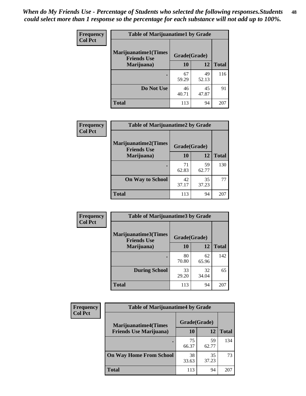| Frequency      | <b>Table of Marijuanatime1 by Grade</b>           |              |             |              |
|----------------|---------------------------------------------------|--------------|-------------|--------------|
| <b>Col Pct</b> | <b>Marijuanatime1(Times</b><br><b>Friends Use</b> | Grade(Grade) |             |              |
|                | Marijuana)                                        | 10           | 12          | <b>Total</b> |
|                |                                                   | 67<br>59.29  | 49<br>52.13 | 116          |
|                | Do Not Use                                        | 46<br>40.71  | 45<br>47.87 | 91           |
|                | <b>Total</b>                                      | 113          | 94          | 207          |

|                |                                  | <b>Table of Marijuanatime2 by Grade</b> |             |              |  |  |
|----------------|----------------------------------|-----------------------------------------|-------------|--------------|--|--|
| Frequency      |                                  |                                         |             |              |  |  |
| <b>Col Pct</b> | Marijuanatime2(Times             | Grade(Grade)                            |             |              |  |  |
|                | <b>Friends Use</b><br>Marijuana) | 10                                      | 12          | <b>Total</b> |  |  |
|                | ٠                                | 71<br>62.83                             | 59<br>62.77 | 130          |  |  |
|                | <b>On Way to School</b>          | 42<br>37.17                             | 35<br>37.23 | 77           |  |  |
|                | <b>Total</b>                     | 113                                     | 94          | 207          |  |  |

| <b>Frequency</b> | <b>Table of Marijuanatime3 by Grade</b>            |              |             |              |  |
|------------------|----------------------------------------------------|--------------|-------------|--------------|--|
| <b>Col Pct</b>   | <b>Marijuanatime3</b> (Times<br><b>Friends Use</b> | Grade(Grade) |             |              |  |
|                  | Marijuana)                                         | 10           | 12          | <b>Total</b> |  |
|                  |                                                    | 80<br>70.80  | 62<br>65.96 | 142          |  |
|                  | <b>During School</b>                               | 33<br>29.20  | 32<br>34.04 | 65           |  |
|                  | <b>Total</b>                                       | 113          | 94          | 207          |  |

| <b>Frequency</b><br><b>Col Pct</b> | <b>Table of Marijuanatime4 by Grade</b> |              |             |       |
|------------------------------------|-----------------------------------------|--------------|-------------|-------|
|                                    | <b>Marijuanatime4</b> (Times            | Grade(Grade) |             |       |
|                                    | <b>Friends Use Marijuana</b> )          | 10           | 12          | Total |
|                                    |                                         | 75<br>66.37  | 59<br>62.77 | 134   |
|                                    | <b>On Way Home From School</b>          | 38<br>33.63  | 35<br>37.23 | 73    |
|                                    | <b>Total</b>                            | 113          | 94          | 207   |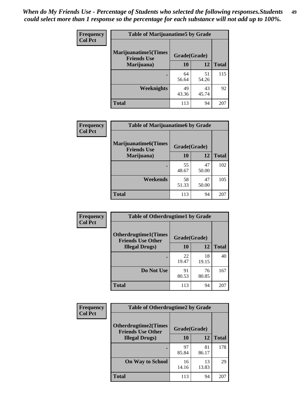| Frequency      | <b>Table of Marijuanatime5 by Grade</b>            |              |             |              |  |
|----------------|----------------------------------------------------|--------------|-------------|--------------|--|
| <b>Col Pct</b> | <b>Marijuanatime5</b> (Times<br><b>Friends Use</b> | Grade(Grade) |             |              |  |
|                | Marijuana)                                         | 10           | 12          | <b>Total</b> |  |
|                |                                                    | 64<br>56.64  | 51<br>54.26 | 115          |  |
|                | Weeknights                                         | 49<br>43.36  | 43<br>45.74 | 92           |  |
|                | <b>Total</b>                                       | 113          | 94          | 207          |  |

| Frequency      | <b>Table of Marijuanatime6 by Grade</b>            |              |             |              |  |  |
|----------------|----------------------------------------------------|--------------|-------------|--------------|--|--|
| <b>Col Pct</b> | <b>Marijuanatime6</b> (Times<br><b>Friends Use</b> | Grade(Grade) |             |              |  |  |
|                | Marijuana)                                         | 10           | 12          | <b>Total</b> |  |  |
|                |                                                    | 55<br>48.67  | 47<br>50.00 | 102          |  |  |
|                | Weekends                                           | 58<br>51.33  | 47<br>50.00 | 105          |  |  |
|                | <b>Total</b>                                       | 113          | 94          | 207          |  |  |

| <b>Frequency</b> | <b>Table of Otherdrugtime1 by Grade</b>                  |              |             |              |
|------------------|----------------------------------------------------------|--------------|-------------|--------------|
| <b>Col Pct</b>   | <b>Otherdrugtime1</b> (Times<br><b>Friends Use Other</b> | Grade(Grade) |             |              |
|                  | <b>Illegal Drugs</b> )                                   | 10           | 12          | <b>Total</b> |
|                  |                                                          | 22<br>19.47  | 18<br>19.15 | 40           |
|                  | Do Not Use                                               | 91<br>80.53  | 76<br>80.85 | 167          |
|                  | Total                                                    | 113          | 94          | 207          |

| Frequency      | <b>Table of Otherdrugtime2 by Grade</b>                 |              |             |              |  |  |  |
|----------------|---------------------------------------------------------|--------------|-------------|--------------|--|--|--|
| <b>Col Pct</b> | <b>Otherdrugtime2(Times</b><br><b>Friends Use Other</b> | Grade(Grade) |             |              |  |  |  |
|                | <b>Illegal Drugs</b> )                                  | 10           | 12          | <b>Total</b> |  |  |  |
|                |                                                         | 97<br>85.84  | 81<br>86.17 | 178          |  |  |  |
|                | <b>On Way to School</b>                                 | 16<br>14.16  | 13<br>13.83 | 29           |  |  |  |
|                | <b>Total</b>                                            | 113          | 94          | 207          |  |  |  |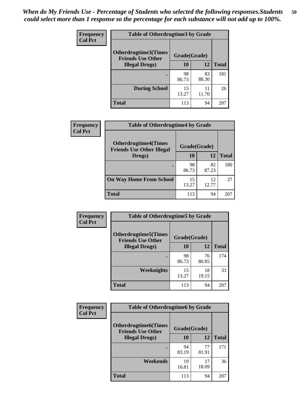| <b>Frequency</b> | <b>Table of Otherdrugtime3 by Grade</b>          |             |             |              |  |  |
|------------------|--------------------------------------------------|-------------|-------------|--------------|--|--|
| <b>Col Pct</b>   | Otherdrugtime3(Times<br><b>Friends Use Other</b> |             |             |              |  |  |
|                  | <b>Illegal Drugs</b> )                           | 10          | 12          | <b>Total</b> |  |  |
|                  |                                                  | 98<br>86.73 | 83<br>88.30 | 181          |  |  |
|                  | <b>During School</b>                             | 15<br>13.27 | 11<br>11.70 | 26           |  |  |
|                  | Total                                            | 113         | 94          | 207          |  |  |

| Frequency      | <b>Table of Otherdrugtime4 by Grade</b>                         |              |             |              |  |  |
|----------------|-----------------------------------------------------------------|--------------|-------------|--------------|--|--|
| <b>Col Pct</b> | <b>Otherdrugtime4(Times</b><br><b>Friends Use Other Illegal</b> | Grade(Grade) |             |              |  |  |
|                | Drugs)                                                          | 10           | 12          | <b>Total</b> |  |  |
|                | $\bullet$                                                       | 98<br>86.73  | 82<br>87.23 | 180          |  |  |
|                | <b>On Way Home From School</b>                                  | 15<br>13.27  | 12<br>12.77 | 27           |  |  |
|                | <b>Total</b>                                                    | 113          | 94          | 207          |  |  |

| <b>Frequency</b> | <b>Table of Otherdrugtime5 by Grade</b>                  |              |             |              |  |  |
|------------------|----------------------------------------------------------|--------------|-------------|--------------|--|--|
| <b>Col Pct</b>   | <b>Otherdrugtime5</b> (Times<br><b>Friends Use Other</b> | Grade(Grade) |             |              |  |  |
|                  | <b>Illegal Drugs</b> )                                   | 10           | 12          | <b>Total</b> |  |  |
|                  |                                                          | 98<br>86.73  | 76<br>80.85 | 174          |  |  |
|                  | Weeknights                                               | 15<br>13.27  | 18<br>19.15 | 33           |  |  |
|                  | Total                                                    | 113          | 94          | 207          |  |  |

| Frequency      | <b>Table of Otherdrugtime6 by Grade</b>                 |              |             |              |  |  |
|----------------|---------------------------------------------------------|--------------|-------------|--------------|--|--|
| <b>Col Pct</b> | <b>Otherdrugtime6(Times</b><br><b>Friends Use Other</b> | Grade(Grade) |             |              |  |  |
|                | <b>Illegal Drugs</b> )                                  | 10           | 12          | <b>Total</b> |  |  |
|                |                                                         | 94<br>83.19  | 77<br>81.91 | 171          |  |  |
|                | Weekends                                                | 19<br>16.81  | 17<br>18.09 | 36           |  |  |
|                | <b>Total</b>                                            | 113          | 94          | 207          |  |  |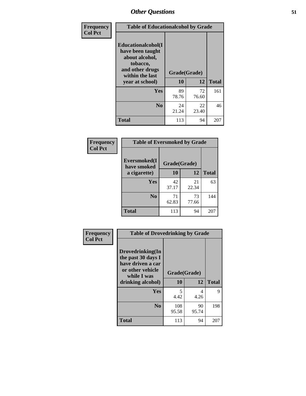| Frequency      | <b>Table of Educationalcohol by Grade</b>                                                                  |              |             |              |  |  |
|----------------|------------------------------------------------------------------------------------------------------------|--------------|-------------|--------------|--|--|
| <b>Col Pct</b> | Educationalcohol(I<br>have been taught<br>about alcohol,<br>tobacco,<br>and other drugs<br>within the last | Grade(Grade) |             |              |  |  |
|                | year at school)                                                                                            | 10           | 12          | <b>Total</b> |  |  |
|                | Yes                                                                                                        | 89<br>78.76  | 72<br>76.60 | 161          |  |  |
|                | N <sub>0</sub>                                                                                             | 24<br>21.24  | 22<br>23.40 | 46           |  |  |
|                | <b>Total</b>                                                                                               | 113          | 94          | 207          |  |  |

| Frequency      | <b>Table of Eversmoked by Grade</b> |              |             |              |  |  |  |
|----------------|-------------------------------------|--------------|-------------|--------------|--|--|--|
| <b>Col Pct</b> | Eversmoked(I<br>have smoked         | Grade(Grade) |             |              |  |  |  |
|                | a cigarette)                        | 10           | 12          | <b>Total</b> |  |  |  |
|                | <b>Yes</b>                          | 42<br>37.17  | 21<br>22.34 | 63           |  |  |  |
|                | N <sub>0</sub>                      | 71<br>62.83  | 73<br>77.66 | 144          |  |  |  |
|                | <b>Total</b>                        | 113          | 94          | 207          |  |  |  |

| Frequency      | <b>Table of Drovedrinking by Grade</b>                                                                              |                    |             |              |  |  |
|----------------|---------------------------------------------------------------------------------------------------------------------|--------------------|-------------|--------------|--|--|
| <b>Col Pct</b> | Drovedrinking(In<br>the past 30 days I<br>have driven a car<br>or other vehicle<br>while I was<br>drinking alcohol) | Grade(Grade)<br>10 | 12          | <b>Total</b> |  |  |
|                | Yes                                                                                                                 | 5<br>4.42          | 4<br>4.26   | 9            |  |  |
|                | N <sub>0</sub>                                                                                                      | 108<br>95.58       | 90<br>95.74 | 198          |  |  |
|                | <b>Total</b>                                                                                                        | 113                | 94          | 207          |  |  |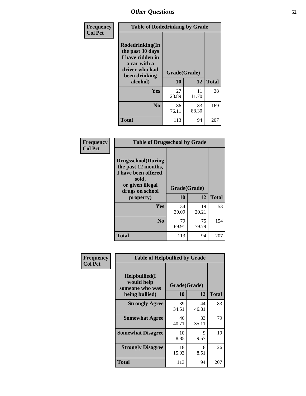| Frequency<br><b>Col Pct</b> | <b>Table of Rodedrinking by Grade</b>                                                                      |              |             |              |  |  |
|-----------------------------|------------------------------------------------------------------------------------------------------------|--------------|-------------|--------------|--|--|
|                             | Rodedrinking(In<br>the past 30 days<br>I have ridden in<br>a car with a<br>driver who had<br>been drinking | Grade(Grade) |             |              |  |  |
|                             | alcohol)                                                                                                   | 10           | 12          | <b>Total</b> |  |  |
|                             | Yes                                                                                                        | 27<br>23.89  | 11<br>11.70 | 38           |  |  |
|                             | N <sub>0</sub>                                                                                             | 86<br>76.11  | 83<br>88.30 | 169          |  |  |
|                             | <b>Total</b>                                                                                               | 113          | 94          | 207          |  |  |

#### **Frequency Col Pct**

| <b>Table of Drugsschool by Grade</b>                                                                                      |              |             |              |  |  |  |
|---------------------------------------------------------------------------------------------------------------------------|--------------|-------------|--------------|--|--|--|
| <b>Drugsschool</b> (During<br>the past 12 months,<br>I have been offered,<br>sold,<br>or given illegal<br>drugs on school | Grade(Grade) |             |              |  |  |  |
| property)                                                                                                                 | 10           | 12          | <b>Total</b> |  |  |  |
| Yes                                                                                                                       | 34<br>30.09  | 19<br>20.21 | 53           |  |  |  |
| $\bf No$                                                                                                                  | 79<br>69.91  | 75<br>79.79 | 154          |  |  |  |
| <b>Total</b>                                                                                                              | 113          | 94          | 207          |  |  |  |

|                | <b>Table of Helpbullied by Grade</b>                 |              |             |              |  |  |  |  |
|----------------|------------------------------------------------------|--------------|-------------|--------------|--|--|--|--|
| Frequency      |                                                      |              |             |              |  |  |  |  |
| <b>Col Pct</b> | $Helpb$ ullied $(I$<br>would help<br>someone who was | Grade(Grade) |             |              |  |  |  |  |
|                | being bullied)                                       | 10           | 12          | <b>Total</b> |  |  |  |  |
|                | <b>Strongly Agree</b>                                | 39<br>34.51  | 44<br>46.81 | 83           |  |  |  |  |
|                | <b>Somewhat Agree</b>                                | 46<br>40.71  | 33<br>35.11 | 79           |  |  |  |  |
|                | <b>Somewhat Disagree</b>                             | 10<br>8.85   | 9<br>9.57   | 19           |  |  |  |  |
|                | <b>Strongly Disagree</b>                             | 18<br>15.93  | 8<br>8.51   | 26           |  |  |  |  |
|                | <b>Total</b>                                         | 113          | 94          | 207          |  |  |  |  |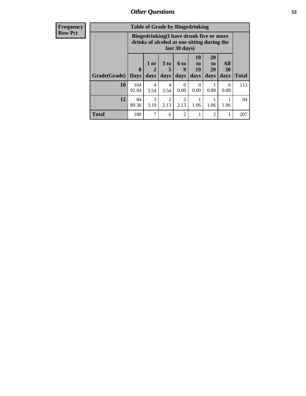| Frequency      | <b>Table of Grade by Bingedrinking</b> |                                                                                                         |                |              |                        |                               |                               |                          |              |
|----------------|----------------------------------------|---------------------------------------------------------------------------------------------------------|----------------|--------------|------------------------|-------------------------------|-------------------------------|--------------------------|--------------|
| <b>Row Pct</b> |                                        | Bingedrinking(I have drunk five or more<br>drinks of alcohol at one sitting during the<br>last 30 days) |                |              |                        |                               |                               |                          |              |
|                | Grade(Grade)   Days                    | $\mathbf{0}$                                                                                            | $1$ or<br>days | 3 to<br>days | 6 to<br>q<br>days      | <b>10</b><br>to<br>19<br>days | <b>20</b><br>to<br>29<br>days | <b>All</b><br>30<br>days | <b>Total</b> |
|                | 10                                     | 104<br>92.04                                                                                            | 4<br>3.54      | 4<br>3.54    | $\Omega$<br>0.00       | $\Omega$<br>0.00              | 0.88                          | $\Omega$<br>0.00         | 113          |
|                | 12                                     | 84<br>89.36                                                                                             | 3<br>3.19      | 2<br>2.13    | $\overline{2}$<br>2.13 | 1.06                          | 1.06                          | 1.06                     | 94           |
|                | <b>Total</b>                           | 188                                                                                                     | 7              | 6            | $\overline{2}$         |                               | $\overline{2}$                |                          | 207          |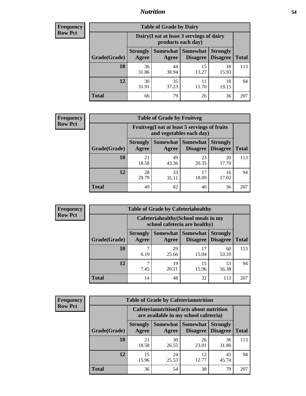#### *Nutrition* **54**

| <b>Frequency</b> |
|------------------|
| <b>Row Pct</b>   |

| <b>Table of Grade by Dairy</b> |                                                                                                                                           |                                                                 |             |             |     |  |  |  |
|--------------------------------|-------------------------------------------------------------------------------------------------------------------------------------------|-----------------------------------------------------------------|-------------|-------------|-----|--|--|--|
|                                |                                                                                                                                           | Dairy (I eat at least 3 servings of dairy<br>products each day) |             |             |     |  |  |  |
| Grade(Grade)                   | <b>Somewhat</b><br><b>Somewhat</b><br><b>Strongly</b><br><b>Strongly</b><br><b>Disagree</b><br>Disagree<br><b>Total</b><br>Agree<br>Agree |                                                                 |             |             |     |  |  |  |
| 10                             | 36<br>31.86                                                                                                                               | 44<br>38.94                                                     | 15<br>13.27 | 18<br>15.93 | 113 |  |  |  |
| 12                             | 30<br>31.91                                                                                                                               | 35<br>37.23                                                     | 11<br>11.70 | 18<br>19.15 | 94  |  |  |  |
| <b>Total</b>                   | 66                                                                                                                                        | 79                                                              | 26          | 36          | 207 |  |  |  |

| <b>Frequency</b> |  |
|------------------|--|
| <b>Row Pct</b>   |  |

| <b>Table of Grade by Fruitveg</b> |                          |                                                                          |                             |                                    |              |  |  |  |
|-----------------------------------|--------------------------|--------------------------------------------------------------------------|-----------------------------|------------------------------------|--------------|--|--|--|
|                                   |                          | Fruitveg(I eat at least 5 servings of fruits<br>and vegetables each day) |                             |                                    |              |  |  |  |
| Grade(Grade)                      | <b>Strongly</b><br>Agree | Somewhat<br>Agree                                                        | <b>Somewhat</b><br>Disagree | <b>Strongly</b><br><b>Disagree</b> | <b>Total</b> |  |  |  |
| 10                                | 21<br>18.58              | 49<br>43.36                                                              | 23<br>20.35                 | 20<br>17.70                        | 113          |  |  |  |
| 12                                | 28<br>29.79              | 33<br>35.11                                                              | 17<br>18.09                 | 16<br>17.02                        | 94           |  |  |  |
| <b>Total</b>                      | 49                       | 82                                                                       | 40                          | 36                                 | 207          |  |  |  |

| <b>Frequency</b> | <b>Table of Grade by Cafeteriahealthy</b> |                                                                       |             |                                   |                                    |              |  |  |
|------------------|-------------------------------------------|-----------------------------------------------------------------------|-------------|-----------------------------------|------------------------------------|--------------|--|--|
| <b>Row Pct</b>   |                                           | Cafeteriahealthy (School meals in my<br>school cafeteria are healthy) |             |                                   |                                    |              |  |  |
|                  | Grade(Grade)                              | <b>Strongly</b><br>Agree                                              | Agree       | Somewhat   Somewhat  <br>Disagree | <b>Strongly</b><br><b>Disagree</b> | <b>Total</b> |  |  |
|                  | <b>10</b>                                 | 6.19                                                                  | 29<br>25.66 | 17<br>15.04                       | 60<br>53.10                        | 113          |  |  |
|                  | 12                                        | 7.45                                                                  | 19<br>20.21 | 15<br>15.96                       | 53<br>56.38                        | 94           |  |  |
|                  | Total                                     | 14                                                                    | 48          | 32                                | 113                                | 207          |  |  |

| <b>Frequency</b> |
|------------------|
| <b>Row Pct</b>   |

| <b>Table of Grade by Cafeterianutrition</b> |                                                                                           |                     |                             |                                    |              |  |  |
|---------------------------------------------|-------------------------------------------------------------------------------------------|---------------------|-----------------------------|------------------------------------|--------------|--|--|
|                                             | <b>Cafeterianutrition</b> (Facts about nutrition<br>are available in my school cafeteria) |                     |                             |                                    |              |  |  |
| Grade(Grade)                                | <b>Strongly</b><br>Agree                                                                  | Somewhat  <br>Agree | <b>Somewhat</b><br>Disagree | <b>Strongly</b><br><b>Disagree</b> | <b>Total</b> |  |  |
| 10                                          | 21<br>18.58                                                                               | 30<br>26.55         | 26<br>23.01                 | 36<br>31.86                        | 113          |  |  |
| 12                                          | 15<br>15.96                                                                               | 24<br>25.53         | 12<br>12.77                 | 43<br>45.74                        | 94           |  |  |
| <b>Total</b>                                | 36                                                                                        | 54                  | 38                          | 79                                 | 207          |  |  |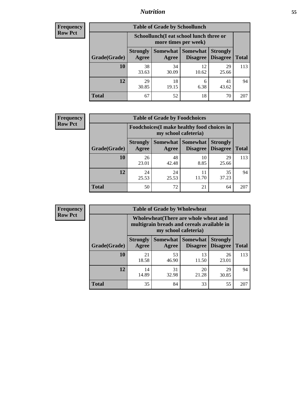### *Nutrition* **55**

| Frequency |
|-----------|
| Row Pct   |

| <b>Table of Grade by Schoollunch</b> |                                                                                                                            |                                                                 |             |             |     |  |  |  |  |
|--------------------------------------|----------------------------------------------------------------------------------------------------------------------------|-----------------------------------------------------------------|-------------|-------------|-----|--|--|--|--|
|                                      |                                                                                                                            | Schoollunch(I eat school lunch three or<br>more times per week) |             |             |     |  |  |  |  |
| Grade(Grade)                         | Somewhat   Somewhat<br><b>Strongly</b><br><b>Strongly</b><br><b>Disagree</b><br>Disagree<br><b>Total</b><br>Agree<br>Agree |                                                                 |             |             |     |  |  |  |  |
| 10                                   | 38<br>33.63                                                                                                                | 34<br>30.09                                                     | 12<br>10.62 | 29<br>25.66 | 113 |  |  |  |  |
| 12                                   | 29<br>30.85                                                                                                                | 18<br>19.15                                                     | 6<br>6.38   | 41<br>43.62 | 94  |  |  |  |  |
| <b>Total</b>                         | 67                                                                                                                         | 52                                                              | 18          | 70          | 207 |  |  |  |  |

| <b>Frequency</b> |  |
|------------------|--|
| <b>Row Pct</b>   |  |

| <b>Table of Grade by Foodchoices</b> |                                                                            |             |                            |                                             |              |  |  |  |
|--------------------------------------|----------------------------------------------------------------------------|-------------|----------------------------|---------------------------------------------|--------------|--|--|--|
|                                      | <b>Foodchoices</b> (I make healthy food choices in<br>my school cafeteria) |             |                            |                                             |              |  |  |  |
| Grade(Grade)                         | <b>Strongly</b><br>Agree                                                   | Agree       | <b>Somewhat   Somewhat</b> | <b>Strongly</b><br><b>Disagree</b> Disagree | <b>Total</b> |  |  |  |
| 10                                   | 26<br>23.01                                                                | 48<br>42.48 | 10<br>8.85                 | 29<br>25.66                                 | 113          |  |  |  |
| 12                                   | 24<br>25.53                                                                | 24<br>25.53 | 11<br>11.70                | 35<br>37.23                                 | 94           |  |  |  |
| Total                                | 50                                                                         | 72          | 21                         | 64                                          | 207          |  |  |  |

| Frequency      | <b>Table of Grade by Wholewheat</b> |                                                                                                             |             |                                   |                                    |              |  |  |  |
|----------------|-------------------------------------|-------------------------------------------------------------------------------------------------------------|-------------|-----------------------------------|------------------------------------|--------------|--|--|--|
| <b>Row Pct</b> |                                     | Wholewheat (There are whole wheat and<br>multigrain breads and cereals available in<br>my school cafeteria) |             |                                   |                                    |              |  |  |  |
|                | Grade(Grade)                        | <b>Strongly</b><br>Agree                                                                                    | Agree       | Somewhat   Somewhat  <br>Disagree | <b>Strongly</b><br><b>Disagree</b> | <b>Total</b> |  |  |  |
|                | 10                                  | 21<br>18.58                                                                                                 | 53<br>46.90 | 13<br>11.50                       | 26<br>23.01                        | 113          |  |  |  |
|                | 12                                  | 14<br>14.89                                                                                                 | 31<br>32.98 | 20<br>21.28                       | 29<br>30.85                        | 94           |  |  |  |
|                | <b>Total</b>                        | 35                                                                                                          | 84          | 33                                | 55                                 | 207          |  |  |  |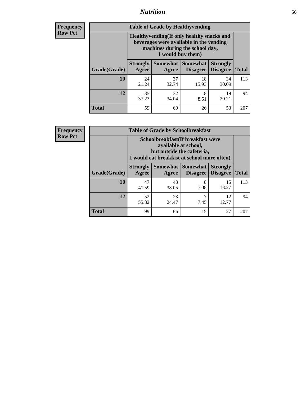#### *Nutrition* **56**

**Frequency Row Pct**

| <b>Table of Grade by Healthyvending</b> |                                                                                                                                               |             |                                        |                                    |              |  |
|-----------------------------------------|-----------------------------------------------------------------------------------------------------------------------------------------------|-------------|----------------------------------------|------------------------------------|--------------|--|
|                                         | Healthyvending (If only healthy snacks and<br>beverages were available in the vending<br>machines during the school day,<br>I would buy them) |             |                                        |                                    |              |  |
| Grade(Grade)                            | <b>Strongly</b><br>Agree                                                                                                                      | Agree       | Somewhat   Somewhat<br><b>Disagree</b> | <b>Strongly</b><br><b>Disagree</b> | <b>Total</b> |  |
| 10                                      | 24<br>21.24                                                                                                                                   | 37<br>32.74 | 18<br>15.93                            | 34<br>30.09                        | 113          |  |
| 12                                      | 35<br>37.23                                                                                                                                   | 32<br>34.04 | 8<br>8.51                              | 19<br>20.21                        | 94           |  |
| <b>Total</b>                            | 59                                                                                                                                            | 69          | 26                                     | 53                                 | 207          |  |

**Frequency Row Pct**

| <b>Table of Grade by Schoolbreakfast</b> |                          |                                                                                                                                        |                     |                                        |              |  |
|------------------------------------------|--------------------------|----------------------------------------------------------------------------------------------------------------------------------------|---------------------|----------------------------------------|--------------|--|
|                                          |                          | Schoolbreakfast(If breakfast were<br>available at school,<br>but outside the cafeteria,<br>I would eat breakfast at school more often) |                     |                                        |              |  |
| Grade(Grade)                             | <b>Strongly</b><br>Agree | Agree                                                                                                                                  | Somewhat   Somewhat | <b>Strongly</b><br>Disagree   Disagree | <b>Total</b> |  |
| 10                                       | 47<br>41.59              | 43<br>38.05                                                                                                                            | 8<br>7.08           | 15<br>13.27                            | 113          |  |
| 12                                       | 52<br>55.32              | 23<br>24.47                                                                                                                            | 7<br>7.45           | 12<br>12.77                            | 94           |  |
| <b>Total</b>                             | 99                       | 66                                                                                                                                     | 15                  | 27                                     | 207          |  |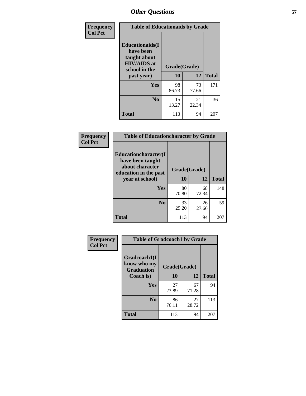| Frequency<br><b>Col Pct</b> | <b>Table of Educationaids by Grade</b>                                                                    |                    |             |              |
|-----------------------------|-----------------------------------------------------------------------------------------------------------|--------------------|-------------|--------------|
|                             | <b>Educationaids</b> (I<br>have been<br>taught about<br><b>HIV/AIDS</b> at<br>school in the<br>past year) | Grade(Grade)<br>10 | 12          | <b>Total</b> |
|                             | Yes                                                                                                       | 98<br>86.73        | 73<br>77.66 | 171          |
|                             | N <sub>0</sub>                                                                                            | 15<br>13.27        | 21<br>22.34 | 36           |
|                             | <b>Total</b>                                                                                              | 113                | 94          | 207          |

| Frequency      | <b>Table of Educationcharacter by Grade</b> |             |              |              |  |
|----------------|---------------------------------------------|-------------|--------------|--------------|--|
| <b>Col Pct</b> | Educationcharacter(I<br>have been taught    |             |              |              |  |
|                | about character<br>education in the past    |             | Grade(Grade) |              |  |
|                | year at school)                             | <b>10</b>   | 12           | <b>Total</b> |  |
|                | Yes                                         | 80<br>70.80 | 68<br>72.34  | 148          |  |
|                | N <sub>0</sub>                              | 33<br>29.20 | 26<br>27.66  | 59           |  |
|                | <b>Total</b>                                | 113         | 94           | 207          |  |

| Frequency      | <b>Table of Gradcoach1 by Grade</b>              |              |             |              |
|----------------|--------------------------------------------------|--------------|-------------|--------------|
| <b>Col Pct</b> | Gradcoach1(I<br>know who my<br><b>Graduation</b> | Grade(Grade) |             |              |
|                | Coach is)                                        | 10           | 12          | <b>Total</b> |
|                | <b>Yes</b>                                       | 27<br>23.89  | 67<br>71.28 | 94           |
|                | N <sub>0</sub>                                   | 86<br>76.11  | 27<br>28.72 | 113          |
|                | <b>Total</b>                                     | 113          | 94          | 207          |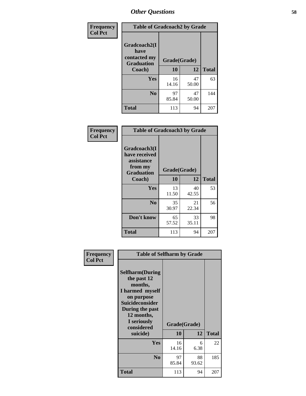| Frequency      | <b>Table of Gradcoach2 by Grade</b> |              |             |              |
|----------------|-------------------------------------|--------------|-------------|--------------|
| <b>Col Pct</b> | Gradcoach2(I<br>have                |              |             |              |
|                | contacted my<br><b>Graduation</b>   | Grade(Grade) |             |              |
|                | Coach)                              | 10           | 12          | <b>Total</b> |
|                | Yes                                 | 16<br>14.16  | 47<br>50.00 | 63           |
|                | N <sub>0</sub>                      | 97<br>85.84  | 47<br>50.00 | 144          |
|                | <b>Total</b>                        | 113          | 94          | 207          |

| <b>Frequency</b><br><b>Col Pct</b> | <b>Table of Gradcoach3 by Grade</b>                    |              |             |              |  |
|------------------------------------|--------------------------------------------------------|--------------|-------------|--------------|--|
|                                    | Gradcoach3(I<br>have received<br>assistance<br>from my | Grade(Grade) |             |              |  |
|                                    | <b>Graduation</b><br>Coach)                            | 10           | 12          | <b>Total</b> |  |
|                                    | Yes                                                    | 13<br>11.50  | 40<br>42.55 | 53           |  |
|                                    | N <sub>0</sub>                                         | 35<br>30.97  | 21<br>22.34 | 56           |  |
|                                    | Don't know                                             | 65<br>57.52  | 33<br>35.11 | 98           |  |
|                                    | <b>Total</b>                                           | 113          | 94          | 207          |  |

| Frequency      | <b>Table of Selfharm by Grade</b>                                                                                                                                               |                    |             |              |
|----------------|---------------------------------------------------------------------------------------------------------------------------------------------------------------------------------|--------------------|-------------|--------------|
| <b>Col Pct</b> | <b>Selfharm</b> (During<br>the past 12<br>months,<br>I harmed myself<br>on purpose<br>Suicideconsider<br>During the past<br>12 months,<br>I seriously<br>considered<br>suicide) | Grade(Grade)<br>10 | 12          | <b>Total</b> |
|                | Yes                                                                                                                                                                             | 16<br>14.16        | 6<br>6.38   | 22           |
|                | N <sub>0</sub>                                                                                                                                                                  | 97<br>85.84        | 88<br>93.62 | 185          |
|                | Total                                                                                                                                                                           | 113                | 94          | 207          |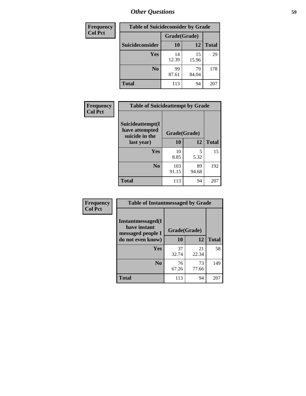| <b>Frequency</b> |                 | <b>Table of Suicideconsider by Grade</b> |             |              |
|------------------|-----------------|------------------------------------------|-------------|--------------|
| <b>Col Pct</b>   |                 | Grade(Grade)                             |             |              |
|                  | Suicideconsider | <b>10</b>                                | 12          | <b>Total</b> |
|                  | <b>Yes</b>      | 14<br>12.39                              | 15<br>15.96 | 29           |
|                  | N <sub>0</sub>  | 99<br>87.61                              | 79<br>84.04 | 178          |
|                  | <b>Total</b>    | 113                                      | 94          | 207          |

| Frequency<br><b>Col Pct</b> | <b>Table of Suicideattempt by Grade</b>              |              |             |              |
|-----------------------------|------------------------------------------------------|--------------|-------------|--------------|
|                             | Suicideattempt(I<br>have attempted<br>suicide in the | Grade(Grade) |             |              |
|                             | last year)                                           | 10           | 12          | <b>Total</b> |
|                             | Yes                                                  | 10<br>8.85   | 5<br>5.32   | 15           |
|                             | N <sub>0</sub>                                       | 103<br>91.15 | 89<br>94.68 | 192          |
|                             | <b>Total</b>                                         | 113          | 94          | 207          |

| <b>Frequency</b> | <b>Table of Instantmessaged by Grade</b>               |              |             |              |
|------------------|--------------------------------------------------------|--------------|-------------|--------------|
| <b>Col Pct</b>   | Instantmessaged(I<br>have instant<br>messaged people I | Grade(Grade) |             |              |
|                  | do not even know)                                      | 10           | 12          | <b>Total</b> |
|                  | <b>Yes</b>                                             | 37<br>32.74  | 21<br>22.34 | 58           |
|                  | $\bf No$                                               | 76<br>67.26  | 73<br>77.66 | 149          |
|                  | <b>Total</b>                                           | 113          | 94          | 207          |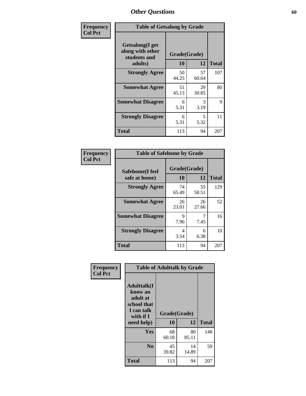| Frequency      | <b>Table of Getsalong by Grade</b>                          |              |             |              |
|----------------|-------------------------------------------------------------|--------------|-------------|--------------|
| <b>Col Pct</b> | <b>Getsalong</b> (I get<br>along with other<br>students and | Grade(Grade) |             |              |
|                | adults)                                                     | 10           | 12          | <b>Total</b> |
|                | <b>Strongly Agree</b>                                       | 50<br>44.25  | 57<br>60.64 | 107          |
|                | <b>Somewhat Agree</b>                                       | 51<br>45.13  | 29<br>30.85 | 80           |
|                | <b>Somewhat Disagree</b>                                    | 6<br>5.31    | 3<br>3.19   | 9            |
|                | <b>Strongly Disagree</b>                                    | 6<br>5.31    | 5<br>5.32   | 11           |
|                | <b>Total</b>                                                | 113          | 94          | 207          |

| Frequency      | <b>Table of Safehome by Grade</b> |                           |             |              |
|----------------|-----------------------------------|---------------------------|-------------|--------------|
| <b>Col Pct</b> | Safehome(I feel<br>safe at home)  | Grade(Grade)<br><b>10</b> | 12          | <b>Total</b> |
|                | <b>Strongly Agree</b>             | 74<br>65.49               | 55<br>58.51 | 129          |
|                | <b>Somewhat Agree</b>             | 26<br>23.01               | 26<br>27.66 | 52           |
|                | <b>Somewhat Disagree</b>          | 9<br>7.96                 | 7.45        | 16           |
|                | <b>Strongly Disagree</b>          | 4<br>3.54                 | 6<br>6.38   | 10           |
|                | <b>Total</b>                      | 113                       | 94          | 207          |

| Frequency<br><b>Col Pct</b> |                                                                                                    | <b>Table of Adulttalk by Grade</b> |             |              |  |  |  |  |
|-----------------------------|----------------------------------------------------------------------------------------------------|------------------------------------|-------------|--------------|--|--|--|--|
|                             | <b>Adulttalk</b> (I<br>know an<br>adult at<br>school that<br>I can talk<br>with if I<br>need help) | Grade(Grade)<br>10                 | 12          | <b>Total</b> |  |  |  |  |
|                             |                                                                                                    |                                    |             |              |  |  |  |  |
|                             | <b>Yes</b>                                                                                         | 68<br>60.18                        | 80<br>85.11 | 148          |  |  |  |  |
|                             | N <sub>0</sub>                                                                                     | 45<br>39.82                        | 14<br>14.89 | 59           |  |  |  |  |
|                             | <b>Total</b>                                                                                       | 113                                | 94          | 207          |  |  |  |  |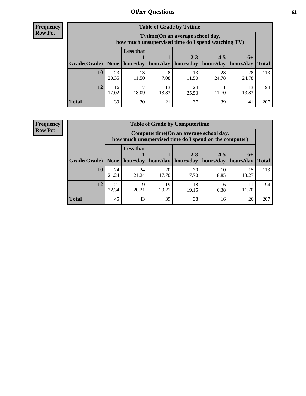**Frequency Row Pct**

| <b>Table of Grade by Tvtime</b> |             |                                                                                        |             |                        |                        |                     |              |  |  |
|---------------------------------|-------------|----------------------------------------------------------------------------------------|-------------|------------------------|------------------------|---------------------|--------------|--|--|
|                                 |             | Tvtime(On an average school day,<br>how much unsupervised time do I spend watching TV) |             |                        |                        |                     |              |  |  |
| Grade(Grade)                    | None $ $    | <b>Less that</b><br>hour/day                                                           | hour/day    | $2 - 3$<br>  hours/day | $4 - 5$<br>  hours/day | $6+$<br>  hours/day | <b>Total</b> |  |  |
|                                 |             |                                                                                        |             |                        |                        |                     |              |  |  |
| 10                              | 23<br>20.35 | 13<br>11.50                                                                            | 8<br>7.08   | 13<br>11.50            | 28<br>24.78            | 28<br>24.78         | 113          |  |  |
| 12                              | 16<br>17.02 | 17<br>18.09                                                                            | 13<br>13.83 | 24<br>25.53            | 11.70                  | 13<br>13.83         | 94           |  |  |
| <b>Total</b>                    | 39          | 30                                                                                     | 21          | 37                     | 39                     | 4 <sup>1</sup>      | 207          |  |  |

**Frequency Row Pct**

| <b>Table of Grade by Computertime</b> |             |                                                                                                                              |             |             |            |             |     |  |  |
|---------------------------------------|-------------|------------------------------------------------------------------------------------------------------------------------------|-------------|-------------|------------|-------------|-----|--|--|
|                                       |             | Computertime (On an average school day,<br>how much unsupervised time do I spend on the computer)                            |             |             |            |             |     |  |  |
| Grade(Grade)                          | None $ $    | <b>Less that</b><br>$4 - 5$<br>$2 - 3$<br>$6+$<br>hours/day<br>hours/day<br>hour/day   hour/day<br>hours/day<br><b>Total</b> |             |             |            |             |     |  |  |
| 10                                    | 24<br>21.24 | 24<br>21.24                                                                                                                  | 20<br>17.70 | 20<br>17.70 | 10<br>8.85 | 15<br>13.27 | 113 |  |  |
| 12                                    | 21<br>22.34 | 19<br>20.21                                                                                                                  | 19<br>20.21 | 18<br>19.15 | 6<br>6.38  | 11<br>11.70 | 94  |  |  |
| <b>Total</b>                          | 45          | 43                                                                                                                           | 39          | 38          | 16         | 26          | 207 |  |  |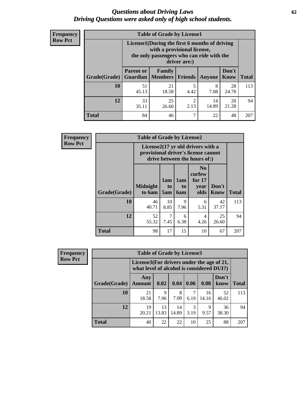#### *Questions about Driving Laws* **62** *Driving Questions were asked only of high school students.*

| <b>Frequency</b> |
|------------------|
| <b>Row Pct</b>   |

| <b>Table of Grade by License1</b> |                                                                                    |                                                                                                                                           |                |               |               |              |  |  |  |
|-----------------------------------|------------------------------------------------------------------------------------|-------------------------------------------------------------------------------------------------------------------------------------------|----------------|---------------|---------------|--------------|--|--|--|
|                                   |                                                                                    | License1(During the first 6 months of driving<br>with a provisional license,<br>the only passengers who can ride with the<br>driver are:) |                |               |               |              |  |  |  |
| Grade(Grade)                      | <b>Parent or</b><br><b>Guardian</b>                                                | Family<br><b>Members</b>                                                                                                                  | <b>Friends</b> | <b>Anyone</b> | Don't<br>Know | <b>Total</b> |  |  |  |
| 10                                | 51<br>45.13                                                                        | 21<br>18.58                                                                                                                               | 5<br>4.42      | 8<br>7.08     | 28<br>24.78   | 113          |  |  |  |
| 12                                | $\overline{c}$<br>33<br>25<br>14<br>20<br>14.89<br>21.28<br>2.13<br>35.11<br>26.60 |                                                                                                                                           |                |               |               |              |  |  |  |
| <b>Total</b>                      | 84                                                                                 | 46                                                                                                                                        | ┑              | 22            | 48            | 207          |  |  |  |

| <b>Frequency</b> | <b>Table of Grade by License2</b> |                           |                                                                                                          |                              |                                                      |               |              |  |
|------------------|-----------------------------------|---------------------------|----------------------------------------------------------------------------------------------------------|------------------------------|------------------------------------------------------|---------------|--------------|--|
| <b>Row Pct</b>   |                                   |                           | License2(17 yr old drivers with a<br>provisional driver's license cannot<br>drive between the hours of:) |                              |                                                      |               |              |  |
|                  | <b>Grade(Grade)</b>               | <b>Midnight</b><br>to 6am | 1am<br>to<br>5am                                                                                         | 1am<br>t <sub>0</sub><br>6am | N <sub>0</sub><br>curfew<br>for $17$<br>vear<br>olds | Don't<br>Know | <b>Total</b> |  |
|                  | 10                                | 46<br>40.71               | 10<br>8.85                                                                                               | 9<br>7.96                    | 6<br>5.31                                            | 42<br>37.17   | 113          |  |
|                  | 12                                | 52<br>55.32               | 7<br>7.45                                                                                                | 6<br>6.38                    | 4<br>4.26                                            | 25<br>26.60   | 94           |  |
|                  | <b>Total</b>                      | 98                        | 17                                                                                                       | 15                           | 10                                                   | 67            | 207          |  |

| Frequency      |              | <b>Table of Grade by License3</b> |                                                                                        |             |           |             |               |              |
|----------------|--------------|-----------------------------------|----------------------------------------------------------------------------------------|-------------|-----------|-------------|---------------|--------------|
| <b>Row Pct</b> |              |                                   | License3(For drivers under the age of 21,<br>what level of alcohol is considered DUI?) |             |           |             |               |              |
|                | Grade(Grade) | Any<br><b>Amount</b>              | 0.02                                                                                   | 0.04        | 0.06      | 0.08        | Don't<br>know | <b>Total</b> |
|                | 10           | 21<br>18.58                       | 9<br>7.96                                                                              | 8<br>7.08   | 6.19      | 16<br>14.16 | 52<br>46.02   | 113          |
|                | 12           | 19<br>20.21                       | 13<br>13.83                                                                            | 14<br>14.89 | 3<br>3.19 | Q<br>9.57   | 36<br>38.30   | 94           |
|                | <b>Total</b> | 40                                | 22                                                                                     | 22          | 10        | 25          | 88            | 207          |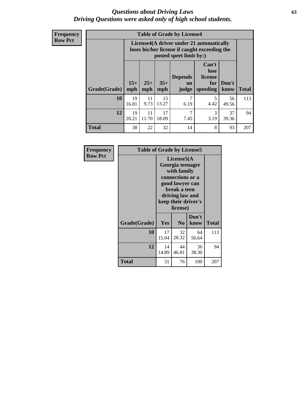#### *Questions about Driving Laws* **63** *Driving Questions were asked only of high school students.*

**Frequency Row Pct**

| <b>Table of Grade by License4</b> |             |                                                                                                                                                                                                                                                                                |             |           |           |             |     |  |
|-----------------------------------|-------------|--------------------------------------------------------------------------------------------------------------------------------------------------------------------------------------------------------------------------------------------------------------------------------|-------------|-----------|-----------|-------------|-----|--|
|                                   |             | License4(A driver under 21 automatically<br>loses his/her license if caught exceeding the<br>posted speet limit by:)<br>Can't<br>lose<br><b>Depends</b><br>license<br>$15+$<br>$25+$<br>$35+$<br>Don't<br>for<br>on<br><b>Total</b><br>mph<br>speeding<br>know<br>mph<br>judge |             |           |           |             |     |  |
| Grade(Grade)                      | mph         |                                                                                                                                                                                                                                                                                |             |           |           |             |     |  |
| 10                                | 19<br>16.81 | 11<br>9.73                                                                                                                                                                                                                                                                     | 15<br>13.27 | 7<br>6.19 | 5<br>4.42 | 56<br>49.56 | 113 |  |
| 12                                | 19<br>20.21 | 11<br>11.70                                                                                                                                                                                                                                                                    | 17<br>18.09 | 7<br>7.45 | 3<br>3.19 | 37<br>39.36 | 94  |  |
| <b>Total</b>                      | 38          | 22                                                                                                                                                                                                                                                                             | 32          | 14        | 8         | 93          | 207 |  |

| Frequency      | <b>Table of Grade by License5</b> |             |                                                                                                                                     |                     |              |  |
|----------------|-----------------------------------|-------------|-------------------------------------------------------------------------------------------------------------------------------------|---------------------|--------------|--|
| <b>Row Pct</b> |                                   |             | License5(A<br>Georgia teenager<br>with family<br>connections or a<br>good lawyer can<br>break a teen<br>driving law and<br>license) | keep their driver's |              |  |
|                | Grade(Grade)                      | Yes         | N <sub>0</sub>                                                                                                                      | Don't<br>know       | <b>Total</b> |  |
|                | 10                                | 17<br>15.04 | 32<br>28.32                                                                                                                         | 64<br>56.64         | 113          |  |
|                | 12                                | 14<br>14.89 | 44<br>46.81                                                                                                                         | 36<br>38.30         | 94           |  |
|                | <b>Total</b>                      | 31          | 76                                                                                                                                  | 100                 | 207          |  |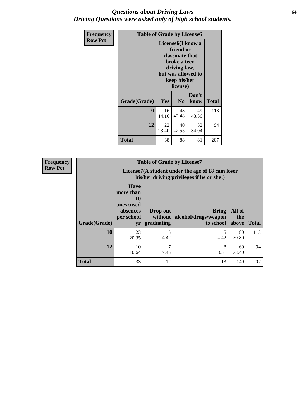#### *Questions about Driving Laws* **64** *Driving Questions were asked only of high school students.*

| <b>Frequency</b> | <b>Table of Grade by License6</b> |             |                                                                                                                           |                    |              |  |  |
|------------------|-----------------------------------|-------------|---------------------------------------------------------------------------------------------------------------------------|--------------------|--------------|--|--|
| <b>Row Pct</b>   |                                   |             | License <sub>6</sub> (I know a<br>friend or<br>classmate that<br>broke a teen<br>driving law,<br>keep his/her<br>license) | but was allowed to |              |  |  |
|                  | Grade(Grade)                      | Yes         | N <sub>0</sub>                                                                                                            | Don't<br>know      | <b>Total</b> |  |  |
|                  | 10                                | 16<br>14.16 | 48<br>42.48                                                                                                               | 49<br>43.36        | 113          |  |  |
|                  | 12                                | 22<br>23.40 | 40<br>42.55                                                                                                               | 32<br>34.04        | 94           |  |  |
|                  | <b>Total</b>                      | 38          | 88                                                                                                                        | 81                 | 207          |  |  |

| <b>Frequency</b> |              |                                                                             | <b>Table of Grade by License7</b>                                                             |                                                   |                        |              |  |  |
|------------------|--------------|-----------------------------------------------------------------------------|-----------------------------------------------------------------------------------------------|---------------------------------------------------|------------------------|--------------|--|--|
| <b>Row Pct</b>   |              |                                                                             | License7(A student under the age of 18 cam loser<br>his/her driving privileges if he or she:) |                                                   |                        |              |  |  |
|                  | Grade(Grade) | <b>Have</b><br>more than<br>10<br>unexcused<br>absences<br>per school<br>yr | Drop out<br>without  <br>graduating                                                           | <b>Bring</b><br>alcohol/drugs/weapon<br>to school | All of<br>the<br>above | <b>Total</b> |  |  |
|                  | 10           | 23<br>20.35                                                                 | 5<br>4.42                                                                                     | 4.42                                              | 80<br>70.80            | 113          |  |  |
|                  | 12           | 10<br>10.64                                                                 | 7<br>7.45                                                                                     | 8<br>8.51                                         | 69<br>73.40            | 94           |  |  |
|                  | <b>Total</b> | 33                                                                          | 12                                                                                            | 13                                                | 149                    | 207          |  |  |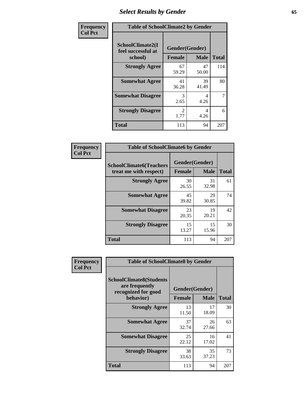# *Select Results by Gender* **65**

| Frequency      | <b>Table of SchoolClimate2 by Gender</b>          |                                 |             |              |  |
|----------------|---------------------------------------------------|---------------------------------|-------------|--------------|--|
| <b>Col Pct</b> | SchoolClimate2(I<br>feel successful at<br>school) | Gender(Gender)<br><b>Female</b> | <b>Male</b> | <b>Total</b> |  |
|                | <b>Strongly Agree</b>                             | 67<br>59.29                     | 47<br>50.00 | 114          |  |
|                | <b>Somewhat Agree</b>                             | 41<br>36.28                     | 39<br>41.49 | 80           |  |
|                | <b>Somewhat Disagree</b>                          | 3<br>2.65                       | 4<br>4.26   | 7            |  |
|                | <b>Strongly Disagree</b>                          | $\mathfrak{D}$<br>1.77          | 4<br>4.26   | 6            |  |
|                | <b>Total</b>                                      | 113                             | 94          | 207          |  |

| Frequency      | <b>Table of SchoolClimate6 by Gender</b>                 |                                 |             |              |  |
|----------------|----------------------------------------------------------|---------------------------------|-------------|--------------|--|
| <b>Col Pct</b> | <b>SchoolClimate6(Teachers</b><br>treat me with respect) | Gender(Gender)<br><b>Female</b> | <b>Male</b> | <b>Total</b> |  |
|                | <b>Strongly Agree</b>                                    | 30<br>26.55                     | 31<br>32.98 | 61           |  |
|                | <b>Somewhat Agree</b>                                    | 45<br>39.82                     | 29<br>30.85 | 74           |  |
|                | <b>Somewhat Disagree</b>                                 | 23<br>20.35                     | 19<br>20.21 | 42           |  |
|                | <b>Strongly Disagree</b>                                 | 15<br>13.27                     | 15<br>15.96 | 30           |  |
|                | <b>Total</b>                                             | 113                             | 94          | 207          |  |

| <b>Frequency</b> | <b>Table of SchoolClimate8 by Gender</b>                                             |                                 |             |              |
|------------------|--------------------------------------------------------------------------------------|---------------------------------|-------------|--------------|
| <b>Col Pct</b>   | <b>SchoolClimate8(Students</b><br>are frequently<br>recognized for good<br>behavior) | Gender(Gender)<br><b>Female</b> | <b>Male</b> | <b>Total</b> |
|                  |                                                                                      |                                 |             |              |
|                  | <b>Strongly Agree</b>                                                                | 13<br>11.50                     | 17<br>18.09 | 30           |
|                  | <b>Somewhat Agree</b>                                                                | 37<br>32.74                     | 26<br>27.66 | 63           |
|                  | <b>Somewhat Disagree</b>                                                             | 25<br>22.12                     | 16<br>17.02 | 41           |
|                  | <b>Strongly Disagree</b>                                                             | 38<br>33.63                     | 35<br>37.23 | 73           |
|                  | <b>Total</b>                                                                         | 113                             | 94          | 207          |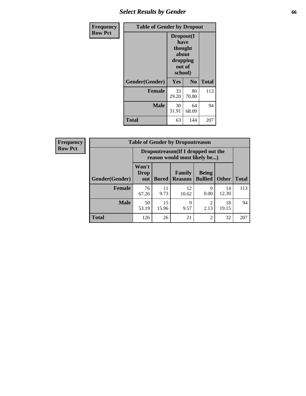### *Select Results by Gender* **66**

| <b>Frequency</b> | <b>Table of Gender by Dropout</b> |                                                                        |                |              |
|------------------|-----------------------------------|------------------------------------------------------------------------|----------------|--------------|
| <b>Row Pct</b>   |                                   | Dropout(I<br>have<br>thought<br>about<br>dropping<br>out of<br>school) |                |              |
|                  | Gender(Gender)                    | Yes                                                                    | N <sub>0</sub> | <b>Total</b> |
|                  | <b>Female</b>                     | 33<br>29.20                                                            | 80<br>70.80    | 113          |
|                  | <b>Male</b>                       | 30<br>31.91                                                            | 64<br>68.09    | 94           |
|                  | <b>Total</b>                      | 63                                                                     | 144            | 207          |

| <b>Frequency</b> |                | <b>Table of Gender by Dropoutreason</b>                            |              |                                 |                                |              |              |
|------------------|----------------|--------------------------------------------------------------------|--------------|---------------------------------|--------------------------------|--------------|--------------|
| <b>Row Pct</b>   |                | Dropoutreason(If I dropped out the<br>reason would most likely be) |              |                                 |                                |              |              |
|                  | Gender(Gender) | Won't<br>Drop<br>out                                               | <b>Bored</b> | <b>Family</b><br><b>Reasons</b> | <b>Being</b><br><b>Bullied</b> | <b>Other</b> | <b>Total</b> |
|                  | <b>Female</b>  | 76<br>67.26                                                        | 11<br>9.73   | 12<br>10.62                     | 0.00                           | 14<br>12.39  | 113          |
|                  | <b>Male</b>    | 50<br>53.19                                                        | 15<br>15.96  | 9<br>9.57                       | ി<br>2.13                      | 18<br>19.15  | 94           |
|                  | <b>Total</b>   | 126                                                                | 26           | 21                              | $\overline{2}$                 | 32           | 207          |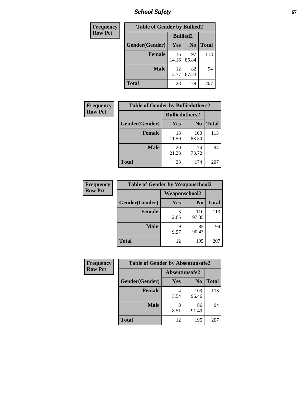*School Safety* **67**

| Frequency      | <b>Table of Gender by Bullied2</b> |                 |                |              |
|----------------|------------------------------------|-----------------|----------------|--------------|
| <b>Row Pct</b> |                                    | <b>Bullied2</b> |                |              |
|                | Gender(Gender)                     | Yes             | N <sub>0</sub> | <b>Total</b> |
|                | <b>Female</b>                      | 16<br>14.16     | 97<br>85.84    | 113          |
|                | <b>Male</b>                        | 12<br>12.77     | 82<br>87.23    | 94           |
|                | <b>Total</b>                       | 28              | 179            | 207          |

| Frequency      | <b>Table of Gender by Bulliedothers2</b> |                       |                |              |
|----------------|------------------------------------------|-----------------------|----------------|--------------|
| <b>Row Pct</b> |                                          | <b>Bulliedothers2</b> |                |              |
|                | Gender(Gender)                           | <b>Yes</b>            | N <sub>0</sub> | <b>Total</b> |
|                | <b>Female</b>                            | 13<br>11.50           | 100<br>88.50   | 113          |
|                | <b>Male</b>                              | 20<br>21.28           | 74<br>78.72    | 94           |
|                | <b>Total</b>                             | 33                    | 174            | 207          |

| Frequency      | <b>Table of Gender by Weaponschool2</b> |                      |                |              |
|----------------|-----------------------------------------|----------------------|----------------|--------------|
| <b>Row Pct</b> |                                         | <b>Weaponschool2</b> |                |              |
|                | Gender(Gender)                          | Yes                  | N <sub>0</sub> | <b>Total</b> |
|                | <b>Female</b>                           | 3<br>2.65            | 110<br>97.35   | 113          |
|                | <b>Male</b>                             | q<br>9.57            | 85<br>90.43    | 94           |
|                | <b>Total</b>                            | 12                   | 195            | 207          |

| Frequency      | <b>Table of Gender by Absentunsafe2</b> |               |                |              |
|----------------|-----------------------------------------|---------------|----------------|--------------|
| <b>Row Pct</b> |                                         | Absentunsafe2 |                |              |
|                | Gender(Gender)                          | Yes           | N <sub>0</sub> | <b>Total</b> |
|                | <b>Female</b>                           | 3.54          | 109<br>96.46   | 113          |
|                | <b>Male</b>                             | 8<br>8.51     | 86<br>91.49    | 94           |
|                | <b>Total</b>                            | 12            | 195            | 207          |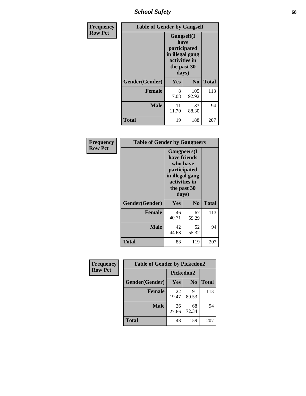*School Safety* **68**

| Frequency      | <b>Table of Gender by Gangself</b> |                                                                                                |                |              |
|----------------|------------------------------------|------------------------------------------------------------------------------------------------|----------------|--------------|
| <b>Row Pct</b> |                                    | Gangself(I<br>have<br>participated<br>in illegal gang<br>activities in<br>the past 30<br>days) |                |              |
|                | Gender(Gender)                     | Yes                                                                                            | N <sub>0</sub> | <b>Total</b> |
|                | <b>Female</b>                      | 8<br>7.08                                                                                      | 105<br>92.92   | 113          |
|                | <b>Male</b>                        | 11<br>11.70                                                                                    | 83<br>88.30    | 94           |
|                | <b>Total</b>                       | 19                                                                                             | 188            | 207          |

| Frequency      | <b>Table of Gender by Gangpeers</b> |                                                                                                                             |                |              |
|----------------|-------------------------------------|-----------------------------------------------------------------------------------------------------------------------------|----------------|--------------|
| <b>Row Pct</b> |                                     | <b>Gangpeers</b> (I<br>have friends<br>who have<br>participated<br>in illegal gang<br>activities in<br>the past 30<br>days) |                |              |
|                | Gender(Gender)                      | Yes                                                                                                                         | N <sub>0</sub> | <b>Total</b> |
|                | <b>Female</b>                       | 46<br>40.71                                                                                                                 | 67<br>59.29    | 113          |
|                | <b>Male</b>                         | 42<br>44.68                                                                                                                 | 52<br>55.32    | 94           |
|                | <b>Total</b>                        | 88                                                                                                                          | 119            | 207          |

| Frequency      | <b>Table of Gender by Pickedon2</b> |             |                |              |
|----------------|-------------------------------------|-------------|----------------|--------------|
| <b>Row Pct</b> |                                     | Pickedon2   |                |              |
|                | Gender(Gender)                      | Yes         | N <sub>0</sub> | <b>Total</b> |
|                | <b>Female</b>                       | 22<br>19.47 | 91<br>80.53    | 113          |
|                | <b>Male</b>                         | 26<br>27.66 | 68<br>72.34    | 94           |
|                | <b>Total</b>                        | 48          | 159            | 207          |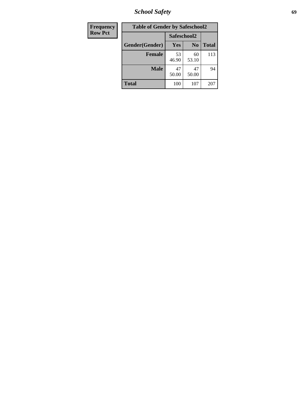*School Safety* **69**

| <b>Frequency</b> | <b>Table of Gender by Safeschool2</b> |             |                |              |
|------------------|---------------------------------------|-------------|----------------|--------------|
| <b>Row Pct</b>   |                                       | Safeschool2 |                |              |
|                  | Gender(Gender)                        | Yes         | N <sub>0</sub> | <b>Total</b> |
|                  | <b>Female</b>                         | 53<br>46.90 | 60<br>53.10    | 113          |
|                  | <b>Male</b>                           | 47<br>50.00 | 47<br>50.00    | 94           |
|                  | <b>Total</b>                          | 100         | 107            | 207          |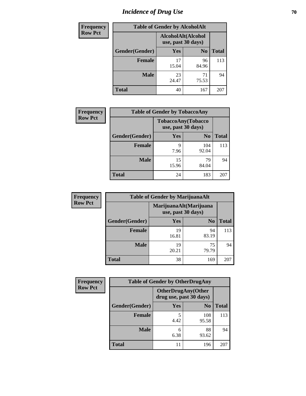# *Incidence of Drug Use* **70**

| <b>Frequency</b> |                | <b>Table of Gender by AlcoholAlt</b>     |                |              |
|------------------|----------------|------------------------------------------|----------------|--------------|
| <b>Row Pct</b>   |                | AlcoholAlt(Alcohol<br>use, past 30 days) |                |              |
|                  | Gender(Gender) | Yes                                      | N <sub>0</sub> | <b>Total</b> |
|                  | <b>Female</b>  | 17<br>15.04                              | 96<br>84.96    | 113          |
|                  | <b>Male</b>    | 23<br>24.47                              | 71<br>75.53    | 94           |
|                  | <b>Total</b>   | 40                                       | 167            | 207          |

| <b>Frequency</b> | <b>Table of Gender by TobaccoAny</b> |                    |                    |              |  |
|------------------|--------------------------------------|--------------------|--------------------|--------------|--|
| <b>Row Pct</b>   |                                      | use, past 30 days) | TobaccoAny(Tobacco |              |  |
|                  | Gender(Gender)                       | Yes                | N <sub>0</sub>     | <b>Total</b> |  |
|                  | <b>Female</b>                        | 9<br>7.96          | 104<br>92.04       | 113          |  |
|                  | <b>Male</b>                          | 15<br>15.96        | 79<br>84.04        | 94           |  |
|                  | <b>Total</b>                         | 24                 | 183                | 207          |  |

| <b>Frequency</b> | <b>Table of Gender by MarijuanaAlt</b> |                                              |                |              |
|------------------|----------------------------------------|----------------------------------------------|----------------|--------------|
| <b>Row Pct</b>   |                                        | MarijuanaAlt(Marijuana<br>use, past 30 days) |                |              |
|                  | Gender(Gender)                         | Yes                                          | N <sub>0</sub> | <b>Total</b> |
|                  | Female                                 | 19<br>16.81                                  | 94<br>83.19    | 113          |
|                  | <b>Male</b>                            | 19<br>20.21                                  | 75<br>79.79    | 94           |
|                  | <b>Total</b>                           | 38                                           | 169            | 207          |

| <b>Frequency</b> | <b>Table of Gender by OtherDrugAny</b> |                                                      |                |              |
|------------------|----------------------------------------|------------------------------------------------------|----------------|--------------|
| <b>Row Pct</b>   |                                        | <b>OtherDrugAny(Other</b><br>drug use, past 30 days) |                |              |
|                  | Gender(Gender)                         | <b>Yes</b>                                           | N <sub>0</sub> | <b>Total</b> |
|                  | <b>Female</b>                          | 5<br>4.42                                            | 108<br>95.58   | 113          |
|                  | <b>Male</b>                            | 6<br>6.38                                            | 88<br>93.62    | 94           |
|                  | <b>Total</b>                           |                                                      | 196            | 207          |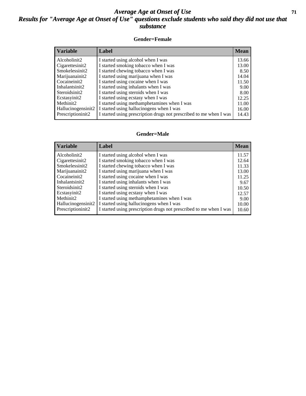#### *Average Age at Onset of Use* **71** *Results for "Average Age at Onset of Use" questions exclude students who said they did not use that substance*

#### **Gender=Female**

| <b>Variable</b>    | <b>Label</b>                                                       | <b>Mean</b> |
|--------------------|--------------------------------------------------------------------|-------------|
| Alcoholinit2       | I started using alcohol when I was                                 | 13.66       |
| Cigarettesinit2    | I started smoking tobacco when I was                               | 13.00       |
| Smokelessinit2     | I started chewing tobacco when I was                               | 8.50        |
| Marijuanainit2     | I started using marijuana when I was                               | 14.04       |
| Cocaineinit2       | I started using cocaine when I was                                 | 11.50       |
| Inhalantsinit2     | I started using inhalants when I was                               | 9.00        |
| Steroidsinit2      | I started using steroids when I was                                | 8.00        |
| Ecstasyinit2       | I started using ecstasy when I was                                 | 12.25       |
| Methinit2          | I started using methamphetamines when I was                        | 11.00       |
| Hallucinogensinit2 | I started using hallucinogens when I was                           | 16.00       |
| Prescription in t2 | I started using prescription drugs not prescribed to me when I was | 14.43       |

#### **Gender=Male**

| <b>Variable</b>                   | Label                                                                             | <b>Mean</b>    |
|-----------------------------------|-----------------------------------------------------------------------------------|----------------|
| Alcoholinit2                      | I started using alcohol when I was                                                | 11.57          |
| Cigarettesinit2<br>Smokelessinit2 | I started smoking tobacco when I was<br>I started chewing tobacco when I was      | 12.64<br>11.33 |
| Marijuanainit2                    | I started using marijuana when I was                                              | 13.00          |
| Cocaineinit2<br>Inhalantsinit2    | I started using cocaine when I was<br>I started using inhalants when I was        | 11.25<br>9.67  |
| Steroidsinit2                     | I started using steroids when I was                                               | 10.50          |
| Ecstasyinit2<br>Methinit2         | I started using ecstasy when I was<br>I started using methamphetamines when I was | 12.57          |
| Hallucinogensinit2                | I started using hallucinogens when I was                                          | 9.00<br>10.00  |
| Prescriptioninit2                 | I started using prescription drugs not prescribed to me when I was                | 10.60          |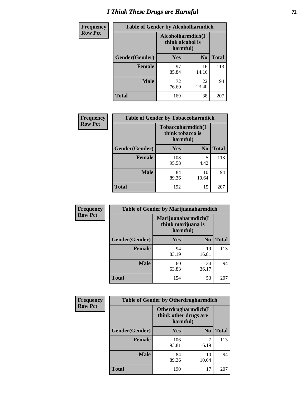# *I Think These Drugs are Harmful* **72**

| <b>Frequency</b> | <b>Table of Gender by Alcoholharmdich</b> |                                                   |                |              |
|------------------|-------------------------------------------|---------------------------------------------------|----------------|--------------|
| <b>Row Pct</b>   |                                           | Alcoholharmdich(I<br>think alcohol is<br>harmful) |                |              |
|                  | Gender(Gender)                            | <b>Yes</b>                                        | N <sub>0</sub> | <b>Total</b> |
|                  | Female                                    | 97<br>85.84                                       | 16<br>14.16    | 113          |
|                  | <b>Male</b>                               | 72<br>76.60                                       | 22<br>23.40    | 94           |
|                  | <b>Total</b>                              | 169                                               | 38             | 207          |

| Frequency      | <b>Table of Gender by Tobaccoharmdich</b> |                              |                   |              |
|----------------|-------------------------------------------|------------------------------|-------------------|--------------|
| <b>Row Pct</b> |                                           | think tobacco is<br>harmful) | Tobaccoharmdich(I |              |
|                | Gender(Gender)                            | Yes                          | N <sub>0</sub>    | <b>Total</b> |
|                | <b>Female</b>                             | 108<br>95.58                 | 5<br>4.42         | 113          |
|                | <b>Male</b>                               | 84<br>89.36                  | 10<br>10.64       | 94           |
|                | <b>Total</b>                              | 192                          | 15                | 207          |

| Frequency      | <b>Table of Gender by Marijuanaharmdich</b> |                                                       |                |              |  |
|----------------|---------------------------------------------|-------------------------------------------------------|----------------|--------------|--|
| <b>Row Pct</b> |                                             | Marijuanaharmdich(I<br>think marijuana is<br>harmful) |                |              |  |
|                | Gender(Gender)                              | <b>Yes</b>                                            | N <sub>0</sub> | <b>Total</b> |  |
|                | <b>Female</b>                               | 94<br>83.19                                           | 19<br>16.81    | 113          |  |
|                | <b>Male</b>                                 | 60<br>63.83                                           | 34<br>36.17    | 94           |  |
|                | <b>Total</b>                                | 154                                                   | 53             | 207          |  |

| Frequency      | <b>Table of Gender by Otherdrugharmdich</b> |                                                          |                |              |  |
|----------------|---------------------------------------------|----------------------------------------------------------|----------------|--------------|--|
| <b>Row Pct</b> |                                             | Otherdrugharmdich(I<br>think other drugs are<br>harmful) |                |              |  |
|                | Gender(Gender)                              | <b>Yes</b>                                               | N <sub>0</sub> | <b>Total</b> |  |
|                | <b>Female</b>                               | 106<br>93.81                                             | 6.19           | 113          |  |
|                | <b>Male</b>                                 | 84<br>89.36                                              | 10<br>10.64    | 94           |  |
|                | <b>Total</b>                                | 190                                                      | 17             | 207          |  |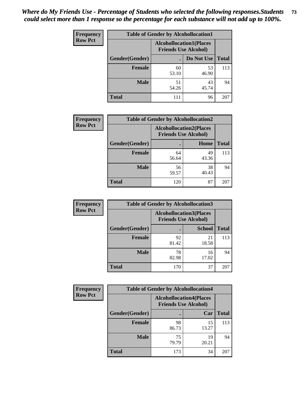| <b>Frequency</b> | <b>Table of Gender by Alcohollocation1</b> |                                                               |             |              |
|------------------|--------------------------------------------|---------------------------------------------------------------|-------------|--------------|
| <b>Row Pct</b>   |                                            | <b>Alcohollocation1(Places</b><br><b>Friends Use Alcohol)</b> |             |              |
|                  | Gender(Gender)                             |                                                               | Do Not Use  | <b>Total</b> |
|                  | <b>Female</b>                              | 60<br>53.10                                                   | 53<br>46.90 | 113          |
|                  | <b>Male</b>                                | 51<br>54.26                                                   | 43<br>45.74 | 94           |
|                  | <b>Total</b>                               | 111                                                           | 96          | 207          |

| <b>Frequency</b> | <b>Table of Gender by Alcohollocation2</b> |             |                                                               |              |
|------------------|--------------------------------------------|-------------|---------------------------------------------------------------|--------------|
| <b>Row Pct</b>   |                                            |             | <b>Alcohollocation2(Places</b><br><b>Friends Use Alcohol)</b> |              |
|                  | Gender(Gender)                             |             | Home                                                          | <b>Total</b> |
|                  | <b>Female</b>                              | 64<br>56.64 | 49<br>43.36                                                   | 113          |
|                  | <b>Male</b>                                | 56<br>59.57 | 38<br>40.43                                                   | 94           |
|                  | <b>Total</b>                               | 120         | 87                                                            | 207          |

| Frequency      | <b>Table of Gender by Alcohollocation3</b> |             |                                                               |              |
|----------------|--------------------------------------------|-------------|---------------------------------------------------------------|--------------|
| <b>Row Pct</b> |                                            |             | <b>Alcohollocation3(Places</b><br><b>Friends Use Alcohol)</b> |              |
|                | Gender(Gender)                             |             | <b>School</b>                                                 | <b>Total</b> |
|                | <b>Female</b>                              | 92<br>81.42 | 21<br>18.58                                                   | 113          |
|                | <b>Male</b>                                | 78<br>82.98 | 16<br>17.02                                                   | 94           |
|                | <b>Total</b>                               | 170         | 37                                                            | 207          |

| Frequency      | <b>Table of Gender by Alcohollocation4</b> |                                                               |             |              |
|----------------|--------------------------------------------|---------------------------------------------------------------|-------------|--------------|
| <b>Row Pct</b> |                                            | <b>Alcohollocation4(Places</b><br><b>Friends Use Alcohol)</b> |             |              |
|                | Gender(Gender)                             |                                                               | Car         | <b>Total</b> |
|                | <b>Female</b>                              | 98<br>86.73                                                   | 15<br>13.27 | 113          |
|                | <b>Male</b>                                | 75<br>79.79                                                   | 19<br>20.21 | 94           |
|                | <b>Total</b>                               | 173                                                           | 34          | 207          |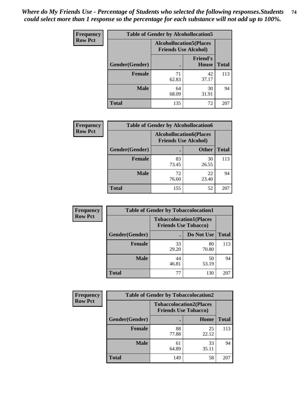| <b>Frequency</b> | <b>Table of Gender by Alcohollocation5</b> |                                                                |                                 |              |
|------------------|--------------------------------------------|----------------------------------------------------------------|---------------------------------|--------------|
| <b>Row Pct</b>   |                                            | <b>Alcohollocation5</b> (Places<br><b>Friends Use Alcohol)</b> |                                 |              |
|                  | Gender(Gender)                             | $\bullet$                                                      | <b>Friend's</b><br><b>House</b> | <b>Total</b> |
|                  | <b>Female</b>                              | 71<br>62.83                                                    | 42<br>37.17                     | 113          |
|                  | <b>Male</b>                                | 64<br>68.09                                                    | 30<br>31.91                     | 94           |
|                  | <b>Total</b>                               | 135                                                            | 72                              | 207          |

| Frequency      | <b>Table of Gender by Alcohollocation6</b> |                                                               |              |              |  |
|----------------|--------------------------------------------|---------------------------------------------------------------|--------------|--------------|--|
| <b>Row Pct</b> |                                            | <b>Alcohollocation6(Places</b><br><b>Friends Use Alcohol)</b> |              |              |  |
|                | <b>Gender</b> (Gender)                     |                                                               | <b>Other</b> | <b>Total</b> |  |
|                | <b>Female</b>                              | 83<br>73.45                                                   | 30<br>26.55  | 113          |  |
|                | <b>Male</b>                                | 72<br>76.60                                                   | 22<br>23.40  | 94           |  |
|                | <b>Total</b>                               | 155                                                           | 52           | 207          |  |

| Frequency      | <b>Table of Gender by Tobaccolocation1</b> |                                                               |             |              |  |
|----------------|--------------------------------------------|---------------------------------------------------------------|-------------|--------------|--|
| <b>Row Pct</b> |                                            | <b>Tobaccolocation1(Places</b><br><b>Friends Use Tobacco)</b> |             |              |  |
|                | Gender(Gender)                             |                                                               | Do Not Use  | <b>Total</b> |  |
|                | Female                                     | 33<br>29.20                                                   | 80<br>70.80 | 113          |  |
|                | <b>Male</b>                                | 44<br>46.81                                                   | 50<br>53.19 | 94           |  |
|                | <b>Total</b>                               | 77                                                            | 130         | 207          |  |

| <b>Frequency</b> | <b>Table of Gender by Tobaccolocation2</b> |                                                               |             |              |
|------------------|--------------------------------------------|---------------------------------------------------------------|-------------|--------------|
| <b>Row Pct</b>   |                                            | <b>Tobaccolocation2(Places</b><br><b>Friends Use Tobacco)</b> |             |              |
|                  | Gender(Gender)                             |                                                               | Home        | <b>Total</b> |
|                  | Female                                     | 88<br>77.88                                                   | 25<br>22.12 | 113          |
|                  | <b>Male</b>                                | 61<br>64.89                                                   | 33<br>35.11 | 94           |
|                  | <b>Total</b>                               | 149                                                           | 58          | 207          |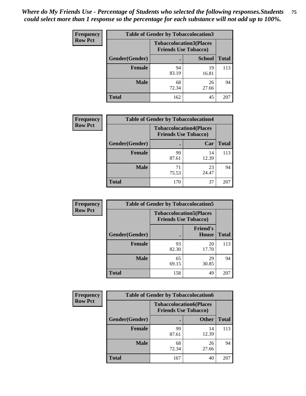| <b>Frequency</b> | <b>Table of Gender by Tobaccolocation3</b> |                             |                                |              |
|------------------|--------------------------------------------|-----------------------------|--------------------------------|--------------|
| <b>Row Pct</b>   |                                            | <b>Friends Use Tobacco)</b> | <b>Tobaccolocation3(Places</b> |              |
|                  | Gender(Gender)                             |                             | <b>School</b>                  | <b>Total</b> |
|                  | Female                                     | 94<br>83.19                 | 19<br>16.81                    | 113          |
|                  | <b>Male</b>                                | 68<br>72.34                 | 26<br>27.66                    | 94           |
|                  | <b>Total</b>                               | 162                         | 45                             | 207          |

| <b>Frequency</b> | <b>Table of Gender by Tobaccolocation4</b> |             |                                                               |              |
|------------------|--------------------------------------------|-------------|---------------------------------------------------------------|--------------|
| <b>Row Pct</b>   |                                            |             | <b>Tobaccolocation4(Places</b><br><b>Friends Use Tobacco)</b> |              |
|                  | Gender(Gender)                             |             | Car                                                           | <b>Total</b> |
|                  | Female                                     | 99<br>87.61 | 14<br>12.39                                                   | 113          |
|                  | <b>Male</b>                                | 71<br>75.53 | 23<br>24.47                                                   | 94           |
|                  | <b>Total</b>                               | 170         | 37                                                            | 207          |

| <b>Frequency</b> | <b>Table of Gender by Tobaccolocation5</b> |                                                               |                          |              |
|------------------|--------------------------------------------|---------------------------------------------------------------|--------------------------|--------------|
| <b>Row Pct</b>   |                                            | <b>Tobaccolocation5(Places</b><br><b>Friends Use Tobacco)</b> |                          |              |
|                  | Gender(Gender)                             |                                                               | <b>Friend's</b><br>House | <b>Total</b> |
|                  | <b>Female</b>                              | 93<br>82.30                                                   | 20<br>17.70              | 113          |
|                  | <b>Male</b>                                | 65<br>69.15                                                   | 29<br>30.85              | 94           |
|                  | <b>Total</b>                               | 158                                                           | 49                       | 207          |

| Frequency      | <b>Table of Gender by Tobaccolocation6</b> |                                                               |              |              |
|----------------|--------------------------------------------|---------------------------------------------------------------|--------------|--------------|
| <b>Row Pct</b> |                                            | <b>Tobaccolocation6(Places</b><br><b>Friends Use Tobacco)</b> |              |              |
|                | <b>Gender</b> (Gender)                     |                                                               | <b>Other</b> | <b>Total</b> |
|                | Female                                     | 99<br>87.61                                                   | 14<br>12.39  | 113          |
|                | <b>Male</b>                                | 68<br>72.34                                                   | 26<br>27.66  | 94           |
|                | <b>Total</b>                               | 167                                                           | 40           | 207          |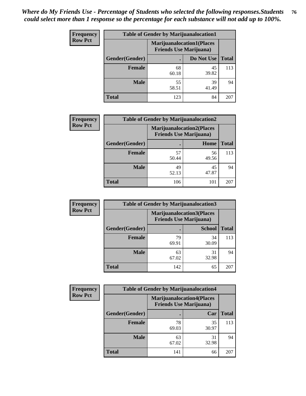| <b>Frequency</b> | <b>Table of Gender by Marijuanalocation1</b> |                                                                    |             |              |
|------------------|----------------------------------------------|--------------------------------------------------------------------|-------------|--------------|
| <b>Row Pct</b>   |                                              | <b>Marijuanalocation1(Places</b><br><b>Friends Use Marijuana</b> ) |             |              |
|                  | Gender(Gender)                               |                                                                    | Do Not Use  | <b>Total</b> |
|                  | <b>Female</b>                                | 68<br>60.18                                                        | 45<br>39.82 | 113          |
|                  | <b>Male</b>                                  | 55<br>58.51                                                        | 39<br>41.49 | 94           |
|                  | Total                                        | 123                                                                | 84          | 207          |

| <b>Frequency</b> | <b>Table of Gender by Marijuanalocation2</b> |                                                                    |             |              |
|------------------|----------------------------------------------|--------------------------------------------------------------------|-------------|--------------|
| <b>Row Pct</b>   |                                              | <b>Marijuanalocation2(Places</b><br><b>Friends Use Marijuana</b> ) |             |              |
|                  | Gender(Gender)                               |                                                                    | Home        | <b>Total</b> |
|                  | Female                                       | 57<br>50.44                                                        | 56<br>49.56 | 113          |
|                  | <b>Male</b>                                  | 49<br>52.13                                                        | 45<br>47.87 | 94           |
|                  | <b>Total</b>                                 | 106                                                                | 101         | 207          |

| Frequency      | <b>Table of Gender by Marijuanalocation3</b> |                                                                    |               |              |
|----------------|----------------------------------------------|--------------------------------------------------------------------|---------------|--------------|
| <b>Row Pct</b> |                                              | <b>Marijuanalocation3(Places</b><br><b>Friends Use Marijuana</b> ) |               |              |
|                | Gender(Gender)                               |                                                                    | <b>School</b> | <b>Total</b> |
|                | Female                                       | 79<br>69.91                                                        | 34<br>30.09   | 113          |
|                | <b>Male</b>                                  | 63<br>67.02                                                        | 31<br>32.98   | 94           |
|                | <b>Total</b>                                 | 142                                                                | 65            | 207          |

| <b>Frequency</b> | <b>Table of Gender by Marijuanalocation4</b> |                                                                    |             |              |  |
|------------------|----------------------------------------------|--------------------------------------------------------------------|-------------|--------------|--|
| <b>Row Pct</b>   |                                              | <b>Marijuanalocation4(Places</b><br><b>Friends Use Marijuana</b> ) |             |              |  |
|                  | Gender(Gender)                               |                                                                    | Car         | <b>Total</b> |  |
|                  | Female                                       | 78<br>69.03                                                        | 35<br>30.97 | 113          |  |
|                  | <b>Male</b>                                  | 63<br>67.02                                                        | 31<br>32.98 | 94           |  |
|                  | <b>Total</b>                                 | 141                                                                | 66          | 207          |  |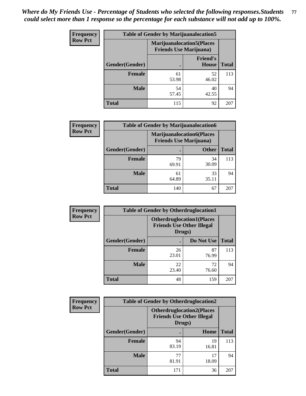| <b>Frequency</b> | <b>Table of Gender by Marijuanalocation5</b> |                                                                     |                          |              |
|------------------|----------------------------------------------|---------------------------------------------------------------------|--------------------------|--------------|
| <b>Row Pct</b>   |                                              | <b>Marijuanalocation5</b> (Places<br><b>Friends Use Marijuana</b> ) |                          |              |
|                  | Gender(Gender)                               |                                                                     | <b>Friend's</b><br>House | <b>Total</b> |
|                  | <b>Female</b>                                | 61<br>53.98                                                         | 52<br>46.02              | 113          |
|                  | <b>Male</b>                                  | 54<br>57.45                                                         | 40<br>42.55              | 94           |
|                  | <b>Total</b>                                 | 115                                                                 | 92                       | 207          |

| <b>Frequency</b> | <b>Table of Gender by Marijuanalocation6</b> |                                                                    |              |              |
|------------------|----------------------------------------------|--------------------------------------------------------------------|--------------|--------------|
| <b>Row Pct</b>   |                                              | <b>Marijuanalocation6(Places</b><br><b>Friends Use Marijuana</b> ) |              |              |
|                  | <b>Gender</b> (Gender)                       |                                                                    | <b>Other</b> | <b>Total</b> |
|                  | <b>Female</b>                                | 79<br>69.91                                                        | 34<br>30.09  | 113          |
|                  | <b>Male</b>                                  | 61<br>64.89                                                        | 33<br>35.11  | 94           |
|                  | <b>Total</b>                                 | 140                                                                | 67           | 207          |

| <b>Frequency</b> | <b>Table of Gender by Otherdruglocation1</b> |                                            |                                  |              |
|------------------|----------------------------------------------|--------------------------------------------|----------------------------------|--------------|
| <b>Row Pct</b>   |                                              | <b>Friends Use Other Illegal</b><br>Drugs) | <b>Otherdruglocation1(Places</b> |              |
|                  | Gender(Gender)                               |                                            | Do Not Use                       | <b>Total</b> |
|                  | <b>Female</b>                                | 26<br>23.01                                | 87<br>76.99                      | 113          |
|                  | <b>Male</b>                                  | 22<br>23.40                                | 72<br>76.60                      | 94           |
|                  | <b>Total</b>                                 | 48                                         | 159                              | 207          |

| <b>Frequency</b> | <b>Table of Gender by Otherdruglocation2</b> |                                            |                                  |              |
|------------------|----------------------------------------------|--------------------------------------------|----------------------------------|--------------|
| <b>Row Pct</b>   |                                              | <b>Friends Use Other Illegal</b><br>Drugs) | <b>Otherdruglocation2(Places</b> |              |
|                  | Gender(Gender)                               |                                            | Home                             | <b>Total</b> |
|                  | Female                                       | 94<br>83.19                                | 19<br>16.81                      | 113          |
|                  | <b>Male</b>                                  | 77<br>81.91                                | 17<br>18.09                      | 94           |
|                  | <b>Total</b>                                 | 171                                        | 36                               | 207          |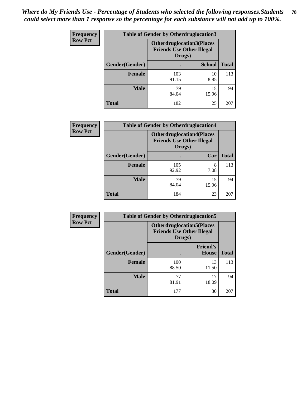| Frequency      | <b>Table of Gender by Otherdruglocation3</b> |                                                                                |               |              |
|----------------|----------------------------------------------|--------------------------------------------------------------------------------|---------------|--------------|
| <b>Row Pct</b> |                                              | <b>Otherdruglocation3(Places</b><br><b>Friends Use Other Illegal</b><br>Drugs) |               |              |
|                | Gender(Gender)                               |                                                                                | <b>School</b> | <b>Total</b> |
|                | <b>Female</b>                                | 103<br>91.15                                                                   | 10<br>8.85    | 113          |
|                | <b>Male</b>                                  | 79<br>84.04                                                                    | 15<br>15.96   | 94           |
|                | <b>Total</b>                                 | 182                                                                            | 25            | 207          |

| Frequency      | <b>Table of Gender by Otherdruglocation4</b> |                                                                                |             |              |
|----------------|----------------------------------------------|--------------------------------------------------------------------------------|-------------|--------------|
| <b>Row Pct</b> |                                              | <b>Otherdruglocation4(Places</b><br><b>Friends Use Other Illegal</b><br>Drugs) |             |              |
|                | Gender(Gender)                               |                                                                                | Car         | <b>Total</b> |
|                | <b>Female</b>                                | 105<br>92.92                                                                   | 8<br>7.08   | 113          |
|                | <b>Male</b>                                  | 79<br>84.04                                                                    | 15<br>15.96 | 94           |
|                | <b>Total</b>                                 | 184                                                                            | 23          | 207          |

| <b>Frequency</b> |                | <b>Table of Gender by Otherdruglocation5</b> |                                                                      |              |
|------------------|----------------|----------------------------------------------|----------------------------------------------------------------------|--------------|
| <b>Row Pct</b>   |                | Drugs)                                       | <b>Otherdruglocation5(Places</b><br><b>Friends Use Other Illegal</b> |              |
|                  | Gender(Gender) |                                              | <b>Friend's</b><br>House                                             | <b>Total</b> |
|                  | <b>Female</b>  | 100<br>88.50                                 | 13<br>11.50                                                          | 113          |
|                  | <b>Male</b>    | 77<br>81.91                                  | 17<br>18.09                                                          | 94           |
|                  | <b>Total</b>   | 177                                          | 30                                                                   | 207          |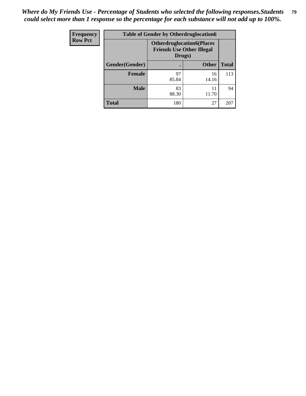| Frequency      | <b>Table of Gender by Otherdruglocation6</b> |                                                                                |              |              |
|----------------|----------------------------------------------|--------------------------------------------------------------------------------|--------------|--------------|
| <b>Row Pct</b> |                                              | <b>Otherdruglocation6(Places</b><br><b>Friends Use Other Illegal</b><br>Drugs) |              |              |
|                | Gender(Gender)                               |                                                                                | <b>Other</b> | <b>Total</b> |
|                | Female                                       | 97<br>85.84                                                                    | 16<br>14.16  | 113          |
|                | <b>Male</b>                                  | 83<br>88.30                                                                    | 11<br>11.70  | 94           |
|                | <b>Total</b>                                 | 180                                                                            | 27           | 207          |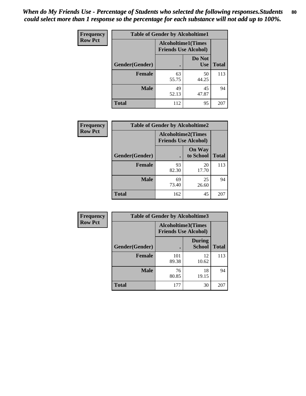| <b>Frequency</b> | <b>Table of Gender by Alcoholtime1</b> |                                                          |                      |              |
|------------------|----------------------------------------|----------------------------------------------------------|----------------------|--------------|
| <b>Row Pct</b>   |                                        | <b>Alcoholtime1(Times</b><br><b>Friends Use Alcohol)</b> |                      |              |
|                  | Gender(Gender)                         | $\bullet$                                                | Do Not<br><b>Use</b> | <b>Total</b> |
|                  | <b>Female</b>                          | 63<br>55.75                                              | 50<br>44.25          | 113          |
|                  | <b>Male</b>                            | 49<br>52.13                                              | 45<br>47.87          | 94           |
|                  | <b>Total</b>                           | 112                                                      | 95                   | 207          |

| <b>Frequency</b> | <b>Table of Gender by Alcoholtime2</b> |                                                          |                            |              |
|------------------|----------------------------------------|----------------------------------------------------------|----------------------------|--------------|
| <b>Row Pct</b>   |                                        | <b>Alcoholtime2(Times</b><br><b>Friends Use Alcohol)</b> |                            |              |
|                  | Gender(Gender)                         |                                                          | <b>On Way</b><br>to School | <b>Total</b> |
|                  | <b>Female</b>                          | 93<br>82.30                                              | 20<br>17.70                | 113          |
|                  | <b>Male</b>                            | 69<br>73.40                                              | 25<br>26.60                | 94           |
|                  | <b>Total</b>                           | 162                                                      | 45                         | 207          |

| <b>Frequency</b> | <b>Table of Gender by Alcoholtime3</b> |                                                          |                                |              |
|------------------|----------------------------------------|----------------------------------------------------------|--------------------------------|--------------|
| <b>Row Pct</b>   |                                        | <b>Alcoholtime3(Times</b><br><b>Friends Use Alcohol)</b> |                                |              |
|                  | Gender(Gender)                         |                                                          | <b>During</b><br><b>School</b> | <b>Total</b> |
|                  | <b>Female</b>                          | 101<br>89.38                                             | 12<br>10.62                    | 113          |
|                  | <b>Male</b>                            | 76<br>80.85                                              | 18<br>19.15                    | 94           |
|                  | <b>Total</b>                           | 177                                                      | 30                             | 207          |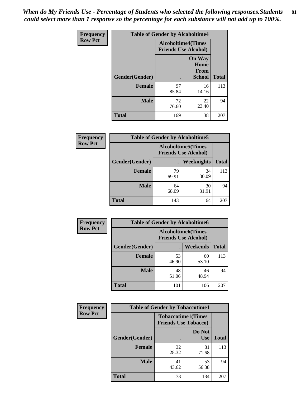*When do My Friends Use - Percentage of Students who selected the following responses.Students could select more than 1 response so the percentage for each substance will not add up to 100%.* **81**

| <b>Frequency</b> | <b>Table of Gender by Alcoholtime4</b> |                                                          |                                                       |              |
|------------------|----------------------------------------|----------------------------------------------------------|-------------------------------------------------------|--------------|
| <b>Row Pct</b>   |                                        | <b>Alcoholtime4(Times</b><br><b>Friends Use Alcohol)</b> |                                                       |              |
|                  | <b>Gender</b> (Gender)                 | $\bullet$                                                | <b>On Way</b><br>Home<br><b>From</b><br><b>School</b> | <b>Total</b> |
|                  | <b>Female</b>                          | 97<br>85.84                                              | 16<br>14.16                                           | 113          |
|                  | <b>Male</b>                            | 72<br>76.60                                              | 22<br>23.40                                           | 94           |
|                  | <b>Total</b>                           | 169                                                      | 38                                                    | 207          |

| <b>Frequency</b> | <b>Table of Gender by Alcoholtime5</b> |                                                           |                   |              |
|------------------|----------------------------------------|-----------------------------------------------------------|-------------------|--------------|
| <b>Row Pct</b>   |                                        | <b>Alcoholtime5</b> (Times<br><b>Friends Use Alcohol)</b> |                   |              |
|                  | Gender(Gender)                         |                                                           | <b>Weeknights</b> | <b>Total</b> |
|                  | <b>Female</b>                          | 79<br>69.91                                               | 34<br>30.09       | 113          |
|                  | <b>Male</b>                            | 64<br>68.09                                               | 30<br>31.91       | 94           |
|                  | <b>Total</b>                           | 143                                                       | 64                | 207          |

| <b>Frequency</b> | <b>Table of Gender by Alcoholtime6</b> |             |                                                          |              |
|------------------|----------------------------------------|-------------|----------------------------------------------------------|--------------|
| <b>Row Pct</b>   |                                        |             | <b>Alcoholtime6(Times</b><br><b>Friends Use Alcohol)</b> |              |
|                  | Gender(Gender)                         |             | <b>Weekends</b>                                          | <b>Total</b> |
|                  | Female                                 | 53<br>46.90 | 60<br>53.10                                              | 113          |
|                  | <b>Male</b>                            | 48<br>51.06 | 46<br>48.94                                              | 94           |
|                  | <b>Total</b>                           | 101         | 106                                                      | 207          |

| Frequency      | <b>Table of Gender by Tobaccotime1</b> |                                                          |                      |              |
|----------------|----------------------------------------|----------------------------------------------------------|----------------------|--------------|
| <b>Row Pct</b> |                                        | <b>Tobaccotime1(Times</b><br><b>Friends Use Tobacco)</b> |                      |              |
|                | Gender(Gender)                         |                                                          | Do Not<br><b>Use</b> | <b>Total</b> |
|                | <b>Female</b>                          | 32<br>28.32                                              | 81<br>71.68          | 113          |
|                | <b>Male</b>                            | 41<br>43.62                                              | 53<br>56.38          | 94           |
|                | <b>Total</b>                           | 73                                                       | 134                  | 207          |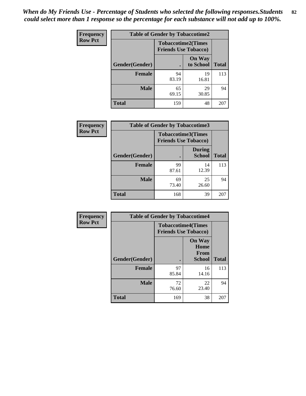| Frequency      | <b>Table of Gender by Tobaccotime2</b> |                                                          |                            |              |
|----------------|----------------------------------------|----------------------------------------------------------|----------------------------|--------------|
| <b>Row Pct</b> |                                        | <b>Tobaccotime2(Times</b><br><b>Friends Use Tobacco)</b> |                            |              |
|                | Gender(Gender)                         | $\bullet$                                                | <b>On Way</b><br>to School | <b>Total</b> |
|                | <b>Female</b>                          | 94<br>83.19                                              | 19<br>16.81                | 113          |
|                | <b>Male</b>                            | 65<br>69.15                                              | 29<br>30.85                | 94           |
|                | <b>Total</b>                           | 159                                                      | 48                         | 207          |

| <b>Frequency</b> | <b>Table of Gender by Tobaccotime3</b> |                                                          |                                |              |
|------------------|----------------------------------------|----------------------------------------------------------|--------------------------------|--------------|
| <b>Row Pct</b>   |                                        | <b>Tobaccotime3(Times</b><br><b>Friends Use Tobacco)</b> |                                |              |
|                  | Gender(Gender)                         |                                                          | <b>During</b><br><b>School</b> | <b>Total</b> |
|                  | <b>Female</b>                          | 99<br>87.61                                              | 14<br>12.39                    | 113          |
|                  | <b>Male</b>                            | 69<br>73.40                                              | 25<br>26.60                    | 94           |
|                  | <b>Total</b>                           | 168                                                      | 39                             | 207          |

| <b>Frequency</b> | <b>Table of Gender by Tobaccotime4</b> |                                                          |                                                       |              |
|------------------|----------------------------------------|----------------------------------------------------------|-------------------------------------------------------|--------------|
| <b>Row Pct</b>   |                                        | <b>Tobaccotime4(Times</b><br><b>Friends Use Tobacco)</b> |                                                       |              |
|                  | Gender(Gender)                         |                                                          | <b>On Way</b><br>Home<br><b>From</b><br><b>School</b> | <b>Total</b> |
|                  | <b>Female</b>                          | 97<br>85.84                                              | 16<br>14.16                                           | 113          |
|                  | <b>Male</b>                            | 72<br>76.60                                              | 22<br>23.40                                           | 94           |
|                  | <b>Total</b>                           | 169                                                      | 38                                                    | 207          |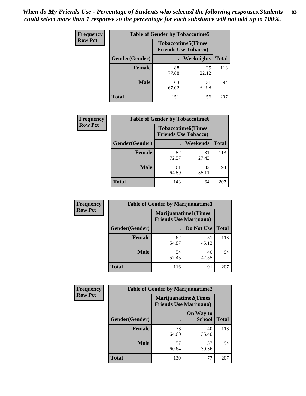| Frequency      | <b>Table of Gender by Tobaccotime5</b> |             |                                                           |              |  |
|----------------|----------------------------------------|-------------|-----------------------------------------------------------|--------------|--|
| <b>Row Pct</b> |                                        |             | <b>Tobaccotime5</b> (Times<br><b>Friends Use Tobacco)</b> |              |  |
|                | Gender(Gender)                         |             | <b>Weeknights</b>                                         | <b>Total</b> |  |
|                | <b>Female</b>                          | 88<br>77.88 | 25<br>22.12                                               | 113          |  |
|                | <b>Male</b>                            | 63<br>67.02 | 31<br>32.98                                               | 94           |  |
|                | <b>Total</b>                           | 151         | 56                                                        | 207          |  |

| <b>Frequency</b> | <b>Table of Gender by Tobaccotime6</b> |                             |                           |              |
|------------------|----------------------------------------|-----------------------------|---------------------------|--------------|
| <b>Row Pct</b>   |                                        | <b>Friends Use Tobacco)</b> | <b>Tobaccotime6(Times</b> |              |
|                  | Gender(Gender)                         |                             | <b>Weekends</b>           | <b>Total</b> |
|                  | Female                                 | 82<br>72.57                 | 31<br>27.43               | 113          |
|                  | <b>Male</b>                            | 61<br>64.89                 | 33<br>35.11               | 94           |
|                  | <b>Total</b>                           | 143                         | 64                        | 207          |

| <b>Frequency</b> | <b>Table of Gender by Marijuanatime1</b> |                                                        |             |              |  |
|------------------|------------------------------------------|--------------------------------------------------------|-------------|--------------|--|
| <b>Row Pct</b>   |                                          | Marijuanatime1(Times<br><b>Friends Use Marijuana</b> ) |             |              |  |
|                  | Gender(Gender)                           |                                                        | Do Not Use  | <b>Total</b> |  |
|                  | <b>Female</b>                            | 62<br>54.87                                            | 51<br>45.13 | 113          |  |
|                  | <b>Male</b>                              | 54<br>57.45                                            | 40<br>42.55 | 94           |  |
|                  | <b>Total</b>                             | 116                                                    | 91          | 207          |  |

| <b>Frequency</b> | <b>Table of Gender by Marijuanatime2</b> |                                                               |                            |              |
|------------------|------------------------------------------|---------------------------------------------------------------|----------------------------|--------------|
| <b>Row Pct</b>   |                                          | <b>Marijuanatime2(Times</b><br><b>Friends Use Marijuana</b> ) |                            |              |
|                  | Gender(Gender)                           |                                                               | On Way to<br><b>School</b> | <b>Total</b> |
|                  | <b>Female</b>                            | 73<br>64.60                                                   | 40<br>35.40                | 113          |
|                  | <b>Male</b>                              | 57<br>60.64                                                   | 37<br>39.36                | 94           |
|                  | <b>Total</b>                             | 130                                                           | 77                         | 207          |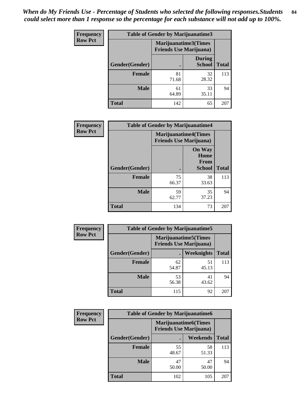*When do My Friends Use - Percentage of Students who selected the following responses.Students could select more than 1 response so the percentage for each substance will not add up to 100%.* **84**

| <b>Frequency</b> | <b>Table of Gender by Marijuanatime3</b> |                                                        |                                |              |
|------------------|------------------------------------------|--------------------------------------------------------|--------------------------------|--------------|
| <b>Row Pct</b>   |                                          | Marijuanatime3(Times<br><b>Friends Use Marijuana</b> ) |                                |              |
|                  | Gender(Gender)                           |                                                        | <b>During</b><br><b>School</b> | <b>Total</b> |
|                  | <b>Female</b>                            | 81<br>71.68                                            | 32<br>28.32                    | 113          |
|                  | <b>Male</b>                              | 61<br>64.89                                            | 33<br>35.11                    | 94           |
|                  | <b>Total</b>                             | 142                                                    | 65                             | 207          |

| Frequency      | <b>Table of Gender by Marijuanatime4</b> |                                                               |                                                |              |
|----------------|------------------------------------------|---------------------------------------------------------------|------------------------------------------------|--------------|
| <b>Row Pct</b> |                                          | <b>Marijuanatime4(Times</b><br><b>Friends Use Marijuana</b> ) |                                                |              |
|                | Gender(Gender)                           |                                                               | <b>On Way</b><br>Home<br>From<br><b>School</b> | <b>Total</b> |
|                | <b>Female</b>                            | 75<br>66.37                                                   | 38<br>33.63                                    | 113          |
|                | <b>Male</b>                              | 59<br>62.77                                                   | 35<br>37.23                                    | 94           |
|                | <b>Total</b>                             | 134                                                           | 73                                             | 207          |

| Frequency      | <b>Table of Gender by Marijuanatime5</b> |             |                                                                |              |
|----------------|------------------------------------------|-------------|----------------------------------------------------------------|--------------|
| <b>Row Pct</b> |                                          |             | <b>Marijuanatime5</b> (Times<br><b>Friends Use Marijuana</b> ) |              |
|                | Gender(Gender)                           |             | Weeknights                                                     | <b>Total</b> |
|                | <b>Female</b>                            | 62<br>54.87 | 51<br>45.13                                                    | 113          |
|                | <b>Male</b>                              | 53<br>56.38 | 41<br>43.62                                                    | 94           |
|                | <b>Total</b>                             | 115         | 92                                                             | 207          |

| Frequency      | <b>Table of Gender by Marijuanatime6</b> |                                                        |                 |              |  |
|----------------|------------------------------------------|--------------------------------------------------------|-----------------|--------------|--|
| <b>Row Pct</b> |                                          | Marijuanatime6(Times<br><b>Friends Use Marijuana</b> ) |                 |              |  |
|                | Gender(Gender)                           |                                                        | <b>Weekends</b> | <b>Total</b> |  |
|                | Female                                   | 55<br>48.67                                            | 58<br>51.33     | 113          |  |
|                | <b>Male</b>                              | 47<br>50.00                                            | 47<br>50.00     | 94           |  |
|                | <b>Total</b>                             | 102                                                    | 105             | 207          |  |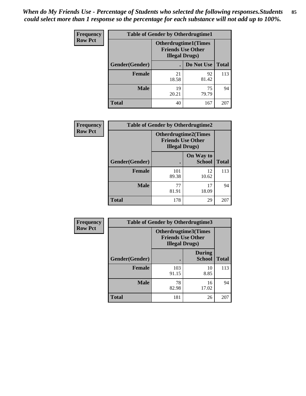*When do My Friends Use - Percentage of Students who selected the following responses.Students could select more than 1 response so the percentage for each substance will not add up to 100%.* **85**

| <b>Frequency</b> | <b>Table of Gender by Otherdrugtime1</b> |                        |                                                         |     |  |
|------------------|------------------------------------------|------------------------|---------------------------------------------------------|-----|--|
| <b>Row Pct</b>   |                                          | <b>Illegal Drugs</b> ) | <b>Otherdrugtime1(Times</b><br><b>Friends Use Other</b> |     |  |
|                  | Gender(Gender)                           |                        | Do Not Use   Total                                      |     |  |
|                  | <b>Female</b>                            | 21<br>18.58            | 92<br>81.42                                             | 113 |  |
|                  | <b>Male</b>                              | 19<br>20.21            | 75<br>79.79                                             | 94  |  |
|                  | <b>Total</b>                             | 40                     | 167                                                     | 207 |  |

| <b>Frequency</b> | <b>Table of Gender by Otherdrugtime2</b> |                                                    |                             |              |
|------------------|------------------------------------------|----------------------------------------------------|-----------------------------|--------------|
| <b>Row Pct</b>   |                                          | <b>Friends Use Other</b><br><b>Illegal Drugs</b> ) | <b>Otherdrugtime2(Times</b> |              |
|                  | Gender(Gender)                           |                                                    | On Way to<br><b>School</b>  | <b>Total</b> |
|                  | <b>Female</b>                            | 101<br>89.38                                       | 12<br>10.62                 | 113          |
|                  | <b>Male</b>                              | 77<br>81.91                                        | 17<br>18.09                 | 94           |
|                  | <b>Total</b>                             | 178                                                | 29                          | 207          |

| Frequency      |                | <b>Table of Gender by Otherdrugtime3</b> |                                                         |              |
|----------------|----------------|------------------------------------------|---------------------------------------------------------|--------------|
| <b>Row Pct</b> |                | <b>Illegal Drugs</b> )                   | <b>Otherdrugtime3(Times</b><br><b>Friends Use Other</b> |              |
|                | Gender(Gender) |                                          | <b>During</b><br><b>School</b>                          | <b>Total</b> |
|                | <b>Female</b>  | 103<br>91.15                             | 10<br>8.85                                              | 113          |
|                | <b>Male</b>    | 78<br>82.98                              | 16<br>17.02                                             | 94           |
|                | <b>Total</b>   | 181                                      | 26                                                      | 207          |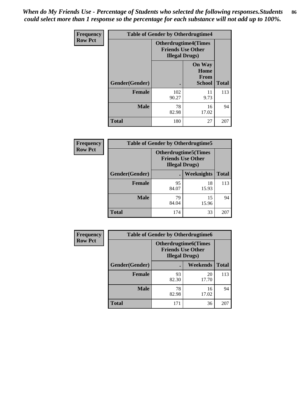*When do My Friends Use - Percentage of Students who selected the following responses.Students could select more than 1 response so the percentage for each substance will not add up to 100%.* **86**

| Frequency      | <b>Table of Gender by Otherdrugtime4</b> |                        |                                                         |              |
|----------------|------------------------------------------|------------------------|---------------------------------------------------------|--------------|
| <b>Row Pct</b> |                                          | <b>Illegal Drugs</b> ) | <b>Otherdrugtime4(Times</b><br><b>Friends Use Other</b> |              |
|                | Gender(Gender)                           |                        | <b>On Way</b><br>Home<br><b>From</b><br><b>School</b>   | <b>Total</b> |
|                | <b>Female</b>                            | 102<br>90.27           | 11<br>9.73                                              | 113          |
|                | <b>Male</b>                              | 78<br>82.98            | 16<br>17.02                                             | 94           |
|                | <b>Total</b>                             | 180                    | 27                                                      | 207          |

| Frequency      | <b>Table of Gender by Otherdrugtime5</b> |                                                                                    |                   |              |
|----------------|------------------------------------------|------------------------------------------------------------------------------------|-------------------|--------------|
| <b>Row Pct</b> |                                          | <b>Otherdrugtime5</b> (Times<br><b>Friends Use Other</b><br><b>Illegal Drugs</b> ) |                   |              |
|                | Gender(Gender)                           |                                                                                    | <b>Weeknights</b> | <b>Total</b> |
|                | <b>Female</b>                            | 95<br>84.07                                                                        | 18<br>15.93       | 113          |
|                | <b>Male</b>                              | 79<br>84.04                                                                        | 15<br>15.96       | 94           |
|                | <b>Total</b>                             | 174                                                                                | 33                | 207          |

| <b>Frequency</b> | <b>Table of Gender by Otherdrugtime6</b> |                                                                                   |             |              |
|------------------|------------------------------------------|-----------------------------------------------------------------------------------|-------------|--------------|
| <b>Row Pct</b>   |                                          | <b>Otherdrugtime6(Times</b><br><b>Friends Use Other</b><br><b>Illegal Drugs</b> ) |             |              |
|                  | Gender(Gender)                           |                                                                                   | Weekends    | <b>Total</b> |
|                  | <b>Female</b>                            | 93<br>82.30                                                                       | 20<br>17.70 | 113          |
|                  | <b>Male</b>                              | 78<br>82.98                                                                       | 16<br>17.02 | 94           |
|                  | <b>Total</b>                             | 171                                                                               | 36          | 207          |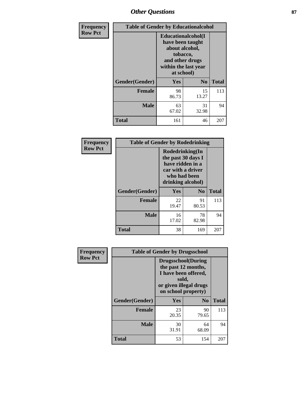# *Other Questions* **87**

| Frequency      | <b>Table of Gender by Educationalcohol</b> |                                                                                                                               |                |              |  |
|----------------|--------------------------------------------|-------------------------------------------------------------------------------------------------------------------------------|----------------|--------------|--|
| <b>Row Pct</b> |                                            | Educationalcohol(I<br>have been taught<br>about alcohol,<br>tobacco,<br>and other drugs<br>within the last year<br>at school) |                |              |  |
|                | Gender(Gender)                             | Yes                                                                                                                           | N <sub>0</sub> | <b>Total</b> |  |
|                | <b>Female</b>                              | 98<br>86.73                                                                                                                   | 15<br>13.27    | 113          |  |
|                | <b>Male</b>                                | 63<br>67.02                                                                                                                   | 31<br>32.98    | 94           |  |
|                | Total                                      | 161                                                                                                                           | 46             | 207          |  |

| Frequency      | <b>Table of Gender by Rodedrinking</b> |                                                                                                                     |                        |              |  |
|----------------|----------------------------------------|---------------------------------------------------------------------------------------------------------------------|------------------------|--------------|--|
| <b>Row Pct</b> |                                        | Rodedrinking(In<br>the past 30 days I<br>have ridden in a<br>car with a driver<br>who had been<br>drinking alcohol) |                        |              |  |
|                | Gender(Gender)                         | Yes                                                                                                                 | $\mathbf{N}\mathbf{0}$ | <b>Total</b> |  |
|                | <b>Female</b>                          | 22<br>19.47                                                                                                         | 91<br>80.53            | 113          |  |
|                | <b>Male</b>                            | 16<br>17.02                                                                                                         | 78<br>82.98            | 94           |  |
|                | <b>Total</b>                           | 38                                                                                                                  | 169                    | 207          |  |

| Frequency      | <b>Table of Gender by Drugsschool</b> |                                                                                                                                     |                |              |  |
|----------------|---------------------------------------|-------------------------------------------------------------------------------------------------------------------------------------|----------------|--------------|--|
| <b>Row Pct</b> |                                       | <b>Drugsschool</b> (During<br>the past 12 months,<br>I have been offered,<br>sold,<br>or given illegal drugs<br>on school property) |                |              |  |
|                | Gender(Gender)                        | <b>Yes</b>                                                                                                                          | N <sub>0</sub> | <b>Total</b> |  |
|                | <b>Female</b>                         | 23<br>20.35                                                                                                                         | 90<br>79.65    | 113          |  |
|                | <b>Male</b>                           | 30<br>31.91                                                                                                                         | 64<br>68.09    | 94           |  |
|                | <b>Total</b>                          | 53                                                                                                                                  | 154            | 207          |  |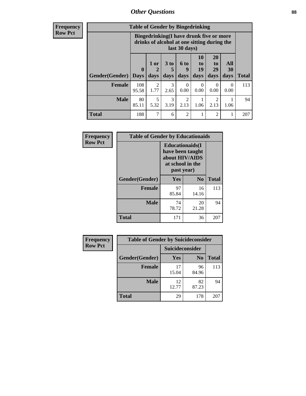## *Other Questions* **88**

**Frequency Row Pct**

| <b>Table of Gender by Bingedrinking</b> |                         |                                                                                                         |                   |                   |                        |                               |                   |              |
|-----------------------------------------|-------------------------|---------------------------------------------------------------------------------------------------------|-------------------|-------------------|------------------------|-------------------------------|-------------------|--------------|
|                                         |                         | Bingedrinking(I have drunk five or more<br>drinks of alcohol at one sitting during the<br>last 30 days) |                   |                   |                        |                               |                   |              |
| <b>Gender</b> (Gender)                  | $\bf{0}$<br><b>Days</b> | 1 or<br>days                                                                                            | 3 to<br>5<br>days | 6 to<br>9<br>days | 10<br>to<br>19<br>days | <b>20</b><br>to<br>29<br>days | All<br>30<br>days | <b>Total</b> |
| <b>Female</b>                           | 108<br>95.58            | $\mathfrak{D}$<br>1.77                                                                                  | 3<br>2.65         | 0.00              | $\Omega$<br>0.00       | $\Omega$<br>0.00              | $\Omega$<br>0.00  | 113          |
| <b>Male</b>                             | 80<br>85.11             | 5<br>5.32                                                                                               | 3<br>3.19         | 2<br>2.13         | 1.06                   | 2<br>2.13                     | 1.06              | 94           |
| <b>Total</b>                            | 188                     | 7                                                                                                       | 6                 | $\mathfrak{D}$    | 1                      | $\mathfrak{D}$                |                   | 207          |

| Frequency      | <b>Table of Gender by Educationaids</b> |                                                                                                 |             |              |  |
|----------------|-----------------------------------------|-------------------------------------------------------------------------------------------------|-------------|--------------|--|
| <b>Row Pct</b> |                                         | <b>Educationaids</b> (I<br>have been taught<br>about HIV/AIDS<br>at school in the<br>past year) |             |              |  |
|                | Gender(Gender)                          | Yes                                                                                             | $\bf N_0$   | <b>Total</b> |  |
|                | <b>Female</b>                           | 97<br>85.84                                                                                     | 16<br>14.16 | 113          |  |
|                | <b>Male</b>                             | 74<br>78.72                                                                                     | 20<br>21.28 | 94           |  |
|                | <b>Total</b>                            | 171                                                                                             | 36          | 207          |  |

| Frequency      | <b>Table of Gender by Suicideconsider</b> |                 |                |              |  |
|----------------|-------------------------------------------|-----------------|----------------|--------------|--|
| <b>Row Pct</b> |                                           | Suicideconsider |                |              |  |
|                | Gender(Gender)                            | Yes             | N <sub>0</sub> | <b>Total</b> |  |
|                | <b>Female</b>                             | 17<br>15.04     | 96<br>84.96    | 113          |  |
|                | <b>Male</b>                               | 12<br>12.77     | 82<br>87.23    | 94           |  |
|                | <b>Total</b>                              | 29              | 178            | 207          |  |